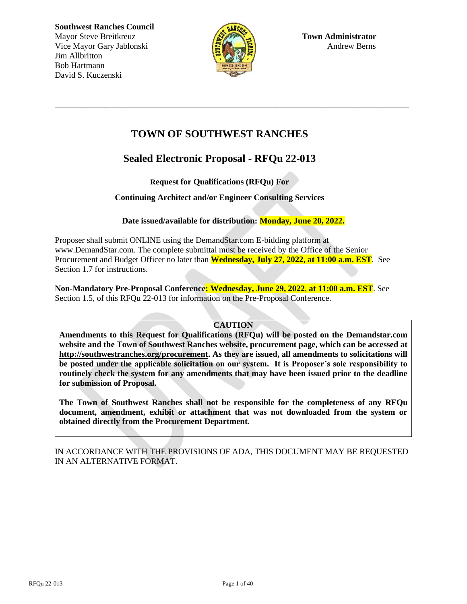**Southwest Ranches Council** Mayor Steve Breitkreuz **Town Administrator** Town Administrator Vice Mayor Gary Jablonski **Andrew Berns** Andrew Berns Jim Allbritton Bob Hartmann David S. Kuczenski



 $\_$  ,  $\_$  ,  $\_$  ,  $\_$  ,  $\_$  ,  $\_$  ,  $\_$  ,  $\_$  ,  $\_$  ,  $\_$  ,  $\_$  ,  $\_$  ,  $\_$  ,  $\_$  ,  $\_$  ,  $\_$  ,  $\_$  ,  $\_$  ,  $\_$  ,  $\_$  ,  $\_$  ,  $\_$  ,  $\_$  ,  $\_$  ,  $\_$  ,  $\_$  ,  $\_$  ,  $\_$  ,  $\_$  ,  $\_$  ,  $\_$  ,  $\_$  ,  $\_$  ,  $\_$  ,  $\_$  ,  $\_$  ,  $\_$  ,

# **TOWN OF SOUTHWEST RANCHES**

# **Sealed Electronic Proposal - RFQu 22-013**

# **Request for Qualifications (RFQu) For**

# **Continuing Architect and/or Engineer Consulting Services**

**Date issued/available for distribution: Monday, June 20, 2022.**

Proposer shall submit ONLINE using the DemandStar.com E-bidding platform at www.DemandStar.com. The complete submittal must be received by the Office of the Senior Procurement and Budget Officer no later than **Wednesday, July 27, 2022**, **at 11:00 a.m. EST**. See Section 1.7 for instructions.

**Non-Mandatory Pre-Proposal Conference: Wednesday, June 29, 2022**, **at 11:00 a.m. EST**. See Section 1.5, of this RFQu 22-013 for information on the Pre-Proposal Conference.

# **CAUTION**

**Amendments to this Request for Qualifications (RFQu) will be posted on the Demandstar.com website and the Town of Southwest Ranches website, procurement page, which can be accessed at http://southwestranches.org/procurement. As they are issued, all amendments to solicitations will be posted under the applicable solicitation on our system. It is Proposer's sole responsibility to routinely check the system for any amendments that may have been issued prior to the deadline for submission of Proposal.**

**The Town of Southwest Ranches shall not be responsible for the completeness of any RFQu document, amendment, exhibit or attachment that was not downloaded from the system or obtained directly from the Procurement Department.**

IN ACCORDANCE WITH THE PROVISIONS OF ADA, THIS DOCUMENT MAY BE REQUESTED IN AN ALTERNATIVE FORMAT.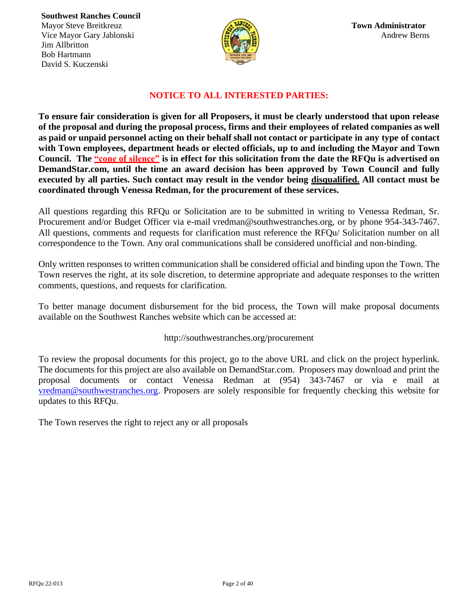**Southwest Ranches Council** Mayor Steve Breitkreuz **Town Administrator** Town Administrator Vice Mayor Gary Jablonski (Andrew Berns) and Andrew Berns Jim Allbritton Bob Hartmann David S. Kuczenski



# **NOTICE TO ALL INTERESTED PARTIES:**

**To ensure fair consideration is given for all Proposers, it must be clearly understood that upon release of the proposal and during the proposal process, firms and their employees of related companies as well as paid or unpaid personnel acting on their behalf shall not contact or participate in any type of contact with Town employees, department heads or elected officials, up to and including the Mayor and Town** Council. The "cone of silence" is in effect for this solicitation from the date the RFQu is advertised on **DemandStar.com, until the time an award decision has been approved by Town Council and fully executed by all parties. Such contact may result in the vendor being disqualified. All contact must be coordinated through Venessa Redman, for the procurement of these services.**

All questions regarding this RFQu or Solicitation are to be submitted in writing to Venessa Redman, Sr. Procurement and/or Budget Officer via e-mail vredman@southwestranches.org, or by phone 954-343-7467. All questions, comments and requests for clarification must reference the RFQu/ Solicitation number on all correspondence to the Town. Any oral communications shall be considered unofficial and non-binding.

Only written responses to written communication shall be considered official and binding upon the Town. The Town reserves the right, at its sole discretion, to determine appropriate and adequate responses to the written comments, questions, and requests for clarification.

To better manage document disbursement for the bid process, the Town will make proposal documents available on the Southwest Ranches website which can be accessed at:

http://southwestranches.org/procurement

To review the proposal documents for this project, go to the above URL and click on the project hyperlink. The documents for this project are also available on DemandStar.com. Proposers may download and print the proposal documents or contact Venessa Redman at (954) 343-7467 or via e mail at [vredman@southwestranches.org.](mailto:vredman@southwestranches.org) Proposers are solely responsible for frequently checking this website for updates to this RFQu.

The Town reserves the right to reject any or all proposals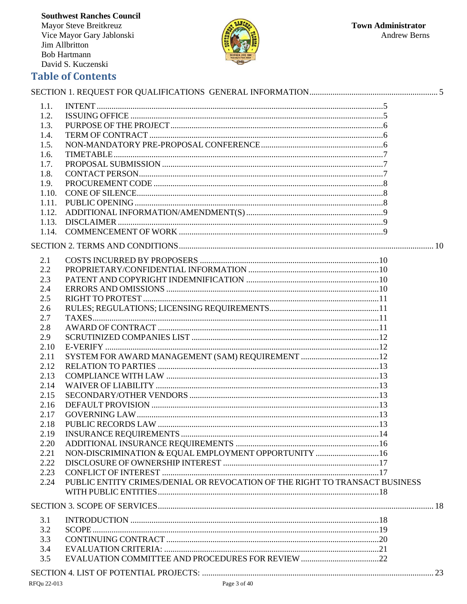# **Southwest Ranches Council** Mayor Steve Breitkreuz Vice Mayor Gary Jablonski Jim Allbritton **Bob Hartmann**



# David S. Kuczenski **Table of Contents**

| 1.1.  |                                                                             |  |
|-------|-----------------------------------------------------------------------------|--|
| 1.2.  |                                                                             |  |
| 1.3.  |                                                                             |  |
| 1.4.  |                                                                             |  |
| 1.5.  |                                                                             |  |
| 1.6.  |                                                                             |  |
| 1.7.  |                                                                             |  |
| 1.8.  |                                                                             |  |
| 1.9.  |                                                                             |  |
| 1.10. |                                                                             |  |
| 1.11. |                                                                             |  |
| 1.12. |                                                                             |  |
| 1.13. |                                                                             |  |
| 1.14. |                                                                             |  |
|       |                                                                             |  |
|       |                                                                             |  |
| 2.1   |                                                                             |  |
| 2.2   |                                                                             |  |
| 2.3   |                                                                             |  |
| 2.4   |                                                                             |  |
| 2.5   |                                                                             |  |
| 2.6   |                                                                             |  |
| 2.7   |                                                                             |  |
| 2.8   |                                                                             |  |
| 2.9   |                                                                             |  |
| 2.10  |                                                                             |  |
| 2.11  | SYSTEM FOR AWARD MANAGEMENT (SAM) REQUIREMENT 12                            |  |
| 2.12  |                                                                             |  |
| 2.13  |                                                                             |  |
| 2.14  |                                                                             |  |
| 2.15  |                                                                             |  |
| 2.16  |                                                                             |  |
| 2.17  |                                                                             |  |
| 2.18  |                                                                             |  |
| 2.19  |                                                                             |  |
| 2.20  |                                                                             |  |
| 2.21  | NON-DISCRIMINATION & EQUAL EMPLOYMENT OPPORTUNITY  16                       |  |
| 2.22  |                                                                             |  |
| 2.23  |                                                                             |  |
| 2.24  | PUBLIC ENTITY CRIMES/DENIAL OR REVOCATION OF THE RIGHT TO TRANSACT BUSINESS |  |
|       |                                                                             |  |
|       |                                                                             |  |
| 3.1   |                                                                             |  |
| 3.2   |                                                                             |  |
| 3.3   |                                                                             |  |
| 3.4   |                                                                             |  |
| 3.5   |                                                                             |  |
|       |                                                                             |  |
|       |                                                                             |  |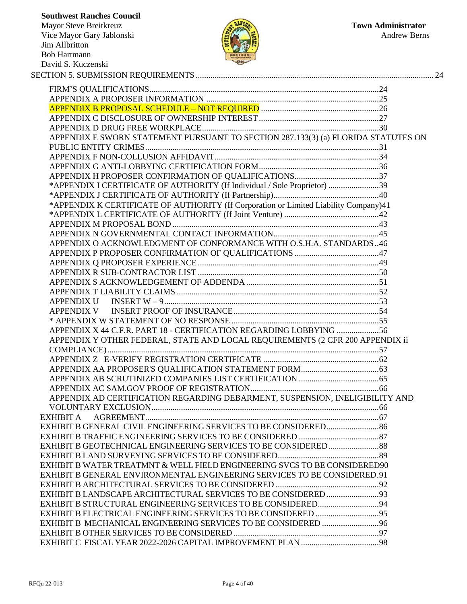Mayor Steve Breitkreuz **Town Administrator** Town Administrator Vice Mayor Gary Jablonski  $\left(\frac{1}{2}\right)$ Jim Allbritton Bob Hartmann David S. Kuczenski



| APPENDIX E SWORN STATEMENT PURSUANT TO SECTION 287.133(3) (a) FLORIDA STATUTES ON    |  |
|--------------------------------------------------------------------------------------|--|
|                                                                                      |  |
|                                                                                      |  |
|                                                                                      |  |
|                                                                                      |  |
| *APPENDIX I CERTIFICATE OF AUTHORITY (If Individual / Sole Proprietor) 39            |  |
|                                                                                      |  |
| *APPENDIX K CERTIFICATE OF AUTHORITY (If Corporation or Limited Liability Company)41 |  |
|                                                                                      |  |
|                                                                                      |  |
|                                                                                      |  |
| APPENDIX O ACKNOWLEDGMENT OF CONFORMANCE WITH O.S.H.A. STANDARDS46                   |  |
|                                                                                      |  |
|                                                                                      |  |
|                                                                                      |  |
|                                                                                      |  |
|                                                                                      |  |
| APPENDIX U                                                                           |  |
|                                                                                      |  |
|                                                                                      |  |
| APPENDIX X 44 C.F.R. PART 18 - CERTIFICATION REGARDING LOBBYING 56                   |  |
| APPENDIX Y OTHER FEDERAL, STATE AND LOCAL REQUIREMENTS (2 CFR 200 APPENDIX ii        |  |
|                                                                                      |  |
|                                                                                      |  |
|                                                                                      |  |
|                                                                                      |  |
|                                                                                      |  |
| APPENDIX AD CERTIFICATION REGARDING DEBARMENT, SUSPENSION, INELIGIBILITY AND         |  |
|                                                                                      |  |
| EXHIBIT A                                                                            |  |
|                                                                                      |  |
|                                                                                      |  |
|                                                                                      |  |
|                                                                                      |  |
| EXHIBIT B WATER TREATMNT & WELL FIELD ENGINEERING SVCS TO BE CONSIDERED90            |  |
| EXHIBIT B GENERAL ENVIRONMENTAL ENGINEERING SERVICES TO BE CONSIDERED.91             |  |
|                                                                                      |  |
|                                                                                      |  |
|                                                                                      |  |
|                                                                                      |  |
| EXHIBIT B MECHANICAL ENGINEERING SERVICES TO BE CONSIDERED  96                       |  |
|                                                                                      |  |
|                                                                                      |  |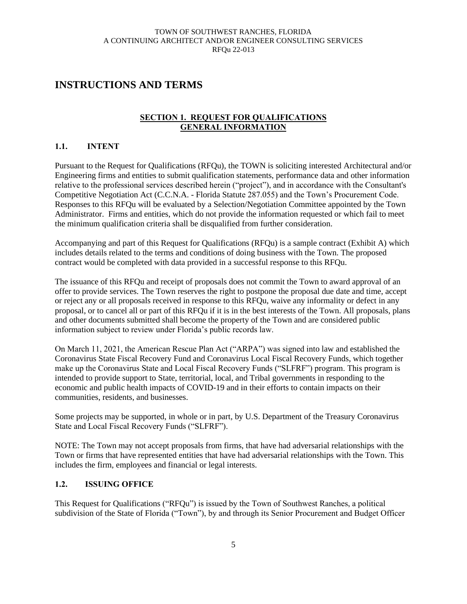# **INSTRUCTIONS AND TERMS**

# **SECTION 1. REQUEST FOR QUALIFICATIONS GENERAL INFORMATION**

# <span id="page-4-1"></span><span id="page-4-0"></span>**1.1. INTENT**

Pursuant to the Request for Qualifications (RFQu), the TOWN is soliciting interested Architectural and/or Engineering firms and entities to submit qualification statements, performance data and other information relative to the professional services described herein ("project"), and in accordance with the Consultant's Competitive Negotiation Act (C.C.N.A. - Florida Statute 287.055) and the Town's Procurement Code. Responses to this RFQu will be evaluated by a Selection/Negotiation Committee appointed by the Town Administrator. Firms and entities, which do not provide the information requested or which fail to meet the minimum qualification criteria shall be disqualified from further consideration.

Accompanying and part of this Request for Qualifications (RFQu) is a sample contract (Exhibit A) which includes details related to the terms and conditions of doing business with the Town. The proposed contract would be completed with data provided in a successful response to this RFQu.

The issuance of this RFQu and receipt of proposals does not commit the Town to award approval of an offer to provide services. The Town reserves the right to postpone the proposal due date and time, accept or reject any or all proposals received in response to this RFQu, waive any informality or defect in any proposal, or to cancel all or part of this RFQu if it is in the best interests of the Town. All proposals, plans and other documents submitted shall become the property of the Town and are considered public information subject to review under Florida's public records law.

On March 11, 2021, the American Rescue Plan Act ("ARPA") was signed into law and established the Coronavirus State Fiscal Recovery Fund and Coronavirus Local Fiscal Recovery Funds, which together make up the Coronavirus State and Local Fiscal Recovery Funds ("SLFRF") program. This program is intended to provide support to State, territorial, local, and Tribal governments in responding to the economic and public health impacts of COVID-19 and in their efforts to contain impacts on their communities, residents, and businesses.

Some projects may be supported, in whole or in part, by U.S. Department of the Treasury Coronavirus State and Local Fiscal Recovery Funds ("SLFRF").

NOTE: The Town may not accept proposals from firms, that have had adversarial relationships with the Town or firms that have represented entities that have had adversarial relationships with the Town. This includes the firm, employees and financial or legal interests.

## <span id="page-4-2"></span>**1.2. ISSUING OFFICE**

This Request for Qualifications ("RFQu") is issued by the Town of Southwest Ranches, a political subdivision of the State of Florida ("Town"), by and through its Senior Procurement and Budget Officer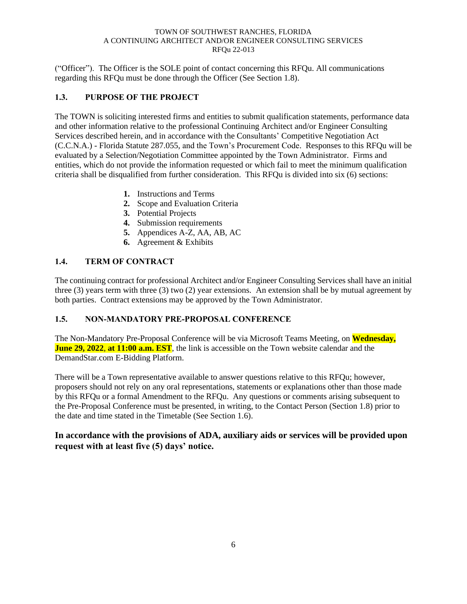("Officer"). The Officer is the SOLE point of contact concerning this RFQu. All communications regarding this RFQu must be done through the Officer (See Section 1.8).

# <span id="page-5-0"></span>**1.3. PURPOSE OF THE PROJECT**

The TOWN is soliciting interested firms and entities to submit qualification statements, performance data and other information relative to the professional Continuing Architect and/or Engineer Consulting Services described herein, and in accordance with the Consultants' Competitive Negotiation Act (C.C.N.A.) - Florida Statute 287.055, and the Town's Procurement Code. Responses to this RFQu will be evaluated by a Selection/Negotiation Committee appointed by the Town Administrator. Firms and entities, which do not provide the information requested or which fail to meet the minimum qualification criteria shall be disqualified from further consideration. This RFQu is divided into six (6) sections:

- **1.** Instructions and Terms
- **2.** Scope and Evaluation Criteria
- **3.** Potential Projects
- **4.** Submission requirements
- **5.** Appendices A-Z, AA, AB, AC
- **6.** Agreement & Exhibits

# <span id="page-5-1"></span>**1.4. TERM OF CONTRACT**

The continuing contract for professional Architect and/or Engineer Consulting Services shall have an initial three (3) years term with three (3) two (2) year extensions. An extension shall be by mutual agreement by both parties. Contract extensions may be approved by the Town Administrator.

# <span id="page-5-2"></span>**1.5. NON-MANDATORY PRE-PROPOSAL CONFERENCE**

The Non-Mandatory Pre-Proposal Conference will be via Microsoft Teams Meeting, on **Wednesday, June 29, 2022**, **at 11:00 a.m. EST**, the link is accessible on the Town website calendar and the DemandStar.com E-Bidding Platform.

There will be a Town representative available to answer questions relative to this RFQu; however, proposers should not rely on any oral representations, statements or explanations other than those made by this RFQu or a formal Amendment to the RFQu. Any questions or comments arising subsequent to the Pre-Proposal Conference must be presented, in writing, to the Contact Person (Section 1.8) prior to the date and time stated in the Timetable (See Section 1.6).

# **In accordance with the provisions of ADA, auxiliary aids or services will be provided upon request with at least five (5) days' notice.**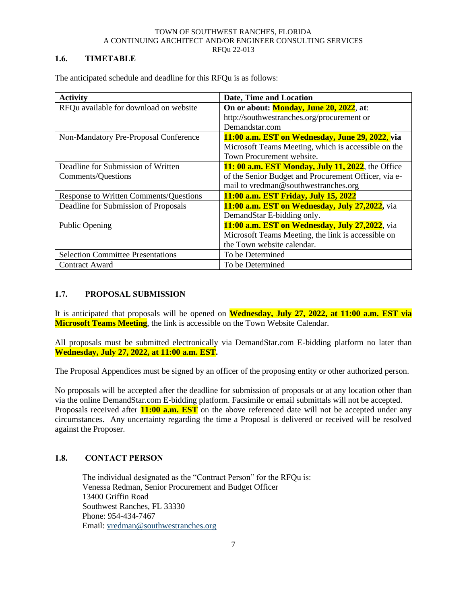# <span id="page-6-0"></span>**1.6. TIMETABLE**

| <b>Activity</b>                          | Date, Time and Location                              |
|------------------------------------------|------------------------------------------------------|
| RFQu available for download on website   | On or about: Monday, June 20, 2022, at:              |
|                                          | http://southwestranches.org/procurement or           |
|                                          | Demandstar.com                                       |
| Non-Mandatory Pre-Proposal Conference    | 11:00 a.m. EST on Wednesday, June 29, 2022, via      |
|                                          | Microsoft Teams Meeting, which is accessible on the  |
|                                          | Town Procurement website.                            |
| Deadline for Submission of Written       | 11: 00 a.m. EST Monday, July 11, 2022, the Office    |
| Comments/Questions                       | of the Senior Budget and Procurement Officer, via e- |
|                                          | mail to vredman@southwestranches.org                 |
| Response to Written Comments/Questions   | 11:00 a.m. EST Friday, July 15, 2022                 |
| Deadline for Submission of Proposals     | 11:00 a.m. EST on Wednesday, July 27,2022, via       |
|                                          | DemandStar E-bidding only.                           |
| <b>Public Opening</b>                    | 11:00 a.m. EST on Wednesday, July 27,2022, via       |
|                                          | Microsoft Teams Meeting, the link is accessible on   |
|                                          | the Town website calendar.                           |
| <b>Selection Committee Presentations</b> | To be Determined                                     |
| Contract Award                           | To be Determined                                     |

The anticipated schedule and deadline for this RFQu is as follows:

# <span id="page-6-1"></span>**1.7. PROPOSAL SUBMISSION**

It is anticipated that proposals will be opened on **Wednesday, July 27, 2022, at 11:00 a.m. EST via Microsoft Teams Meeting**, the link is accessible on the Town Website Calendar.

All proposals must be submitted electronically via DemandStar.com E-bidding platform no later than **Wednesday, July 27, 2022, at 11:00 a.m. EST.**

The Proposal Appendices must be signed by an officer of the proposing entity or other authorized person.

No proposals will be accepted after the deadline for submission of proposals or at any location other than via the online DemandStar.com E-bidding platform. Facsimile or email submittals will not be accepted. Proposals received after **11:00 a.m. EST** on the above referenced date will not be accepted under any circumstances. Any uncertainty regarding the time a Proposal is delivered or received will be resolved against the Proposer.

# <span id="page-6-2"></span>**1.8. CONTACT PERSON**

The individual designated as the "Contract Person" for the RFQu is: Venessa Redman, Senior Procurement and Budget Officer 13400 Griffin Road Southwest Ranches, FL 33330 Phone: 954-434-7467 Email: [vredman@southwestranches.org](mailto:vredman@southwestranches.org)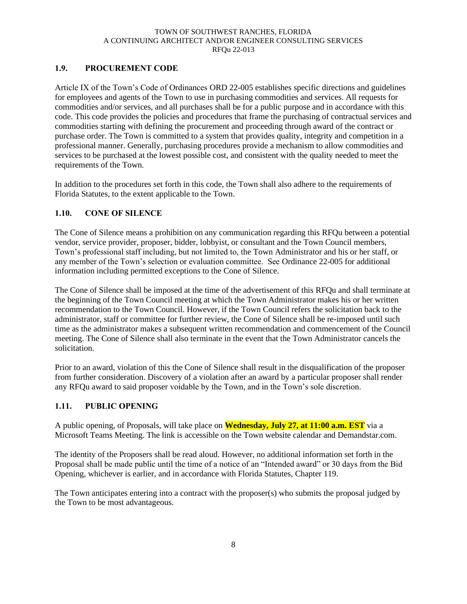# <span id="page-7-0"></span>**1.9. PROCUREMENT CODE**

Article IX of the Town's Code of Ordinances ORD 22-005 establishes specific directions and guidelines for employees and agents of the Town to use in purchasing commodities and services. All requests for commodities and/or services, and all purchases shall be for a public purpose and in accordance with this code. This code provides the policies and procedures that frame the purchasing of contractual services and commodities starting with defining the procurement and proceeding through award of the contract or purchase order. The Town is committed to a system that provides quality, integrity and competition in a professional manner. Generally, purchasing procedures provide a mechanism to allow commodities and services to be purchased at the lowest possible cost, and consistent with the quality needed to meet the requirements of the Town.

In addition to the procedures set forth in this code, the Town shall also adhere to the requirements of Florida Statutes, to the extent applicable to the Town.

# <span id="page-7-1"></span>**1.10. CONE OF SILENCE**

The Cone of Silence means a prohibition on any communication regarding this RFQu between a potential vendor, service provider, proposer, bidder, lobbyist, or consultant and the Town Council members, Town's professional staff including, but not limited to, the Town Administrator and his or her staff, or any member of the Town's selection or evaluation committee. See Ordinance 22-005 for additional information including permitted exceptions to the Cone of Silence.

The Cone of Silence shall be imposed at the time of the advertisement of this RFQu and shall terminate at the beginning of the Town Council meeting at which the Town Administrator makes his or her written recommendation to the Town Council. However, if the Town Council refers the solicitation back to the administrator, staff or committee for further review, the Cone of Silence shall be re-imposed until such time as the administrator makes a subsequent written recommendation and commencement of the Council meeting. The Cone of Silence shall also terminate in the event that the Town Administrator cancels the solicitation.

Prior to an award, violation of this the Cone of Silence shall result in the disqualification of the proposer from further consideration. Discovery of a violation after an award by a particular proposer shall render any RFQu award to said proposer voidable by the Town, and in the Town's sole discretion.

# <span id="page-7-2"></span>**1.11. PUBLIC OPENING**

A public opening, of Proposals, will take place on **Wednesday, July 27, at 11:00 a.m. EST** via a Microsoft Teams Meeting. The link is accessible on the Town website calendar and Demandstar.com.

The identity of the Proposers shall be read aloud. However, no additional information set forth in the Proposal shall be made public until the time of a notice of an "Intended award" or 30 days from the Bid Opening, whichever is earlier, and in accordance with Florida Statutes, Chapter 119.

The Town anticipates entering into a contract with the proposer(s) who submits the proposal judged by the Town to be most advantageous.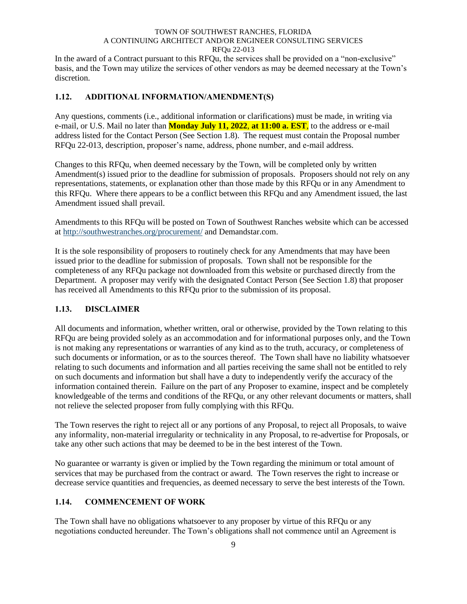In the award of a Contract pursuant to this RFQu, the services shall be provided on a "non-exclusive" basis, and the Town may utilize the services of other vendors as may be deemed necessary at the Town's discretion.

## <span id="page-8-0"></span>**1.12. ADDITIONAL INFORMATION/AMENDMENT(S)**

Any questions, comments (i.e., additional information or clarifications) must be made, in writing via e-mail, or U.S. Mail no later than **Monday July 11, 2022**, **at 11:00 a. EST**, to the address or e-mail address listed for the Contact Person (See Section 1.8). The request must contain the Proposal number RFQu 22-013, description, proposer's name, address, phone number, and e-mail address.

Changes to this RFQu, when deemed necessary by the Town, will be completed only by written Amendment(s) issued prior to the deadline for submission of proposals. Proposers should not rely on any representations, statements, or explanation other than those made by this RFQu or in any Amendment to this RFQu. Where there appears to be a conflict between this RFQu and any Amendment issued, the last Amendment issued shall prevail.

Amendments to this RFQu will be posted on Town of Southwest Ranches website which can be accessed at<http://southwestranches.org/procurement/> and Demandstar.com.

It is the sole responsibility of proposers to routinely check for any Amendments that may have been issued prior to the deadline for submission of proposals. Town shall not be responsible for the completeness of any RFQu package not downloaded from this website or purchased directly from the Department. A proposer may verify with the designated Contact Person (See Section 1.8) that proposer has received all Amendments to this RFQu prior to the submission of its proposal.

#### <span id="page-8-1"></span>**1.13. DISCLAIMER**

All documents and information, whether written, oral or otherwise, provided by the Town relating to this RFQu are being provided solely as an accommodation and for informational purposes only, and the Town is not making any representations or warranties of any kind as to the truth, accuracy, or completeness of such documents or information, or as to the sources thereof. The Town shall have no liability whatsoever relating to such documents and information and all parties receiving the same shall not be entitled to rely on such documents and information but shall have a duty to independently verify the accuracy of the information contained therein. Failure on the part of any Proposer to examine, inspect and be completely knowledgeable of the terms and conditions of the RFQu, or any other relevant documents or matters, shall not relieve the selected proposer from fully complying with this RFQu.

The Town reserves the right to reject all or any portions of any Proposal, to reject all Proposals, to waive any informality, non-material irregularity or technicality in any Proposal, to re-advertise for Proposals, or take any other such actions that may be deemed to be in the best interest of the Town.

No guarantee or warranty is given or implied by the Town regarding the minimum or total amount of services that may be purchased from the contract or award. The Town reserves the right to increase or decrease service quantities and frequencies, as deemed necessary to serve the best interests of the Town.

#### <span id="page-8-2"></span>**1.14. COMMENCEMENT OF WORK**

The Town shall have no obligations whatsoever to any proposer by virtue of this RFQu or any negotiations conducted hereunder. The Town's obligations shall not commence until an Agreement is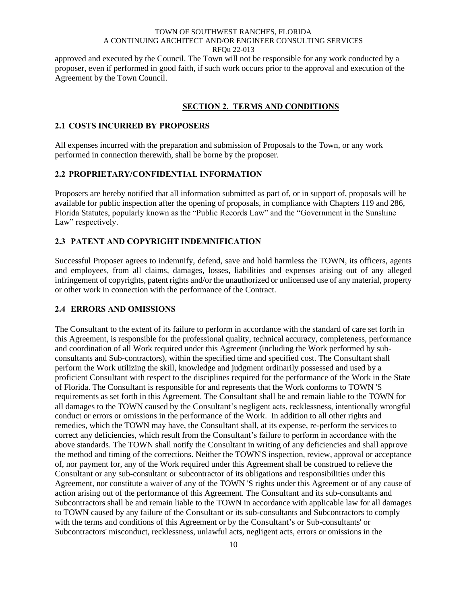approved and executed by the Council. The Town will not be responsible for any work conducted by a proposer, even if performed in good faith, if such work occurs prior to the approval and execution of the Agreement by the Town Council.

#### <span id="page-9-0"></span>**SECTION 2. TERMS AND CONDITIONS**

#### <span id="page-9-1"></span>**2.1 COSTS INCURRED BY PROPOSERS**

All expenses incurred with the preparation and submission of Proposals to the Town, or any work performed in connection therewith, shall be borne by the proposer.

#### <span id="page-9-2"></span>**2.2 PROPRIETARY/CONFIDENTIAL INFORMATION**

Proposers are hereby notified that all information submitted as part of, or in support of, proposals will be available for public inspection after the opening of proposals, in compliance with Chapters 119 and 286, Florida Statutes, popularly known as the "Public Records Law" and the "Government in the Sunshine Law" respectively.

### <span id="page-9-3"></span>**2.3 PATENT AND COPYRIGHT INDEMNIFICATION**

Successful Proposer agrees to indemnify, defend, save and hold harmless the TOWN, its officers, agents and employees, from all claims, damages, losses, liabilities and expenses arising out of any alleged infringement of copyrights, patent rights and/or the unauthorized or unlicensed use of any material, property or other work in connection with the performance of the Contract.

#### <span id="page-9-4"></span>**2.4 ERRORS AND OMISSIONS**

The Consultant to the extent of its failure to perform in accordance with the standard of care set forth in this Agreement, is responsible for the professional quality, technical accuracy, completeness, performance and coordination of all Work required under this Agreement (including the Work performed by subconsultants and Sub-contractors), within the specified time and specified cost. The Consultant shall perform the Work utilizing the skill, knowledge and judgment ordinarily possessed and used by a proficient Consultant with respect to the disciplines required for the performance of the Work in the State of Florida. The Consultant is responsible for and represents that the Work conforms to TOWN 'S requirements as set forth in this Agreement. The Consultant shall be and remain liable to the TOWN for all damages to the TOWN caused by the Consultant's negligent acts, recklessness, intentionally wrongful conduct or errors or omissions in the performance of the Work. In addition to all other rights and remedies, which the TOWN may have, the Consultant shall, at its expense, re-perform the services to correct any deficiencies, which result from the Consultant's failure to perform in accordance with the above standards. The TOWN shall notify the Consultant in writing of any deficiencies and shall approve the method and timing of the corrections. Neither the TOWN'S inspection, review, approval or acceptance of, nor payment for, any of the Work required under this Agreement shall be construed to relieve the Consultant or any sub-consultant or subcontractor of its obligations and responsibilities under this Agreement, nor constitute a waiver of any of the TOWN 'S rights under this Agreement or of any cause of action arising out of the performance of this Agreement. The Consultant and its sub-consultants and Subcontractors shall be and remain liable to the TOWN in accordance with applicable law for all damages to TOWN caused by any failure of the Consultant or its sub-consultants and Subcontractors to comply with the terms and conditions of this Agreement or by the Consultant's or Sub-consultants' or Subcontractors' misconduct, recklessness, unlawful acts, negligent acts, errors or omissions in the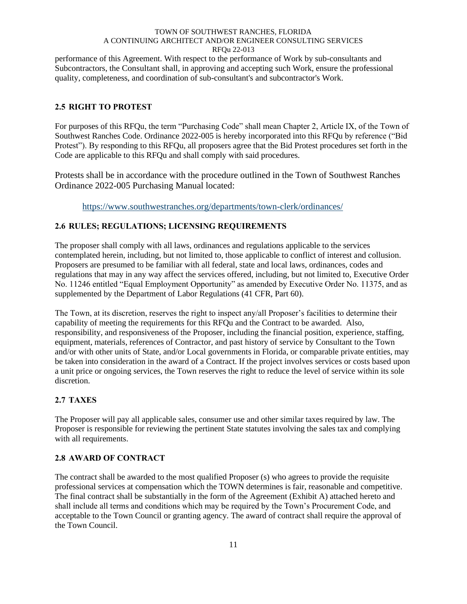performance of this Agreement. With respect to the performance of Work by sub-consultants and Subcontractors, the Consultant shall, in approving and accepting such Work, ensure the professional quality, completeness, and coordination of sub-consultant's and subcontractor's Work.

# <span id="page-10-0"></span>**2.5 RIGHT TO PROTEST**

For purposes of this RFQu, the term "Purchasing Code" shall mean Chapter 2, Article IX, of the Town of Southwest Ranches Code. Ordinance 2022-005 is hereby incorporated into this RFQu by reference ("Bid Protest"). By responding to this RFQu, all proposers agree that the Bid Protest procedures set forth in the Code are applicable to this RFQu and shall comply with said procedures.

Protests shall be in accordance with the procedure outlined in the Town of Southwest Ranches Ordinance 2022-005 Purchasing Manual located:

<https://www.southwestranches.org/departments/town-clerk/ordinances/>

# <span id="page-10-1"></span>**2.6 RULES; REGULATIONS; LICENSING REQUIREMENTS**

The proposer shall comply with all laws, ordinances and regulations applicable to the services contemplated herein, including, but not limited to, those applicable to conflict of interest and collusion. Proposers are presumed to be familiar with all federal, state and local laws, ordinances, codes and regulations that may in any way affect the services offered, including, but not limited to, Executive Order No. 11246 entitled "Equal Employment Opportunity" as amended by Executive Order No. 11375, and as supplemented by the Department of Labor Regulations (41 CFR, Part 60).

The Town, at its discretion, reserves the right to inspect any/all Proposer's facilities to determine their capability of meeting the requirements for this RFQu and the Contract to be awarded. Also, responsibility, and responsiveness of the Proposer, including the financial position, experience, staffing, equipment, materials, references of Contractor, and past history of service by Consultant to the Town and/or with other units of State, and/or Local governments in Florida, or comparable private entities, may be taken into consideration in the award of a Contract. If the project involves services or costs based upon a unit price or ongoing services, the Town reserves the right to reduce the level of service within its sole discretion.

# <span id="page-10-2"></span>**2.7 TAXES**

The Proposer will pay all applicable sales, consumer use and other similar taxes required by law. The Proposer is responsible for reviewing the pertinent State statutes involving the sales tax and complying with all requirements.

#### <span id="page-10-3"></span>**2.8 AWARD OF CONTRACT**

The contract shall be awarded to the most qualified Proposer (s) who agrees to provide the requisite professional services at compensation which the TOWN determines is fair, reasonable and competitive. The final contract shall be substantially in the form of the Agreement (Exhibit A) attached hereto and shall include all terms and conditions which may be required by the Town's Procurement Code, and acceptable to the Town Council or granting agency. The award of contract shall require the approval of the Town Council.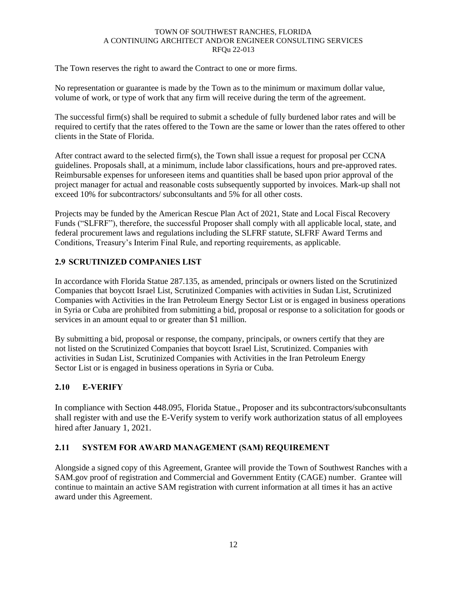The Town reserves the right to award the Contract to one or more firms.

No representation or guarantee is made by the Town as to the minimum or maximum dollar value, volume of work, or type of work that any firm will receive during the term of the agreement.

The successful firm(s) shall be required to submit a schedule of fully burdened labor rates and will be required to certify that the rates offered to the Town are the same or lower than the rates offered to other clients in the State of Florida.

After contract award to the selected firm(s), the Town shall issue a request for proposal per CCNA guidelines. Proposals shall, at a minimum, include labor classifications, hours and pre-approved rates. Reimbursable expenses for unforeseen items and quantities shall be based upon prior approval of the project manager for actual and reasonable costs subsequently supported by invoices. Mark-up shall not exceed 10% for subcontractors/ subconsultants and 5% for all other costs.

Projects may be funded by the American Rescue Plan Act of 2021, State and Local Fiscal Recovery Funds ("SLFRF"), therefore, the successful Proposer shall comply with all applicable local, state, and federal procurement laws and regulations including the SLFRF statute, SLFRF Award Terms and Conditions, Treasury's Interim Final Rule, and reporting requirements, as applicable.

# <span id="page-11-0"></span>**2.9 SCRUTINIZED COMPANIES LIST**

In accordance with Florida Statue 287.135, as amended, principals or owners listed on the Scrutinized Companies that boycott Israel List, Scrutinized Companies with activities in Sudan List, Scrutinized Companies with Activities in the Iran Petroleum Energy Sector List or is engaged in business operations in Syria or Cuba are prohibited from submitting a bid, proposal or response to a solicitation for goods or services in an amount equal to or greater than \$1 million.

By submitting a bid, proposal or response, the company, principals, or owners certify that they are not listed on the Scrutinized Companies that boycott Israel List, Scrutinized. Companies with activities in Sudan List, Scrutinized Companies with Activities in the Iran Petroleum Energy Sector List or is engaged in business operations in Syria or Cuba.

#### <span id="page-11-1"></span>**2.10 E-VERIFY**

In compliance with Section 448.095, Florida Statue., Proposer and its subcontractors/subconsultants shall register with and use the E-Verify system to verify work authorization status of all employees hired after January 1, 2021.

#### <span id="page-11-2"></span>**2.11 SYSTEM FOR AWARD MANAGEMENT (SAM) REQUIREMENT**

Alongside a signed copy of this Agreement, Grantee will provide the Town of Southwest Ranches with a SAM.gov proof of registration and Commercial and Government Entity (CAGE) number. Grantee will continue to maintain an active SAM registration with current information at all times it has an active award under this Agreement.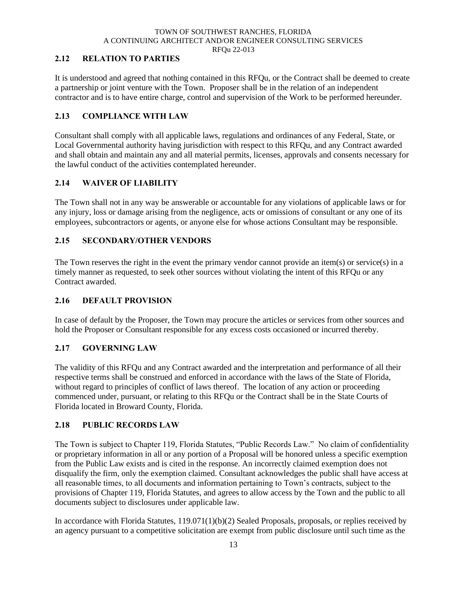RFQu 22-013

# <span id="page-12-0"></span>**2.12 RELATION TO PARTIES**

It is understood and agreed that nothing contained in this RFQu, or the Contract shall be deemed to create a partnership or joint venture with the Town. Proposer shall be in the relation of an independent contractor and is to have entire charge, control and supervision of the Work to be performed hereunder.

### <span id="page-12-1"></span>**2.13 COMPLIANCE WITH LAW**

Consultant shall comply with all applicable laws, regulations and ordinances of any Federal, State, or Local Governmental authority having jurisdiction with respect to this RFQu, and any Contract awarded and shall obtain and maintain any and all material permits, licenses, approvals and consents necessary for the lawful conduct of the activities contemplated hereunder.

#### <span id="page-12-2"></span>**2.14 WAIVER OF LIABILITY**

The Town shall not in any way be answerable or accountable for any violations of applicable laws or for any injury, loss or damage arising from the negligence, acts or omissions of consultant or any one of its employees, subcontractors or agents, or anyone else for whose actions Consultant may be responsible.

# <span id="page-12-3"></span>**2.15 SECONDARY/OTHER VENDORS**

The Town reserves the right in the event the primary vendor cannot provide an item(s) or service(s) in a timely manner as requested, to seek other sources without violating the intent of this RFQu or any Contract awarded.

### <span id="page-12-4"></span>**2.16 DEFAULT PROVISION**

In case of default by the Proposer, the Town may procure the articles or services from other sources and hold the Proposer or Consultant responsible for any excess costs occasioned or incurred thereby.

# <span id="page-12-5"></span>**2.17 GOVERNING LAW**

The validity of this RFQu and any Contract awarded and the interpretation and performance of all their respective terms shall be construed and enforced in accordance with the laws of the State of Florida, without regard to principles of conflict of laws thereof. The location of any action or proceeding commenced under, pursuant, or relating to this RFQu or the Contract shall be in the State Courts of Florida located in Broward County, Florida.

#### <span id="page-12-6"></span>**2.18 PUBLIC RECORDS LAW**

The Town is subject to Chapter 119, Florida Statutes, "Public Records Law." No claim of confidentiality or proprietary information in all or any portion of a Proposal will be honored unless a specific exemption from the Public Law exists and is cited in the response. An incorrectly claimed exemption does not disqualify the firm, only the exemption claimed. Consultant acknowledges the public shall have access at all reasonable times, to all documents and information pertaining to Town's contracts, subject to the provisions of Chapter 119, Florida Statutes, and agrees to allow access by the Town and the public to all documents subject to disclosures under applicable law.

In accordance with Florida Statutes, 119.071(1)(b)(2) Sealed Proposals, proposals, or replies received by an agency pursuant to a competitive solicitation are exempt from public disclosure until such time as the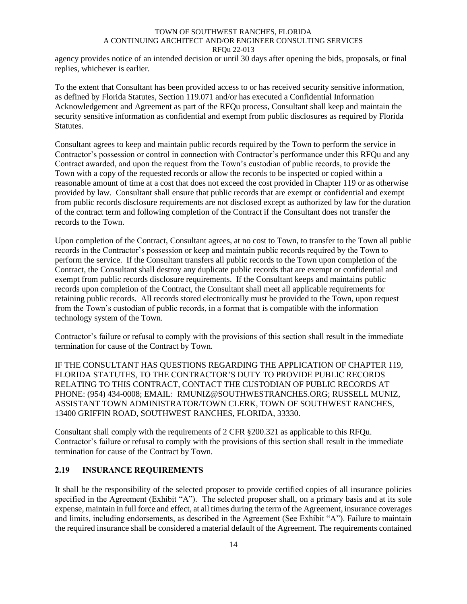agency provides notice of an intended decision or until 30 days after opening the bids, proposals, or final replies, whichever is earlier.

To the extent that Consultant has been provided access to or has received security sensitive information, as defined by Florida Statutes, Section 119.071 and/or has executed a Confidential Information Acknowledgement and Agreement as part of the RFQu process, Consultant shall keep and maintain the security sensitive information as confidential and exempt from public disclosures as required by Florida Statutes.

Consultant agrees to keep and maintain public records required by the Town to perform the service in Contractor's possession or control in connection with Contractor's performance under this RFQu and any Contract awarded, and upon the request from the Town's custodian of public records, to provide the Town with a copy of the requested records or allow the records to be inspected or copied within a reasonable amount of time at a cost that does not exceed the cost provided in Chapter 119 or as otherwise provided by law. Consultant shall ensure that public records that are exempt or confidential and exempt from public records disclosure requirements are not disclosed except as authorized by law for the duration of the contract term and following completion of the Contract if the Consultant does not transfer the records to the Town.

Upon completion of the Contract, Consultant agrees, at no cost to Town, to transfer to the Town all public records in the Contractor's possession or keep and maintain public records required by the Town to perform the service. If the Consultant transfers all public records to the Town upon completion of the Contract, the Consultant shall destroy any duplicate public records that are exempt or confidential and exempt from public records disclosure requirements. If the Consultant keeps and maintains public records upon completion of the Contract, the Consultant shall meet all applicable requirements for retaining public records. All records stored electronically must be provided to the Town, upon request from the Town's custodian of public records, in a format that is compatible with the information technology system of the Town.

Contractor's failure or refusal to comply with the provisions of this section shall result in the immediate termination for cause of the Contract by Town.

IF THE CONSULTANT HAS QUESTIONS REGARDING THE APPLICATION OF CHAPTER 119, FLORIDA STATUTES, TO THE CONTRACTOR'S DUTY TO PROVIDE PUBLIC RECORDS RELATING TO THIS CONTRACT, CONTACT THE CUSTODIAN OF PUBLIC RECORDS AT PHONE: (954) 434-0008; EMAIL: RMUNIZ@SOUTHWESTRANCHES.ORG; RUSSELL MUNIZ, ASSISTANT TOWN ADMINISTRATOR/TOWN CLERK, TOWN OF SOUTHWEST RANCHES, 13400 GRIFFIN ROAD, SOUTHWEST RANCHES, FLORIDA, 33330.

Consultant shall comply with the requirements of 2 CFR §200.321 as applicable to this RFQu. Contractor's failure or refusal to comply with the provisions of this section shall result in the immediate termination for cause of the Contract by Town.

### <span id="page-13-0"></span>**2.19 INSURANCE REQUIREMENTS**

It shall be the responsibility of the selected proposer to provide certified copies of all insurance policies specified in the Agreement (Exhibit "A"). The selected proposer shall, on a primary basis and at its sole expense, maintain in full force and effect, at all times during the term of the Agreement, insurance coverages and limits, including endorsements, as described in the Agreement (See Exhibit "A"). Failure to maintain the required insurance shall be considered a material default of the Agreement. The requirements contained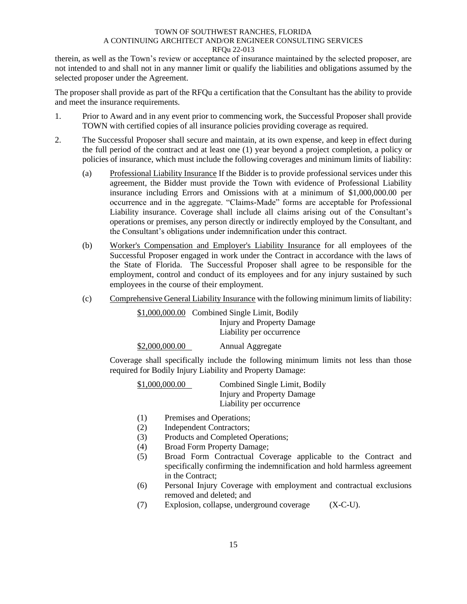therein, as well as the Town's review or acceptance of insurance maintained by the selected proposer, are not intended to and shall not in any manner limit or qualify the liabilities and obligations assumed by the selected proposer under the Agreement.

The proposer shall provide as part of the RFQu a certification that the Consultant has the ability to provide and meet the insurance requirements.

- 1. Prior to Award and in any event prior to commencing work, the Successful Proposer shall provide TOWN with certified copies of all insurance policies providing coverage as required.
- 2. The Successful Proposer shall secure and maintain, at its own expense, and keep in effect during the full period of the contract and at least one (1) year beyond a project completion, a policy or policies of insurance, which must include the following coverages and minimum limits of liability:
	- (a) Professional Liability Insurance If the Bidder is to provide professional services under this agreement, the Bidder must provide the Town with evidence of Professional Liability insurance including Errors and Omissions with at a minimum of \$1,000,000.00 per occurrence and in the aggregate. "Claims-Made" forms are acceptable for Professional Liability insurance. Coverage shall include all claims arising out of the Consultant's operations or premises, any person directly or indirectly employed by the Consultant, and the Consultant's obligations under indemnification under this contract.
	- (b) Worker's Compensation and Employer's Liability Insurance for all employees of the Successful Proposer engaged in work under the Contract in accordance with the laws of the State of Florida. The Successful Proposer shall agree to be responsible for the employment, control and conduct of its employees and for any injury sustained by such employees in the course of their employment.
	- (c) Comprehensive General Liability Insurance with the following minimum limits of liability:

|                | \$1,000,000.00 Combined Single Limit, Bodily |
|----------------|----------------------------------------------|
|                | Injury and Property Damage                   |
|                | Liability per occurrence                     |
| \$2,000,000.00 | Annual Aggregate                             |

Coverage shall specifically include the following minimum limits not less than those required for Bodily Injury Liability and Property Damage:

| \$1,000,000.00 | Combined Single Limit, Bodily |
|----------------|-------------------------------|
|                | Injury and Property Damage    |
|                | Liability per occurrence      |

- (1) Premises and Operations;
- (2) Independent Contractors;
- (3) Products and Completed Operations;
- (4) Broad Form Property Damage;
- (5) Broad Form Contractual Coverage applicable to the Contract and specifically confirming the indemnification and hold harmless agreement in the Contract;
- (6) Personal Injury Coverage with employment and contractual exclusions removed and deleted; and
- (7) Explosion, collapse, underground coverage (X-C-U).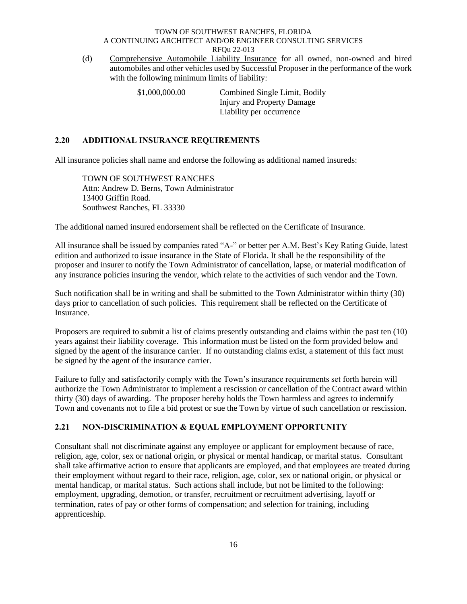(d) Comprehensive Automobile Liability Insurance for all owned, non-owned and hired automobiles and other vehicles used by Successful Proposer in the performance of the work with the following minimum limits of liability:

\$1,000,000.00 Combined Single Limit, Bodily Injury and Property Damage Liability per occurrence

# <span id="page-15-0"></span>**2.20 ADDITIONAL INSURANCE REQUIREMENTS**

All insurance policies shall name and endorse the following as additional named insureds:

TOWN OF SOUTHWEST RANCHES Attn: Andrew D. Berns, Town Administrator 13400 Griffin Road. Southwest Ranches, FL 33330

The additional named insured endorsement shall be reflected on the Certificate of Insurance.

All insurance shall be issued by companies rated "A-" or better per A.M. Best's Key Rating Guide, latest edition and authorized to issue insurance in the State of Florida. It shall be the responsibility of the proposer and insurer to notify the Town Administrator of cancellation, lapse, or material modification of any insurance policies insuring the vendor, which relate to the activities of such vendor and the Town.

Such notification shall be in writing and shall be submitted to the Town Administrator within thirty (30) days prior to cancellation of such policies. This requirement shall be reflected on the Certificate of Insurance.

Proposers are required to submit a list of claims presently outstanding and claims within the past ten (10) years against their liability coverage. This information must be listed on the form provided below and signed by the agent of the insurance carrier. If no outstanding claims exist, a statement of this fact must be signed by the agent of the insurance carrier.

Failure to fully and satisfactorily comply with the Town's insurance requirements set forth herein will authorize the Town Administrator to implement a rescission or cancellation of the Contract award within thirty (30) days of awarding. The proposer hereby holds the Town harmless and agrees to indemnify Town and covenants not to file a bid protest or sue the Town by virtue of such cancellation or rescission.

# <span id="page-15-1"></span>**2.21 NON-DISCRIMINATION & EQUAL EMPLOYMENT OPPORTUNITY**

Consultant shall not discriminate against any employee or applicant for employment because of race, religion, age, color, sex or national origin, or physical or mental handicap, or marital status. Consultant shall take affirmative action to ensure that applicants are employed, and that employees are treated during their employment without regard to their race, religion, age, color, sex or national origin, or physical or mental handicap, or marital status. Such actions shall include, but not be limited to the following: employment, upgrading, demotion, or transfer, recruitment or recruitment advertising, layoff or termination, rates of pay or other forms of compensation; and selection for training, including apprenticeship.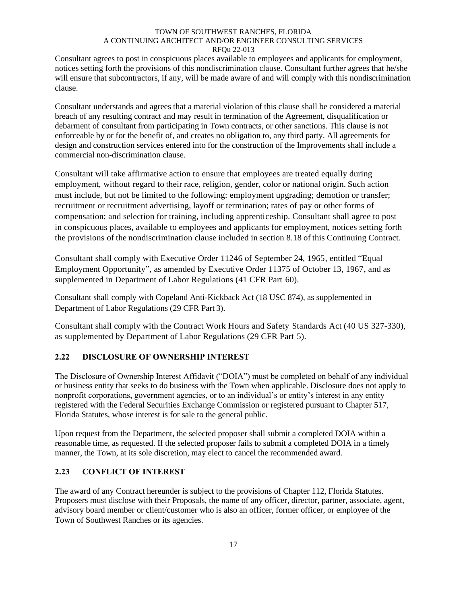Consultant agrees to post in conspicuous places available to employees and applicants for employment, notices setting forth the provisions of this nondiscrimination clause. Consultant further agrees that he/she will ensure that subcontractors, if any, will be made aware of and will comply with this nondiscrimination clause.

Consultant understands and agrees that a material violation of this clause shall be considered a material breach of any resulting contract and may result in termination of the Agreement, disqualification or debarment of consultant from participating in Town contracts, or other sanctions. This clause is not enforceable by or for the benefit of, and creates no obligation to, any third party. All agreements for design and construction services entered into for the construction of the Improvements shall include a commercial non-discrimination clause.

Consultant will take affirmative action to ensure that employees are treated equally during employment, without regard to their race, religion, gender, color or national origin. Such action must include, but not be limited to the following: employment upgrading; demotion or transfer; recruitment or recruitment advertising, layoff or termination; rates of pay or other forms of compensation; and selection for training, including apprenticeship. Consultant shall agree to post in conspicuous places, available to employees and applicants for employment, notices setting forth the provisions of the nondiscrimination clause included in section 8.18 of this Continuing Contract.

Consultant shall comply with Executive Order 11246 of September 24, 1965, entitled "Equal Employment Opportunity", as amended by Executive Order 11375 of October 13, 1967, and as supplemented in Department of Labor Regulations (41 CFR Part 60).

Consultant shall comply with Copeland Anti-Kickback Act (18 USC 874), as supplemented in Department of Labor Regulations (29 CFR Part 3).

Consultant shall comply with the Contract Work Hours and Safety Standards Act (40 US 327-330), as supplemented by Department of Labor Regulations (29 CFR Part 5).

# <span id="page-16-0"></span>**2.22 DISCLOSURE OF OWNERSHIP INTEREST**

The Disclosure of Ownership Interest Affidavit ("DOIA") must be completed on behalf of any individual or business entity that seeks to do business with the Town when applicable. Disclosure does not apply to nonprofit corporations, government agencies, or to an individual's or entity's interest in any entity registered with the Federal Securities Exchange Commission or registered pursuant to Chapter 517, Florida Statutes, whose interest is for sale to the general public.

Upon request from the Department, the selected proposer shall submit a completed DOIA within a reasonable time, as requested. If the selected proposer fails to submit a completed DOIA in a timely manner, the Town, at its sole discretion, may elect to cancel the recommended award.

# <span id="page-16-1"></span>**2.23 CONFLICT OF INTEREST**

The award of any Contract hereunder is subject to the provisions of Chapter 112, Florida Statutes. Proposers must disclose with their Proposals, the name of any officer, director, partner, associate, agent, advisory board member or client/customer who is also an officer, former officer, or employee of the Town of Southwest Ranches or its agencies.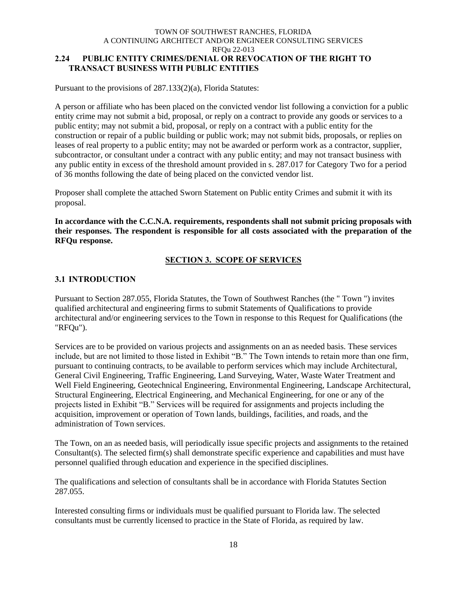#### <span id="page-17-0"></span>TOWN OF SOUTHWEST RANCHES, FLORIDA A CONTINUING ARCHITECT AND/OR ENGINEER CONSULTING SERVICES RFQu 22-013 **2.24 PUBLIC ENTITY CRIMES/DENIAL OR REVOCATION OF THE RIGHT TO TRANSACT BUSINESS WITH PUBLIC ENTITIES**

Pursuant to the provisions of 287.133(2)(a), Florida Statutes:

A person or affiliate who has been placed on the convicted vendor list following a conviction for a public entity crime may not submit a bid, proposal, or reply on a contract to provide any goods or services to a public entity; may not submit a bid, proposal, or reply on a contract with a public entity for the construction or repair of a public building or public work; may not submit bids, proposals, or replies on leases of real property to a public entity; may not be awarded or perform work as a contractor, supplier, subcontractor, or consultant under a contract with any public entity; and may not transact business with any public entity in excess of the threshold amount provided in s. 287.017 for Category Two for a period of 36 months following the date of being placed on the convicted vendor list.

Proposer shall complete the attached Sworn Statement on Public entity Crimes and submit it with its proposal.

**In accordance with the C.C.N.A. requirements, respondents shall not submit pricing proposals with their responses. The respondent is responsible for all costs associated with the preparation of the RFQu response.**

### **SECTION 3. SCOPE OF SERVICES**

#### <span id="page-17-2"></span><span id="page-17-1"></span>**3.1 INTRODUCTION**

Pursuant to Section 287.055, Florida Statutes, the Town of Southwest Ranches (the " Town ") invites qualified architectural and engineering firms to submit Statements of Qualifications to provide architectural and/or engineering services to the Town in response to this Request for Qualifications (the "RFQu").

Services are to be provided on various projects and assignments on an as needed basis. These services include, but are not limited to those listed in Exhibit "B." The Town intends to retain more than one firm, pursuant to continuing contracts, to be available to perform services which may include Architectural, General Civil Engineering, Traffic Engineering, Land Surveying, Water, Waste Water Treatment and Well Field Engineering, Geotechnical Engineering, Environmental Engineering, Landscape Architectural, Structural Engineering, Electrical Engineering, and Mechanical Engineering, for one or any of the projects listed in Exhibit "B." Services will be required for assignments and projects including the acquisition, improvement or operation of Town lands, buildings, facilities, and roads, and the administration of Town services.

The Town, on an as needed basis, will periodically issue specific projects and assignments to the retained Consultant(s). The selected firm(s) shall demonstrate specific experience and capabilities and must have personnel qualified through education and experience in the specified disciplines.

The qualifications and selection of consultants shall be in accordance with Florida Statutes Section 287.055.

Interested consulting firms or individuals must be qualified pursuant to Florida law. The selected consultants must be currently licensed to practice in the State of Florida, as required by law.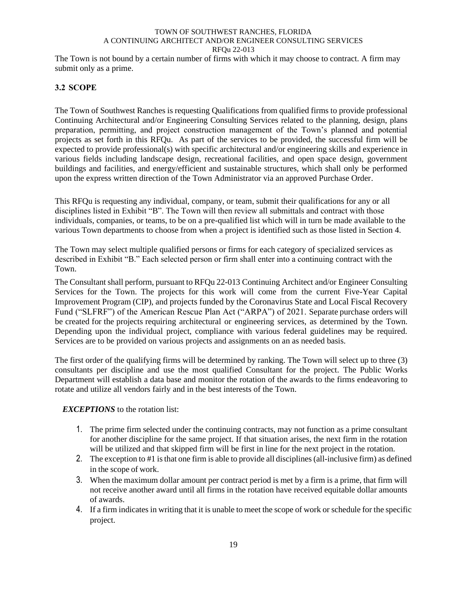The Town is not bound by a certain number of firms with which it may choose to contract. A firm may submit only as a prime.

# <span id="page-18-0"></span>**3.2 SCOPE**

The Town of Southwest Ranches is requesting Qualifications from qualified firms to provide professional Continuing Architectural and/or Engineering Consulting Services related to the planning, design, plans preparation, permitting, and project construction management of the Town's planned and potential projects as set forth in this RFQu. As part of the services to be provided, the successful firm will be expected to provide professional(s) with specific architectural and/or engineering skills and experience in various fields including landscape design, recreational facilities, and open space design, government buildings and facilities, and energy/efficient and sustainable structures, which shall only be performed upon the express written direction of the Town Administrator via an approved Purchase Order.

This RFQu is requesting any individual, company, or team, submit their qualifications for any or all disciplines listed in Exhibit "B". The Town will then review all submittals and contract with those individuals, companies, or teams, to be on a pre-qualified list which will in turn be made available to the various Town departments to choose from when a project is identified such as those listed in Section 4.

The Town may select multiple qualified persons or firms for each category of specialized services as described in Exhibit "B." Each selected person or firm shall enter into a continuing contract with the Town.

The Consultant shall perform, pursuant to RFQu 22-013 Continuing Architect and/or Engineer Consulting Services for the Town. The projects for this work will come from the current Five-Year Capital Improvement Program (CIP), and projects funded by the Coronavirus State and Local Fiscal Recovery Fund ("SLFRF") of the American Rescue Plan Act ("ARPA") of 2021. Separate purchase orders will be created for the projects requiring architectural or engineering services, as determined by the Town. Depending upon the individual project, compliance with various federal guidelines may be required. Services are to be provided on various projects and assignments on an as needed basis.

The first order of the qualifying firms will be determined by ranking. The Town will select up to three (3) consultants per discipline and use the most qualified Consultant for the project. The Public Works Department will establish a data base and monitor the rotation of the awards to the firms endeavoring to rotate and utilize all vendors fairly and in the best interests of the Town.

*EXCEPTIONS* to the rotation list:

- 1. The prime firm selected under the continuing contracts, may not function as a prime consultant for another discipline for the same project. If that situation arises, the next firm in the rotation will be utilized and that skipped firm will be first in line for the next project in the rotation.
- 2. The exception to #1 is that one firm is able to provide all disciplines (all-inclusive firm) as defined in the scope of work.
- 3. When the maximum dollar amount per contract period is met by a firm is a prime, that firm will not receive another award until all firms in the rotation have received equitable dollar amounts of awards.
- 4. If a firm indicates in writing that it is unable to meet the scope of work or schedule for the specific project.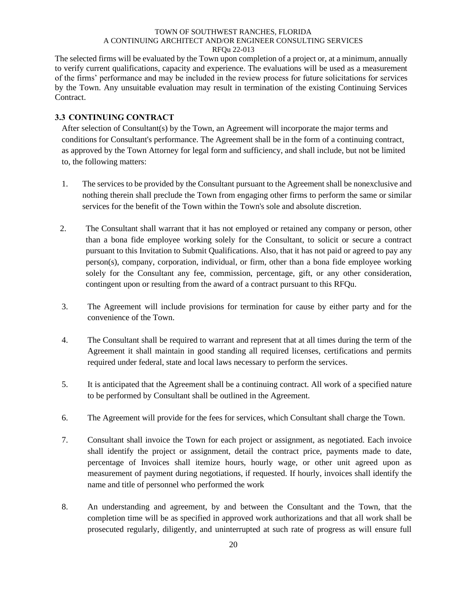The selected firms will be evaluated by the Town upon completion of a project or, at a minimum, annually to verify current qualifications, capacity and experience. The evaluations will be used as a measurement of the firms' performance and may be included in the review process for future solicitations for services by the Town. Any unsuitable evaluation may result in termination of the existing Continuing Services Contract.

## <span id="page-19-0"></span>**3.3 CONTINUING CONTRACT**

After selection of Consultant(s) by the Town, an Agreement will incorporate the major terms and conditions for Consultant's performance. The Agreement shall be in the form of a continuing contract, as approved by the Town Attorney for legal form and sufficiency, and shall include, but not be limited to, the following matters:

- 1. The services to be provided by the Consultant pursuant to the Agreement shall be nonexclusive and nothing therein shall preclude the Town from engaging other firms to perform the same or similar services for the benefit of the Town within the Town's sole and absolute discretion.
- 2. The Consultant shall warrant that it has not employed or retained any company or person, other than a bona fide employee working solely for the Consultant, to solicit or secure a contract pursuant to this Invitation to Submit Qualifications. Also, that it has not paid or agreed to pay any person(s), company, corporation, individual, or firm, other than a bona fide employee working solely for the Consultant any fee, commission, percentage, gift, or any other consideration, contingent upon or resulting from the award of a contract pursuant to this RFQu.
- 3. The Agreement will include provisions for termination for cause by either party and for the convenience of the Town.
- 4. The Consultant shall be required to warrant and represent that at all times during the term of the Agreement it shall maintain in good standing all required licenses, certifications and permits required under federal, state and local laws necessary to perform the services.
- 5. It is anticipated that the Agreement shall be a continuing contract. All work of a specified nature to be performed by Consultant shall be outlined in the Agreement.
- 6. The Agreement will provide for the fees for services, which Consultant shall charge the Town.
- 7. Consultant shall invoice the Town for each project or assignment, as negotiated. Each invoice shall identify the project or assignment, detail the contract price, payments made to date, percentage of Invoices shall itemize hours, hourly wage, or other unit agreed upon as measurement of payment during negotiations, if requested. If hourly, invoices shall identify the name and title of personnel who performed the work
- 8. An understanding and agreement, by and between the Consultant and the Town, that the completion time will be as specified in approved work authorizations and that all work shall be prosecuted regularly, diligently, and uninterrupted at such rate of progress as will ensure full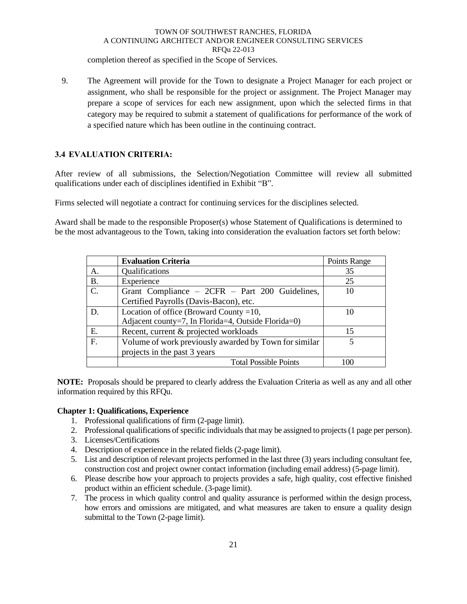completion thereof as specified in the Scope of Services.

9. The Agreement will provide for the Town to designate a Project Manager for each project or assignment, who shall be responsible for the project or assignment. The Project Manager may prepare a scope of services for each new assignment, upon which the selected firms in that category may be required to submit a statement of qualifications for performance of the work of a specified nature which has been outline in the continuing contract.

# <span id="page-20-0"></span>**3.4 EVALUATION CRITERIA:**

After review of all submissions, the Selection/Negotiation Committee will review all submitted qualifications under each of disciplines identified in Exhibit "B".

Firms selected will negotiate a contract for continuing services for the disciplines selected.

Award shall be made to the responsible Proposer(s) whose Statement of Qualifications is determined to be the most advantageous to the Town, taking into consideration the evaluation factors set forth below:

|           | <b>Evaluation Criteria</b>                            | Points Range |
|-----------|-------------------------------------------------------|--------------|
| А.        | Qualifications                                        | 35           |
| <b>B.</b> | Experience                                            | 25           |
| C.        | Grant Compliance - 2CFR - Part 200 Guidelines,        | 10           |
|           | Certified Payrolls (Davis-Bacon), etc.                |              |
| D.        | Location of office (Broward County = $10$ ,           | 10           |
|           | Adjacent county=7, In Florida=4, Outside Florida=0)   |              |
| Е.        | Recent, current & projected workloads                 | 15           |
| F.        | Volume of work previously awarded by Town for similar | 5            |
|           | projects in the past 3 years                          |              |
|           | <b>Total Possible Points</b>                          | 100          |

**NOTE:** Proposals should be prepared to clearly address the Evaluation Criteria as well as any and all other information required by this RFQu.

# **Chapter 1: Qualifications, Experience**

- 1. Professional qualifications of firm (2-page limit).
- 2. Professional qualifications of specific individualsthat may be assigned to projects(1 page per person).
- 3. Licenses/Certifications
- 4. Description of experience in the related fields (2-page limit).
- 5. List and description of relevant projects performed in the last three (3) years including consultant fee, construction cost and project owner contact information (including email address) (5-page limit).
- 6. Please describe how your approach to projects provides a safe, high quality, cost effective finished product within an efficient schedule. (3-page limit).
- 7. The process in which quality control and quality assurance is performed within the design process, how errors and omissions are mitigated, and what measures are taken to ensure a quality design submittal to the Town (2-page limit).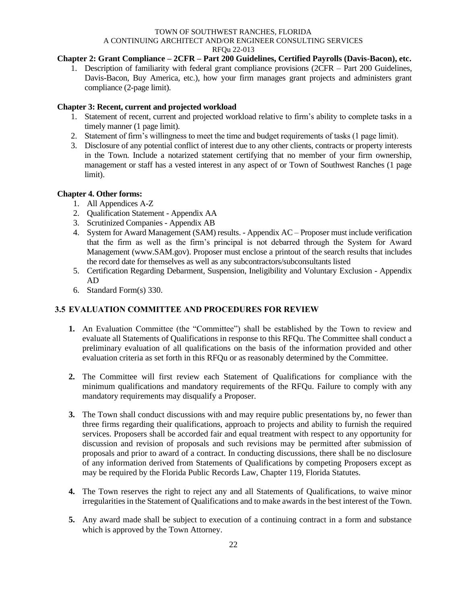# **Chapter 2: Grant Compliance – 2CFR – Part 200 Guidelines, Certified Payrolls (Davis-Bacon), etc.**

1. Description of familiarity with federal grant compliance provisions (2CFR – Part 200 Guidelines, Davis-Bacon, Buy America, etc.), how your firm manages grant projects and administers grant compliance (2-page limit).

### **Chapter 3: Recent, current and projected workload**

- 1. Statement of recent, current and projected workload relative to firm's ability to complete tasks in a timely manner (1 page limit).
- 2. Statement of firm's willingness to meet the time and budget requirements of tasks (1 page limit).
- 3. Disclosure of any potential conflict of interest due to any other clients, contracts or property interests in the Town. Include a notarized statement certifying that no member of your firm ownership, management or staff has a vested interest in any aspect of or Town of Southwest Ranches (1 page limit).

# **Chapter 4. Other forms:**

- 1. All Appendices A-Z
- 2. Qualification Statement Appendix AA
- 3. Scrutinized Companies Appendix AB
- 4. System for Award Management (SAM) results. Appendix AC Proposer must include verification that the firm as well as the firm's principal is not debarred through the System for Award Management (www.SAM.gov). Proposer must enclose a printout of the search results that includes the record date for themselves as well as any subcontractors/subconsultants listed
- 5. Certification Regarding Debarment, Suspension, Ineligibility and Voluntary Exclusion Appendix AD
- 6. Standard Form(s) 330.

# <span id="page-21-0"></span>**3.5 EVALUATION COMMITTEE AND PROCEDURES FOR REVIEW**

- **1.** An Evaluation Committee (the "Committee") shall be established by the Town to review and evaluate all Statements of Qualifications in response to this RFQu. The Committee shall conduct a preliminary evaluation of all qualifications on the basis of the information provided and other evaluation criteria as set forth in this RFQu or as reasonably determined by the Committee.
- **2.** The Committee will first review each Statement of Qualifications for compliance with the minimum qualifications and mandatory requirements of the RFQu. Failure to comply with any mandatory requirements may disqualify a Proposer.
- **3.** The Town shall conduct discussions with and may require public presentations by, no fewer than three firms regarding their qualifications, approach to projects and ability to furnish the required services. Proposers shall be accorded fair and equal treatment with respect to any opportunity for discussion and revision of proposals and such revisions may be permitted after submission of proposals and prior to award of a contract. In conducting discussions, there shall be no disclosure of any information derived from Statements of Qualifications by competing Proposers except as may be required by the Florida Public Records Law, Chapter 119, Florida Statutes.
- **4.** The Town reserves the right to reject any and all Statements of Qualifications, to waive minor irregularities in the Statement of Qualifications and to make awards in the best interest of the Town.
- **5.** Any award made shall be subject to execution of a continuing contract in a form and substance which is approved by the Town Attorney.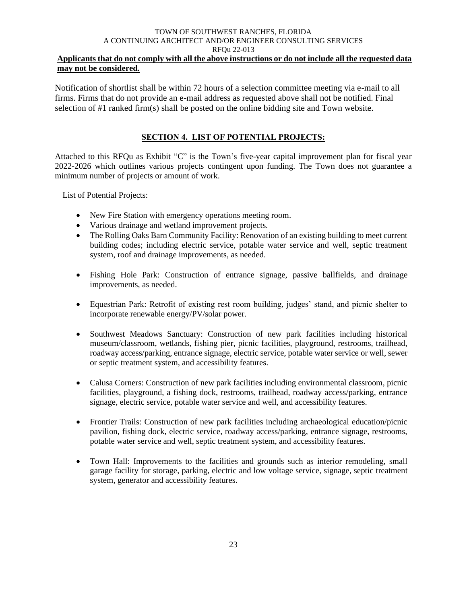# **Applicants that do not comply with all the above instructions or do not include all the requested data may not be considered.**

Notification of shortlist shall be within 72 hours of a selection committee meeting via e-mail to all firms. Firms that do not provide an e-mail address as requested above shall not be notified. Final selection of #1 ranked firm(s) shall be posted on the online bidding site and Town website.

# **SECTION 4. LIST OF POTENTIAL PROJECTS:**

<span id="page-22-0"></span>Attached to this RFQu as Exhibit "C" is the Town's five-year capital improvement plan for fiscal year 2022-2026 which outlines various projects contingent upon funding. The Town does not guarantee a minimum number of projects or amount of work.

List of Potential Projects:

- New Fire Station with emergency operations meeting room.
- Various drainage and wetland improvement projects.
- The Rolling Oaks Barn Community Facility: Renovation of an existing building to meet current building codes; including electric service, potable water service and well, septic treatment system, roof and drainage improvements, as needed.
- Fishing Hole Park: Construction of entrance signage, passive ballfields, and drainage improvements, as needed.
- Equestrian Park: Retrofit of existing rest room building, judges' stand, and picnic shelter to incorporate renewable energy/PV/solar power.
- Southwest Meadows Sanctuary: Construction of new park facilities including historical museum/classroom, wetlands, fishing pier, picnic facilities, playground, restrooms, trailhead, roadway access/parking, entrance signage, electric service, potable water service or well, sewer or septic treatment system, and accessibility features.
- Calusa Corners: Construction of new park facilities including environmental classroom, picnic facilities, playground, a fishing dock, restrooms, trailhead, roadway access/parking, entrance signage, electric service, potable water service and well, and accessibility features.
- Frontier Trails: Construction of new park facilities including archaeological education/picnic pavilion, fishing dock, electric service, roadway access/parking, entrance signage, restrooms, potable water service and well, septic treatment system, and accessibility features.
- Town Hall: Improvements to the facilities and grounds such as interior remodeling, small garage facility for storage, parking, electric and low voltage service, signage, septic treatment system, generator and accessibility features.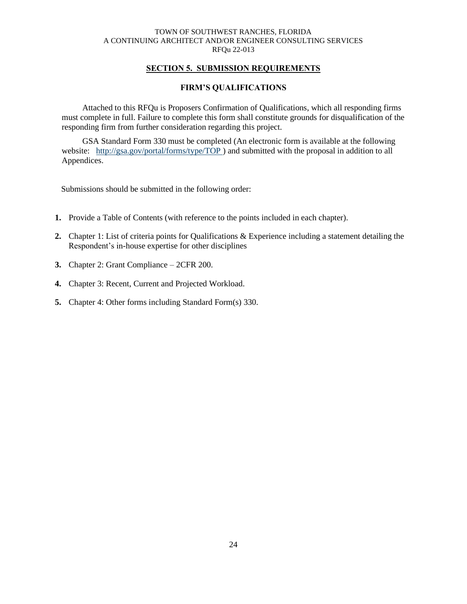#### **SECTION 5. SUBMISSION REQUIREMENTS**

### **FIRM'S QUALIFICATIONS**

<span id="page-23-1"></span><span id="page-23-0"></span>Attached to this RFQu is Proposers Confirmation of Qualifications, which all responding firms must complete in full. Failure to complete this form shall constitute grounds for disqualification of the responding firm from further consideration regarding this project.

GSA Standard Form 330 must be completed (An electronic form is available at the following website: <http://gsa.gov/portal/forms/type/TOP>) and submitted with the proposal in addition to all Appendices.

Submissions should be submitted in the following order:

- **1.** Provide a Table of Contents (with reference to the points included in each chapter).
- **2.** Chapter 1: List of criteria points for Qualifications & Experience including a statement detailing the Respondent's in-house expertise for other disciplines
- **3.** Chapter 2: Grant Compliance 2CFR 200.
- **4.** Chapter 3: Recent, Current and Projected Workload.
- **5.** Chapter 4: Other forms including Standard Form(s) 330.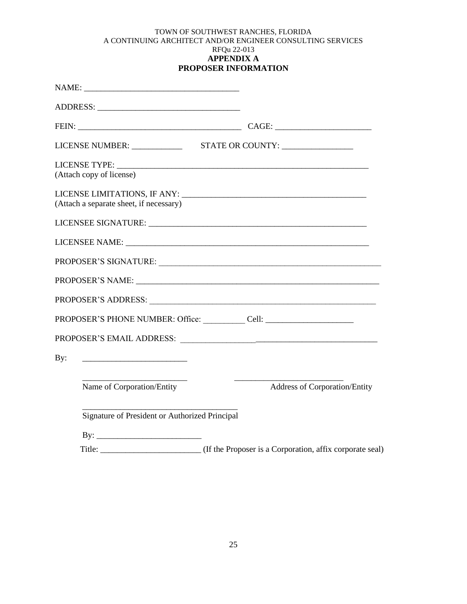#### TOWN OF SOUTHWEST RANCHES, FLORIDA A CONTINUING ARCHITECT AND/OR ENGINEER CONSULTING SERVICES RFQu 22-013 **APPENDIX A PROPOSER INFORMATION**

<span id="page-24-0"></span>

|     | LICENSE NUMBER: STATE OR COUNTY:                                                                                      |                                      |
|-----|-----------------------------------------------------------------------------------------------------------------------|--------------------------------------|
|     | (Attach copy of license)                                                                                              |                                      |
|     | (Attach a separate sheet, if necessary)                                                                               |                                      |
|     |                                                                                                                       |                                      |
|     |                                                                                                                       |                                      |
|     |                                                                                                                       |                                      |
|     |                                                                                                                       |                                      |
|     |                                                                                                                       |                                      |
|     |                                                                                                                       |                                      |
|     |                                                                                                                       |                                      |
| By: | <u> 1980 - Johann John Stone, meil er fan de ferske fan de ferske fan de ferske fan de ferske fan de ferske fan d</u> |                                      |
|     | Name of Corporation/Entity                                                                                            | <b>Address of Corporation/Entity</b> |
|     | Signature of President or Authorized Principal                                                                        |                                      |
|     |                                                                                                                       |                                      |
|     |                                                                                                                       |                                      |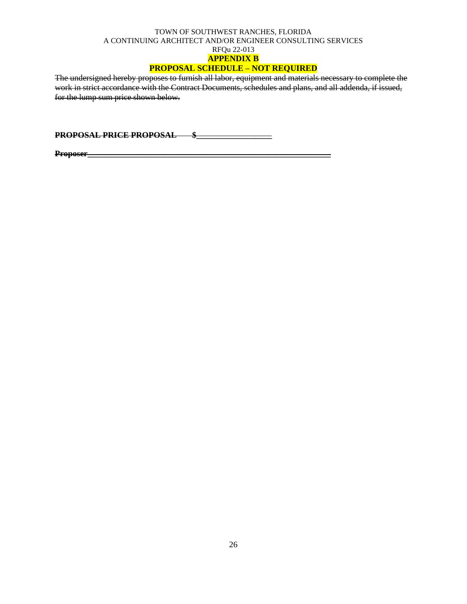**APPENDIX B**

# **PROPOSAL SCHEDULE – NOT REQUIRED**

<span id="page-25-0"></span>The undersigned hereby proposes to furnish all labor, equipment and materials necessary to complete the work in strict accordance with the Contract Documents, schedules and plans, and all addenda, if issued, for the lump sum price shown below.

**PROPOSAL PRICE PROPOSAL \$\_\_\_\_\_\_\_\_\_\_\_\_\_\_\_\_\_\_**

Proposer\_\_\_\_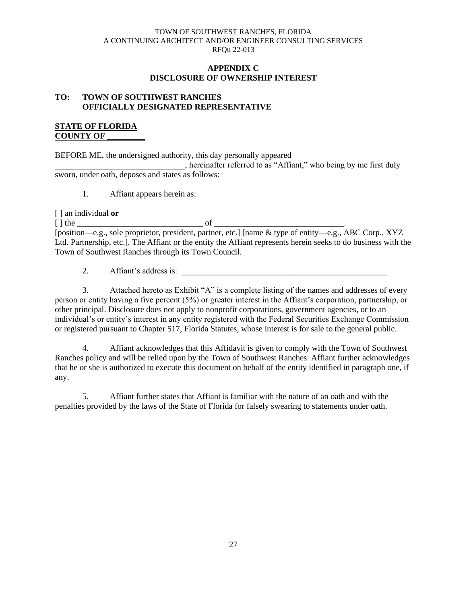# **APPENDIX C DISCLOSURE OF OWNERSHIP INTEREST**

# <span id="page-26-0"></span>**TO: TOWN OF SOUTHWEST RANCHES OFFICIALLY DESIGNATED REPRESENTATIVE**

## **STATE OF FLORIDA COUNTY OF \_\_\_\_\_\_\_\_\_**

BEFORE ME, the undersigned authority, this day personally appeared

\_\_\_\_\_\_\_\_\_\_\_\_\_\_\_\_\_\_\_\_\_\_\_\_\_\_\_\_\_\_\_, hereinafter referred to as "Affiant," who being by me first duly sworn, under oath, deposes and states as follows:

1. Affiant appears herein as:

[ ] an individual **or**

 $\lceil \cdot \rceil$  the of

[position—e.g., sole proprietor, president, partner, etc.] [name & type of entity—e.g., ABC Corp., XYZ Ltd. Partnership, etc.]. The Affiant or the entity the Affiant represents herein seeks to do business with the Town of Southwest Ranches through its Town Council.

2. Affiant's address is:  $\blacksquare$ 

3. Attached hereto as Exhibit "A" is a complete listing of the names and addresses of every person or entity having a five percent (5%) or greater interest in the Affiant's corporation, partnership, or other principal. Disclosure does not apply to nonprofit corporations, government agencies, or to an individual's or entity's interest in any entity registered with the Federal Securities Exchange Commission or registered pursuant to Chapter 517, Florida Statutes, whose interest is for sale to the general public.

4. Affiant acknowledges that this Affidavit is given to comply with the Town of Southwest Ranches policy and will be relied upon by the Town of Southwest Ranches. Affiant further acknowledges that he or she is authorized to execute this document on behalf of the entity identified in paragraph one, if any.

5. Affiant further states that Affiant is familiar with the nature of an oath and with the penalties provided by the laws of the State of Florida for falsely swearing to statements under oath.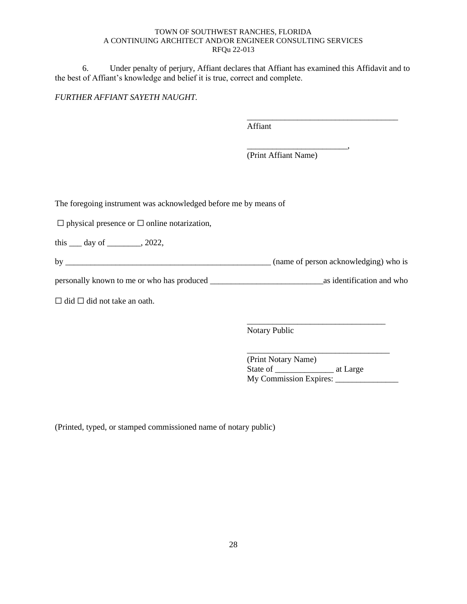6. Under penalty of perjury, Affiant declares that Affiant has examined this Affidavit and to the best of Affiant's knowledge and belief it is true, correct and complete.

*FURTHER AFFIANT SAYETH NAUGHT.*

Affiant

 $\overline{\phantom{a}}$  , and the contract of the contract of the contract of the contract of the contract of the contract of the contract of the contract of the contract of the contract of the contract of the contract of the contrac (Print Affiant Name)

\_\_\_\_\_\_\_\_\_\_\_\_\_\_\_\_\_\_\_\_\_\_\_\_\_\_\_\_\_\_\_\_\_\_\_\_

The foregoing instrument was acknowledged before me by means of

 $\Box$  physical presence or  $\Box$  online notarization,

this  $\_\_$  day of  $\_\_$ , 2022,

by \_\_\_\_\_\_\_\_\_\_\_\_\_\_\_\_\_\_\_\_\_\_\_\_\_\_\_\_\_\_\_\_\_\_\_\_\_\_\_\_\_\_\_\_\_\_\_\_\_ (name of person acknowledging) who is

personally known to me or who has produced \_\_\_\_\_\_\_\_\_\_\_\_\_\_\_\_\_\_\_\_\_\_\_\_\_\_\_as identification and who

 $\Box$  did  $\Box$  did not take an oath.

Notary Public

\_\_\_\_\_\_\_\_\_\_\_\_\_\_\_\_\_\_\_\_\_\_\_\_\_\_\_\_\_\_\_\_\_\_ (Print Notary Name) State of \_\_\_\_\_\_\_\_\_\_\_\_\_\_ at Large  $My$  Commission Expires:  $\frac{c}{2}$ 

\_\_\_\_\_\_\_\_\_\_\_\_\_\_\_\_\_\_\_\_\_\_\_\_\_\_\_\_\_\_\_\_\_

(Printed, typed, or stamped commissioned name of notary public)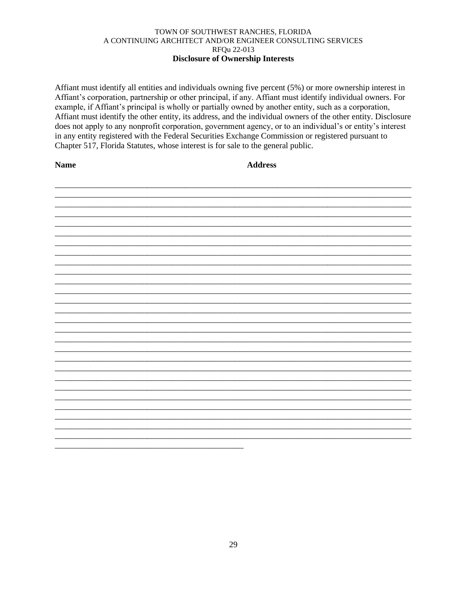#### TOWN OF SOUTHWEST RANCHES, FLORIDA A CONTINUING ARCHITECT AND/OR ENGINEER CONSULTING SERVICES RFQu 22-013 **Disclosure of Ownership Interests**

Affiant must identify all entities and individuals owning five percent (5%) or more ownership interest in Affiant's corporation, partnership or other principal, if any. Affiant must identify individual owners. For example, if Affiant's principal is wholly or partially owned by another entity, such as a corporation, Affiant must identify the other entity, its address, and the individual owners of the other entity. Disclosure does not apply to any nonprofit corporation, government agency, or to an individual's or entity's interest in any entity registered with the Federal Securities Exchange Commission or registered pursuant to Chapter 517, Florida Statutes, whose interest is for sale to the general public.

| <b>Name</b> | <b>Address</b> |
|-------------|----------------|
|             |                |
|             |                |
|             |                |
|             |                |
|             |                |
|             |                |
|             |                |
|             |                |
|             |                |
|             |                |
|             |                |
|             |                |
|             |                |
|             |                |
|             |                |
|             |                |
|             |                |
|             |                |
|             |                |
|             |                |
|             |                |
|             |                |
|             |                |
|             |                |
|             |                |
|             |                |
|             |                |
|             |                |
|             |                |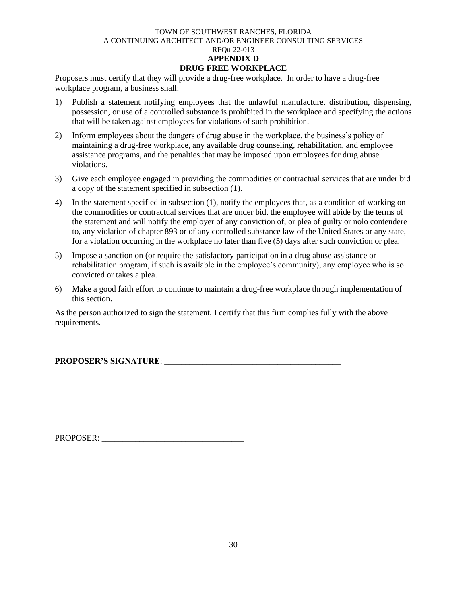# **DRUG FREE WORKPLACE**

<span id="page-29-0"></span>Proposers must certify that they will provide a drug-free workplace. In order to have a drug-free workplace program, a business shall:

- 1) Publish a statement notifying employees that the unlawful manufacture, distribution, dispensing, possession, or use of a controlled substance is prohibited in the workplace and specifying the actions that will be taken against employees for violations of such prohibition.
- 2) Inform employees about the dangers of drug abuse in the workplace, the business's policy of maintaining a drug-free workplace, any available drug counseling, rehabilitation, and employee assistance programs, and the penalties that may be imposed upon employees for drug abuse violations.
- 3) Give each employee engaged in providing the commodities or contractual services that are under bid a copy of the statement specified in subsection (1).
- 4) In the statement specified in subsection (1), notify the employees that, as a condition of working on the commodities or contractual services that are under bid, the employee will abide by the terms of the statement and will notify the employer of any conviction of, or plea of guilty or nolo contendere to, any violation of chapter 893 or of any controlled substance law of the United States or any state, for a violation occurring in the workplace no later than five (5) days after such conviction or plea.
- 5) Impose a sanction on (or require the satisfactory participation in a drug abuse assistance or rehabilitation program, if such is available in the employee's community), any employee who is so convicted or takes a plea.
- 6) Make a good faith effort to continue to maintain a drug-free workplace through implementation of this section.

As the person authorized to sign the statement, I certify that this firm complies fully with the above requirements.

**PROPOSER'S SIGNATURE**: \_\_\_\_\_\_\_\_\_\_\_\_\_\_\_\_\_\_\_\_\_\_\_\_\_\_\_\_\_\_\_\_\_\_\_\_\_\_\_\_\_\_

PROPOSER: \_\_\_\_\_\_\_\_\_\_\_\_\_\_\_\_\_\_\_\_\_\_\_\_\_\_\_\_\_\_\_\_\_\_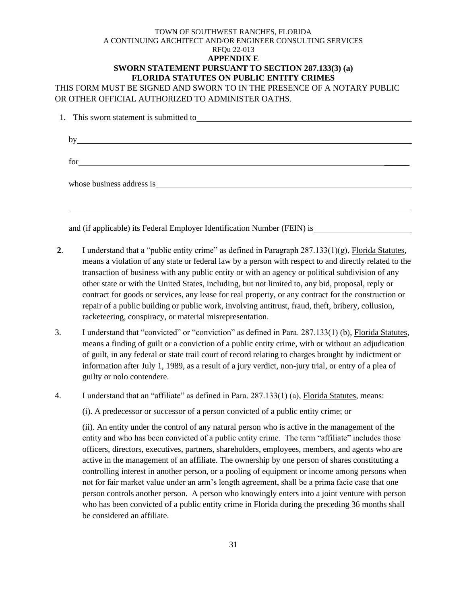#### <span id="page-30-0"></span>TOWN OF SOUTHWEST RANCHES, FLORIDA A CONTINUING ARCHITECT AND/OR ENGINEER CONSULTING SERVICES RFQu 22-013 **APPENDIX E SWORN STATEMENT PURSUANT TO SECTION 287.133(3) (a) FLORIDA STATUTES ON PUBLIC ENTITY CRIMES** THIS FORM MUST BE SIGNED AND SWORN TO IN THE PRESENCE OF A NOTARY PUBLIC

OR OTHER OFFICIAL AUTHORIZED TO ADMINISTER OATHS.

1. This sworn statement is submitted to

by the contract of the contract of the contract of the contract of the contract of the contract of the contract of the contract of the contract of the contract of the contract of the contract of the contract of the contrac

 $f$  or  $\frac{1}{2}$  and  $\frac{1}{2}$  and  $\frac{1}{2}$  and  $\frac{1}{2}$  and  $\frac{1}{2}$  and  $\frac{1}{2}$  and  $\frac{1}{2}$  and  $\frac{1}{2}$  and  $\frac{1}{2}$  and  $\frac{1}{2}$  and  $\frac{1}{2}$  and  $\frac{1}{2}$  and  $\frac{1}{2}$  and  $\frac{1}{2}$  and  $\frac{1}{2}$  and  $\frac{$ 

whose business address is whose business address is

and (if applicable) its Federal Employer Identification Number (FEIN) is

- **2**. I understand that a "public entity crime" as defined in Paragraph 287.133(1)(g), Florida Statutes, means a violation of any state or federal law by a person with respect to and directly related to the transaction of business with any public entity or with an agency or political subdivision of any other state or with the United States, including, but not limited to, any bid, proposal, reply or contract for goods or services, any lease for real property, or any contract for the construction or repair of a public building or public work, involving antitrust, fraud, theft, bribery, collusion, racketeering, conspiracy, or material misrepresentation.
- 3. I understand that "convicted" or "conviction" as defined in Para. 287.133(1) (b), Florida Statutes, means a finding of guilt or a conviction of a public entity crime, with or without an adjudication of guilt, in any federal or state trail court of record relating to charges brought by indictment or information after July 1, 1989, as a result of a jury verdict, non-jury trial, or entry of a plea of guilty or nolo contendere.
- 4. I understand that an "affiliate" as defined in Para. 287.133(1) (a), Florida Statutes, means:

(i). A predecessor or successor of a person convicted of a public entity crime; or

(ii). An entity under the control of any natural person who is active in the management of the entity and who has been convicted of a public entity crime. The term "affiliate" includes those officers, directors, executives, partners, shareholders, employees, members, and agents who are active in the management of an affiliate. The ownership by one person of shares constituting a controlling interest in another person, or a pooling of equipment or income among persons when not for fair market value under an arm's length agreement, shall be a prima facie case that one person controls another person. A person who knowingly enters into a joint venture with person who has been convicted of a public entity crime in Florida during the preceding 36 months shall be considered an affiliate.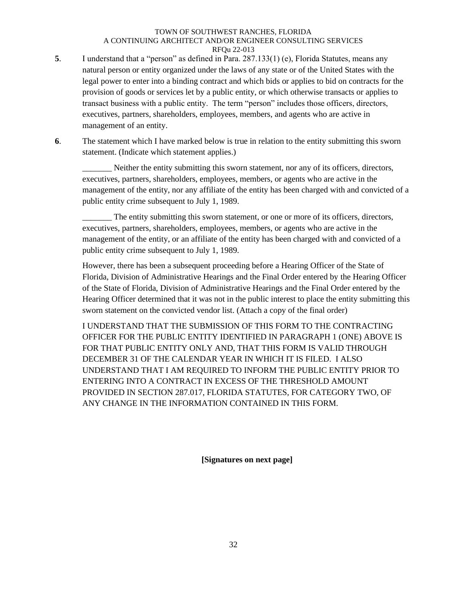- **5**. I understand that a "person" as defined in Para. 287.133(1) (e), Florida Statutes, means any natural person or entity organized under the laws of any state or of the United States with the legal power to enter into a binding contract and which bids or applies to bid on contracts for the provision of goods or services let by a public entity, or which otherwise transacts or applies to transact business with a public entity. The term "person" includes those officers, directors, executives, partners, shareholders, employees, members, and agents who are active in management of an entity.
- **6**. The statement which I have marked below is true in relation to the entity submitting this sworn statement. (Indicate which statement applies.)

\_\_\_\_\_\_\_ Neither the entity submitting this sworn statement, nor any of its officers, directors, executives, partners, shareholders, employees, members, or agents who are active in the management of the entity, nor any affiliate of the entity has been charged with and convicted of a public entity crime subsequent to July 1, 1989.

The entity submitting this sworn statement, or one or more of its officers, directors, executives, partners, shareholders, employees, members, or agents who are active in the management of the entity, or an affiliate of the entity has been charged with and convicted of a public entity crime subsequent to July 1, 1989.

However, there has been a subsequent proceeding before a Hearing Officer of the State of Florida, Division of Administrative Hearings and the Final Order entered by the Hearing Officer of the State of Florida, Division of Administrative Hearings and the Final Order entered by the Hearing Officer determined that it was not in the public interest to place the entity submitting this sworn statement on the convicted vendor list. (Attach a copy of the final order)

I UNDERSTAND THAT THE SUBMISSION OF THIS FORM TO THE CONTRACTING OFFICER FOR THE PUBLIC ENTITY IDENTIFIED IN PARAGRAPH 1 (ONE) ABOVE IS FOR THAT PUBLIC ENTITY ONLY AND, THAT THIS FORM IS VALID THROUGH DECEMBER 31 OF THE CALENDAR YEAR IN WHICH IT IS FILED. I ALSO UNDERSTAND THAT I AM REQUIRED TO INFORM THE PUBLIC ENTITY PRIOR TO ENTERING INTO A CONTRACT IN EXCESS OF THE THRESHOLD AMOUNT PROVIDED IN SECTION 287.017, FLORIDA STATUTES, FOR CATEGORY TWO, OF ANY CHANGE IN THE INFORMATION CONTAINED IN THIS FORM.

**[Signatures on next page]**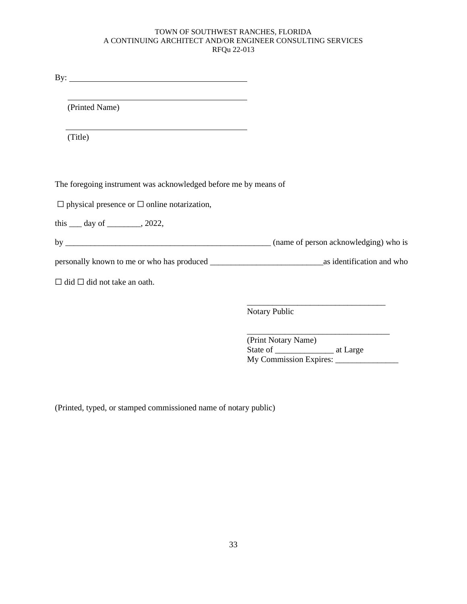By:

(Printed Name)

(Title)

The foregoing instrument was acknowledged before me by means of

 $\Box$  physical presence or  $\Box$  online notarization,

this \_\_\_ day of \_\_\_\_\_\_\_\_, 2022,

by \_\_\_\_\_\_\_\_\_\_\_\_\_\_\_\_\_\_\_\_\_\_\_\_\_\_\_\_\_\_\_\_\_\_\_\_\_\_\_\_\_\_\_\_\_\_\_\_\_ (name of person acknowledging) who is

personally known to me or who has produced \_\_\_\_\_\_\_\_\_\_\_\_\_\_\_\_\_\_\_\_\_\_\_\_\_\_\_as identification and who

 $\Box$  did  $\Box$  did not take an oath.

Notary Public

\_\_\_\_\_\_\_\_\_\_\_\_\_\_\_\_\_\_\_\_\_\_\_\_\_\_\_\_\_\_\_\_\_\_ (Print Notary Name) State of \_\_\_\_\_\_\_\_\_\_\_\_\_\_ at Large My Commission Expires: \_\_\_\_\_\_\_\_\_\_\_\_\_\_\_

\_\_\_\_\_\_\_\_\_\_\_\_\_\_\_\_\_\_\_\_\_\_\_\_\_\_\_\_\_\_\_\_\_

(Printed, typed, or stamped commissioned name of notary public)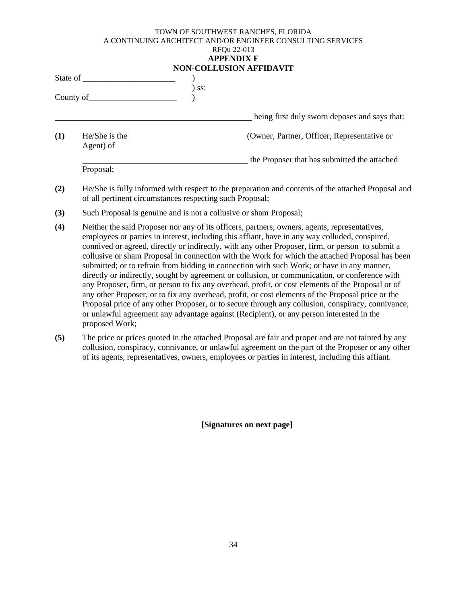<span id="page-33-0"></span>

|     |                                                          |         | TOWN OF SOUTHWEST RANCHES, FLORIDA                                                                 |
|-----|----------------------------------------------------------|---------|----------------------------------------------------------------------------------------------------|
|     |                                                          |         | A CONTINUING ARCHITECT AND/OR ENGINEER CONSULTING SERVICES                                         |
|     |                                                          |         | RFQu 22-013                                                                                        |
|     |                                                          |         | <b>APPENDIX F</b>                                                                                  |
|     |                                                          |         | <b>NON-COLLUSION AFFIDAVIT</b>                                                                     |
|     |                                                          |         |                                                                                                    |
|     |                                                          | $)$ ss: |                                                                                                    |
|     | County of                                                |         |                                                                                                    |
|     |                                                          |         |                                                                                                    |
|     |                                                          |         | being first duly sworn deposes and says that:                                                      |
| (1) |                                                          |         | (Owner, Partner, Officer, Representative or                                                        |
|     | Agent) of                                                |         |                                                                                                    |
|     |                                                          |         | the Proposer that has submitted the attached                                                       |
|     | Proposal;                                                |         |                                                                                                    |
|     |                                                          |         |                                                                                                    |
| (2) | of all pertinent circumstances respecting such Proposal; |         | He/She is fully informed with respect to the preparation and contents of the attached Proposal and |

- **(3)** Such Proposal is genuine and is not a collusive or sham Proposal;
- **(4)** Neither the said Proposer nor any of its officers, partners, owners, agents, representatives, employees or parties in interest, including this affiant, have in any way colluded, conspired, connived or agreed, directly or indirectly, with any other Proposer, firm, or person to submit a collusive or sham Proposal in connection with the Work for which the attached Proposal has been submitted; or to refrain from bidding in connection with such Work; or have in any manner, directly or indirectly, sought by agreement or collusion, or communication, or conference with any Proposer, firm, or person to fix any overhead, profit, or cost elements of the Proposal or of any other Proposer, or to fix any overhead, profit, or cost elements of the Proposal price or the Proposal price of any other Proposer, or to secure through any collusion, conspiracy, connivance, or unlawful agreement any advantage against (Recipient), or any person interested in the proposed Work;
- **(5)** The price or prices quoted in the attached Proposal are fair and proper and are not tainted by any collusion, conspiracy, connivance, or unlawful agreement on the part of the Proposer or any other of its agents, representatives, owners, employees or parties in interest, including this affiant.

**[Signatures on next page]**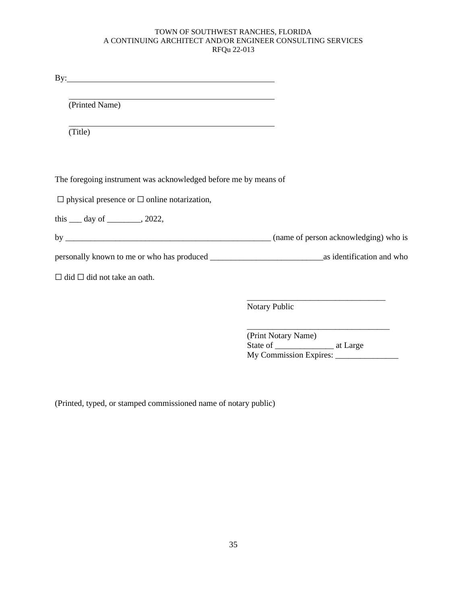By:

(Printed Name)

(Title)

The foregoing instrument was acknowledged before me by means of

 $\Box$  physical presence or  $\Box$  online notarization,

this  $\_\_$  day of  $\_\_$ , 2022,

by \_\_\_\_\_\_\_\_\_\_\_\_\_\_\_\_\_\_\_\_\_\_\_\_\_\_\_\_\_\_\_\_\_\_\_\_\_\_\_\_\_\_\_\_\_\_\_\_\_ (name of person acknowledging) who is

personally known to me or who has produced as identification and who as identification and who

☐ did ☐ did not take an oath.

Notary Public

\_\_\_\_\_\_\_\_\_\_\_\_\_\_\_\_\_\_\_\_\_\_\_\_\_\_\_\_\_\_\_\_\_\_ (Print Notary Name) State of \_\_\_\_\_\_\_\_\_\_\_\_\_\_ at Large My Commission Expires:

\_\_\_\_\_\_\_\_\_\_\_\_\_\_\_\_\_\_\_\_\_\_\_\_\_\_\_\_\_\_\_\_\_

(Printed, typed, or stamped commissioned name of notary public)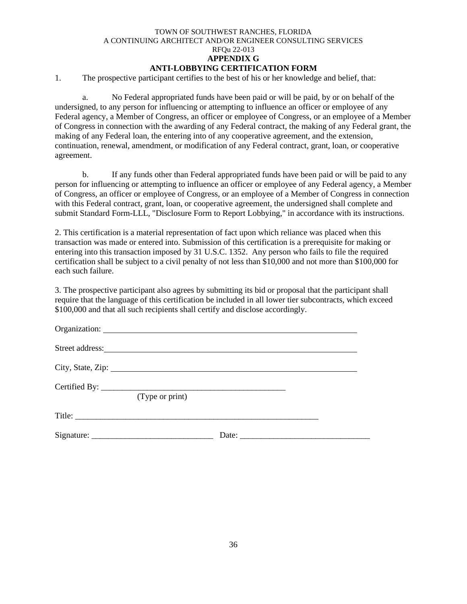# TOWN OF SOUTHWEST RANCHES, FLORIDA A CONTINUING ARCHITECT AND/OR ENGINEER CONSULTING SERVICES RFQu 22-013 **APPENDIX G ANTI-LOBBYING CERTIFICATION FORM**

<span id="page-35-0"></span>1. The prospective participant certifies to the best of his or her knowledge and belief, that:

a. No Federal appropriated funds have been paid or will be paid, by or on behalf of the undersigned, to any person for influencing or attempting to influence an officer or employee of any Federal agency, a Member of Congress, an officer or employee of Congress, or an employee of a Member of Congress in connection with the awarding of any Federal contract, the making of any Federal grant, the making of any Federal loan, the entering into of any cooperative agreement, and the extension, continuation, renewal, amendment, or modification of any Federal contract, grant, loan, or cooperative agreement.

b. If any funds other than Federal appropriated funds have been paid or will be paid to any person for influencing or attempting to influence an officer or employee of any Federal agency, a Member of Congress, an officer or employee of Congress, or an employee of a Member of Congress in connection with this Federal contract, grant, loan, or cooperative agreement, the undersigned shall complete and submit Standard Form-LLL, "Disclosure Form to Report Lobbying," in accordance with its instructions.

2. This certification is a material representation of fact upon which reliance was placed when this transaction was made or entered into. Submission of this certification is a prerequisite for making or entering into this transaction imposed by 31 U.S.C. 1352. Any person who fails to file the required certification shall be subject to a civil penalty of not less than \$10,000 and not more than \$100,000 for each such failure.

3. The prospective participant also agrees by submitting its bid or proposal that the participant shall require that the language of this certification be included in all lower tier subcontracts, which exceed \$100,000 and that all such recipients shall certify and disclose accordingly.

| (Type or print) |  |
|-----------------|--|
|                 |  |
|                 |  |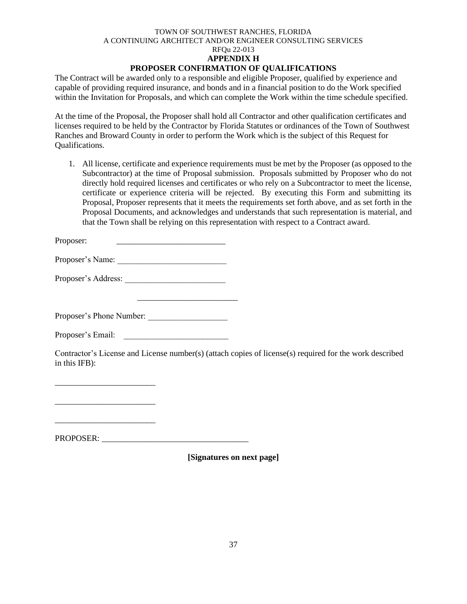# **PROPOSER CONFIRMATION OF QUALIFICATIONS**

The Contract will be awarded only to a responsible and eligible Proposer, qualified by experience and capable of providing required insurance, and bonds and in a financial position to do the Work specified within the Invitation for Proposals, and which can complete the Work within the time schedule specified.

At the time of the Proposal, the Proposer shall hold all Contractor and other qualification certificates and licenses required to be held by the Contractor by Florida Statutes or ordinances of the Town of Southwest Ranches and Broward County in order to perform the Work which is the subject of this Request for Qualifications.

1. All license, certificate and experience requirements must be met by the Proposer (as opposed to the Subcontractor) at the time of Proposal submission. Proposals submitted by Proposer who do not directly hold required licenses and certificates or who rely on a Subcontractor to meet the license, certificate or experience criteria will be rejected. By executing this Form and submitting its Proposal, Proposer represents that it meets the requirements set forth above, and as set forth in the Proposal Documents, and acknowledges and understands that such representation is material, and that the Town shall be relying on this representation with respect to a Contract award.

| Proposer: |  |  |  |
|-----------|--|--|--|
|-----------|--|--|--|

Proposer's Name: \_\_\_\_\_\_\_\_\_\_\_\_\_\_\_\_\_\_\_\_\_\_\_\_\_\_

Proposer's Address:

Proposer's Phone Number:

Proposer's Email:

Contractor's License and License number(s) (attach copies of license(s) required for the work described in this IFB):

PROPOSER:

\_\_\_\_\_\_\_\_\_\_\_\_\_\_\_\_\_\_\_\_\_\_\_\_

\_\_\_\_\_\_\_\_\_\_\_\_\_\_\_\_\_\_\_\_\_\_\_\_

\_\_\_\_\_\_\_\_\_\_\_\_\_\_\_\_\_\_\_\_\_\_\_\_

**[Signatures on next page]**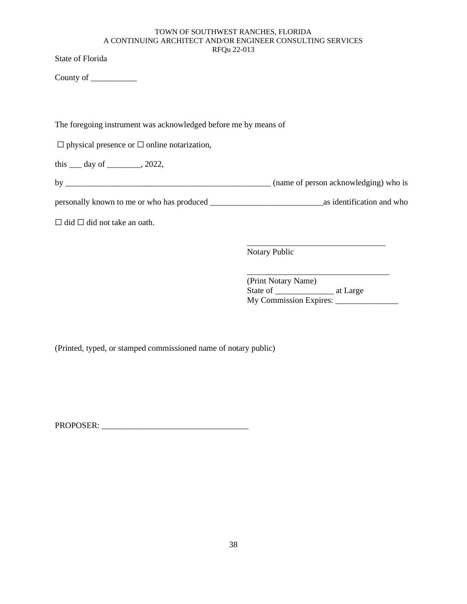State of Florida

County of \_\_\_\_\_\_\_\_\_\_\_

The foregoing instrument was acknowledged before me by means of

 $\Box$  physical presence or  $\Box$  online notarization,

this \_\_\_ day of \_\_\_\_\_\_\_\_, 2022,

| bv |  | (name of person acknowledging) who is |  |
|----|--|---------------------------------------|--|
|    |  |                                       |  |

personally known to me or who has produced \_\_\_\_\_\_\_\_\_\_\_\_\_\_\_\_\_\_\_\_\_\_\_\_\_\_\_as identification and who

□ did □ did not take an oath.

Notary Public

\_\_\_\_\_\_\_\_\_\_\_\_\_\_\_\_\_\_\_\_\_\_\_\_\_\_\_\_\_\_\_\_\_\_ (Print Notary Name) State of \_\_\_\_\_\_\_\_\_\_\_\_\_\_ at Large My Commission Expires: \_\_\_\_\_\_\_\_\_\_\_\_\_\_\_

\_\_\_\_\_\_\_\_\_\_\_\_\_\_\_\_\_\_\_\_\_\_\_\_\_\_\_\_\_\_\_\_\_

(Printed, typed, or stamped commissioned name of notary public)

PROPOSER: \_\_\_\_\_\_\_\_\_\_\_\_\_\_\_\_\_\_\_\_\_\_\_\_\_\_\_\_\_\_\_\_\_\_\_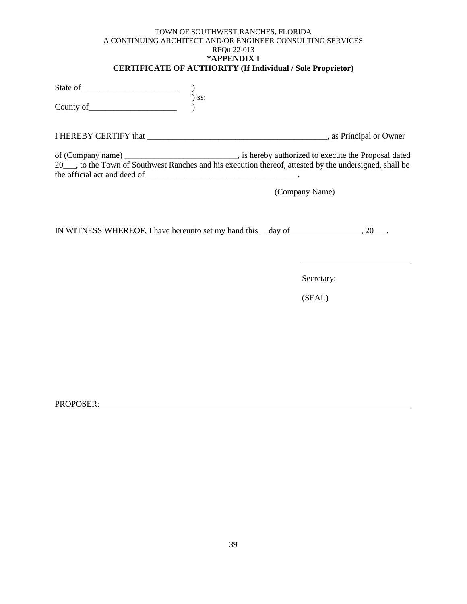# TOWN OF SOUTHWEST RANCHES, FLORIDA A CONTINUING ARCHITECT AND/OR ENGINEER CONSULTING SERVICES RFQu 22-013 **\*APPENDIX I CERTIFICATE OF AUTHORITY (If Individual / Sole Proprietor)**

| 20_, to the Town of Southwest Ranches and his execution thereof, attested by the undersigned, shall be |                |  |
|--------------------------------------------------------------------------------------------------------|----------------|--|
|                                                                                                        | (Company Name) |  |
|                                                                                                        |                |  |
| IN WITNESS WHEREOF, I have hereunto set my hand this day of 3.20                                       |                |  |

Secretary:

(SEAL)

PROPOSER: We have a series of the series of the series of the series of the series of the series of the series of the series of the series of the series of the series of the series of the series of the series of the series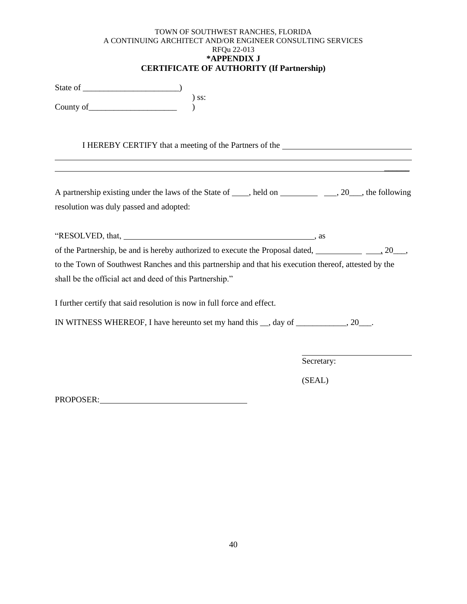### TOWN OF SOUTHWEST RANCHES, FLORIDA A CONTINUING ARCHITECT AND/OR ENGINEER CONSULTING SERVICES RFQu 22-013 **\*APPENDIX J CERTIFICATE OF AUTHORITY (If Partnership)**

| State of  |       |
|-----------|-------|
|           | ) ss: |
| County of |       |

I HEREBY CERTIFY that a meeting of the Partners of the

A partnership existing under the laws of the State of  $\_\_\_\_\_\_\_\_\_\_\_\_\_\_\_$ , held on  $\_\_\_\_\_\_\_\_\_\_\_$ , the following resolution was duly passed and adopted:

| "RESOLVED, that,                                                                                      | as       |
|-------------------------------------------------------------------------------------------------------|----------|
| of the Partnership, be and is hereby authorized to execute the Proposal dated,                        | $, 20$ , |
| to the Town of Southwest Ranches and this partnership and that his execution thereof, attested by the |          |
| shall be the official act and deed of this Partnership."                                              |          |

I further certify that said resolution is now in full force and effect.

IN WITNESS WHEREOF, I have hereunto set my hand this \_\_, day of \_\_\_\_\_\_\_\_\_\_\_\_, 20\_\_\_.

Secretary:

 $\overline{\phantom{a}}$ 

(SEAL)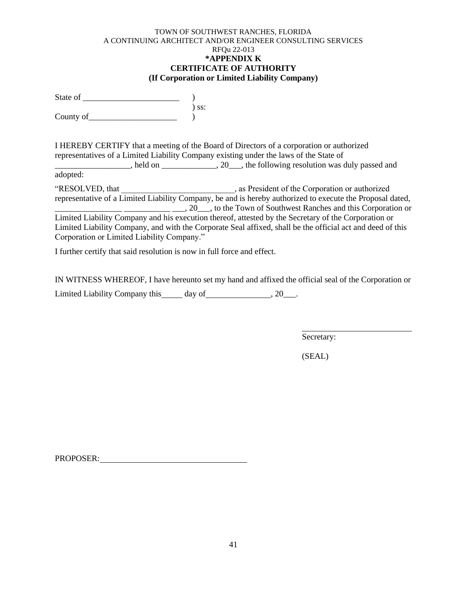### TOWN OF SOUTHWEST RANCHES, FLORIDA A CONTINUING ARCHITECT AND/OR ENGINEER CONSULTING SERVICES RFQu 22-013 **\*APPENDIX K CERTIFICATE OF AUTHORITY (If Corporation or Limited Liability Company)**

State of  $\qquad \qquad$  ) ) ss: County of  $\qquad \qquad$ 

I HEREBY CERTIFY that a meeting of the Board of Directors of a corporation or authorized representatives of a Limited Liability Company existing under the laws of the State of

 $\frac{1}{\sqrt{2}}$ , held on  $\frac{1}{\sqrt{2}}$ , 20, the following resolution was duly passed and adopted:

"RESOLVED, that  $\blacksquare$ , as President of the Corporation or authorized representative of a Limited Liability Company, be and is hereby authorized to execute the Proposal dated, <u>\_\_\_\_\_\_\_\_\_\_</u> \_\_\_, 20\_\_\_, to the Town of Southwest Ranches and this Corporation or Limited Liability Company and his execution thereof, attested by the Secretary of the Corporation or Limited Liability Company, and with the Corporate Seal affixed, shall be the official act and deed of this Corporation or Limited Liability Company."

I further certify that said resolution is now in full force and effect.

IN WITNESS WHEREOF, I have hereunto set my hand and affixed the official seal of the Corporation or

Limited Liability Company this  $\qquad \qquad$  day of  $\qquad \qquad$ , 20\_\_\_.

Secretary:

(SEAL)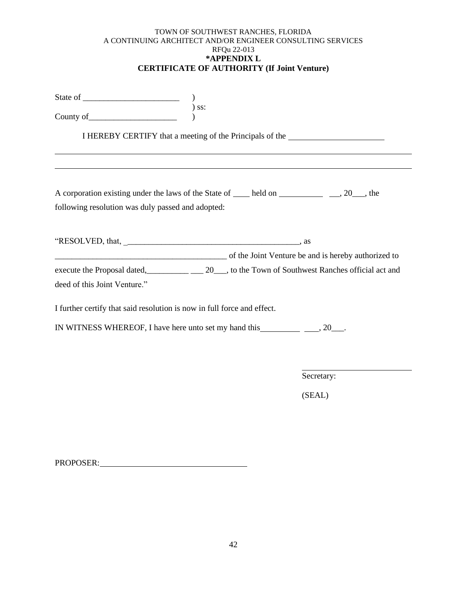### TOWN OF SOUTHWEST RANCHES, FLORIDA A CONTINUING ARCHITECT AND/OR ENGINEER CONSULTING SERVICES RFQu 22-013 **\*APPENDIX L CERTIFICATE OF AUTHORITY (If Joint Venture)**

|                                                                         | I HEREBY CERTIFY that a meeting of the Principals of the _______________________                                                                                                                                                    |
|-------------------------------------------------------------------------|-------------------------------------------------------------------------------------------------------------------------------------------------------------------------------------------------------------------------------------|
|                                                                         |                                                                                                                                                                                                                                     |
|                                                                         | A corporation existing under the laws of the State of <u>held</u> on held on held on held on held on held on held on held on held on held on held on held on held on held on held on held on held on held on held on held on held o |
| following resolution was duly passed and adopted:                       |                                                                                                                                                                                                                                     |
|                                                                         |                                                                                                                                                                                                                                     |
|                                                                         |                                                                                                                                                                                                                                     |
|                                                                         | of the Joint Venture be and is hereby authorized to                                                                                                                                                                                 |
|                                                                         |                                                                                                                                                                                                                                     |
| deed of this Joint Venture."                                            |                                                                                                                                                                                                                                     |
|                                                                         |                                                                                                                                                                                                                                     |
| I further certify that said resolution is now in full force and effect. |                                                                                                                                                                                                                                     |
|                                                                         | IN WITNESS WHEREOF, I have here unto set my hand this $\_\_\_\_\_$ , 20 $\_\_\_\_$ .                                                                                                                                                |
|                                                                         |                                                                                                                                                                                                                                     |

Secretary:

(SEAL)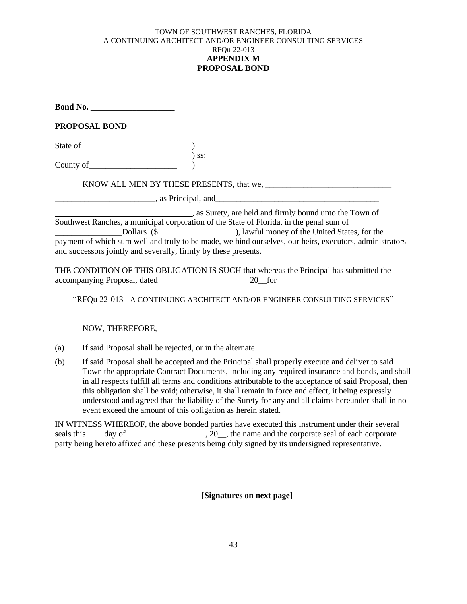# TOWN OF SOUTHWEST RANCHES, FLORIDA A CONTINUING ARCHITECT AND/OR ENGINEER CONSULTING SERVICES RFQu 22-013 **APPENDIX M PROPOSAL BOND**

| <b>Bond No. _______________________</b>                         |                                                                                                         |
|-----------------------------------------------------------------|---------------------------------------------------------------------------------------------------------|
| <b>PROPOSAL BOND</b>                                            |                                                                                                         |
|                                                                 |                                                                                                         |
|                                                                 |                                                                                                         |
|                                                                 |                                                                                                         |
|                                                                 |                                                                                                         |
|                                                                 |                                                                                                         |
|                                                                 | as Surety, are held and firmly bound unto the Town of                                                   |
|                                                                 | Southwest Ranches, a municipal corporation of the State of Florida, in the penal sum of                 |
|                                                                 |                                                                                                         |
| and successors jointly and severally, firmly by these presents. | payment of which sum well and truly to be made, we bind ourselves, our heirs, executors, administrators |
|                                                                 | THE CONDITION OF THIS OBLIGATION IS SUCH that whereas the Principal has submitted the                   |

"RFQu 22-013 - A CONTINUING ARCHITECT AND/OR ENGINEER CONSULTING SERVICES"

# NOW, THEREFORE,

- (a) If said Proposal shall be rejected, or in the alternate
- (b) If said Proposal shall be accepted and the Principal shall properly execute and deliver to said Town the appropriate Contract Documents, including any required insurance and bonds, and shall in all respects fulfill all terms and conditions attributable to the acceptance of said Proposal, then this obligation shall be void; otherwise, it shall remain in force and effect, it being expressly understood and agreed that the liability of the Surety for any and all claims hereunder shall in no event exceed the amount of this obligation as herein stated.

IN WITNESS WHEREOF, the above bonded parties have executed this instrument under their several seals this day of , 20, the name and the corporate seal of each corporate party being hereto affixed and these presents being duly signed by its undersigned representative.

**[Signatures on next page]**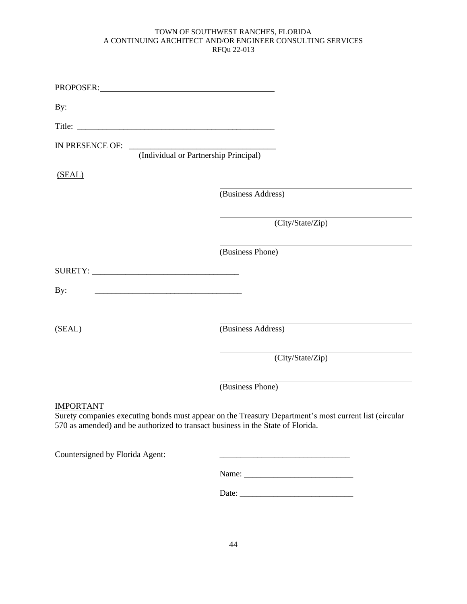| PROPOSER:                                                                                           |                                                                                                       |
|-----------------------------------------------------------------------------------------------------|-------------------------------------------------------------------------------------------------------|
| By: $\qquad \qquad$                                                                                 |                                                                                                       |
|                                                                                                     |                                                                                                       |
| IN PRESENCE OF: (Individual or Partnership Principal)                                               |                                                                                                       |
| (SEAL)                                                                                              |                                                                                                       |
|                                                                                                     | (Business Address)                                                                                    |
|                                                                                                     | (City/State/Zip)                                                                                      |
|                                                                                                     | (Business Phone)                                                                                      |
| SURETY:                                                                                             |                                                                                                       |
| By:                                                                                                 |                                                                                                       |
| (SEAL)                                                                                              | (Business Address)                                                                                    |
|                                                                                                     |                                                                                                       |
|                                                                                                     | (City/State/Zip)                                                                                      |
|                                                                                                     | (Business Phone)                                                                                      |
| <b>IMPORTANT</b><br>570 as amended) and be authorized to transact business in the State of Florida. | Surety companies executing bonds must appear on the Treasury Department's most current list (circular |

Countersigned by Florida Agent: \_\_\_\_\_\_\_\_\_\_\_\_\_\_\_\_\_\_\_\_\_\_\_\_\_\_\_\_\_\_\_

Name: \_\_\_\_\_\_\_\_\_\_\_\_\_\_\_\_\_\_\_\_\_\_\_\_\_\_

Date: \_\_\_\_\_\_\_\_\_\_\_\_\_\_\_\_\_\_\_\_\_\_\_\_\_\_\_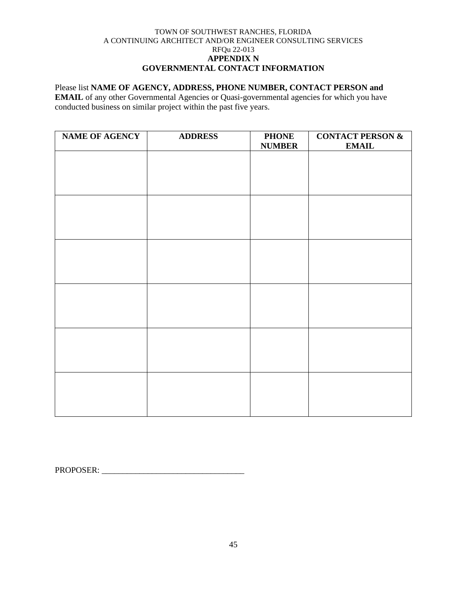### TOWN OF SOUTHWEST RANCHES, FLORIDA A CONTINUING ARCHITECT AND/OR ENGINEER CONSULTING SERVICES RFQu 22-013 **APPENDIX N GOVERNMENTAL CONTACT INFORMATION**

# Please list **NAME OF AGENCY, ADDRESS, PHONE NUMBER, CONTACT PERSON and**

**EMAIL** of any other Governmental Agencies or Quasi-governmental agencies for which you have conducted business on similar project within the past five years.

| NAME OF AGENCY | <b>ADDRESS</b> | <b>PHONE</b><br><b>NUMBER</b> | <b>CONTACT PERSON &amp;</b><br><b>EMAIL</b> |
|----------------|----------------|-------------------------------|---------------------------------------------|
|                |                |                               |                                             |
|                |                |                               |                                             |
|                |                |                               |                                             |
|                |                |                               |                                             |
|                |                |                               |                                             |
|                |                |                               |                                             |
|                |                |                               |                                             |
|                |                |                               |                                             |
|                |                |                               |                                             |
|                |                |                               |                                             |
|                |                |                               |                                             |
|                |                |                               |                                             |
|                |                |                               |                                             |
|                |                |                               |                                             |
|                |                |                               |                                             |

PROPOSER: \_\_\_\_\_\_\_\_\_\_\_\_\_\_\_\_\_\_\_\_\_\_\_\_\_\_\_\_\_\_\_\_\_\_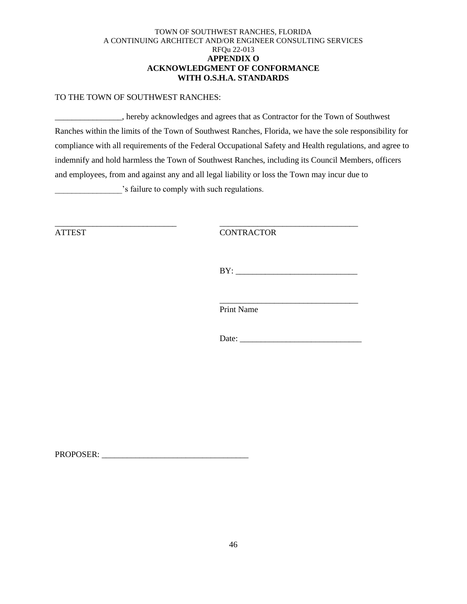### TOWN OF SOUTHWEST RANCHES, FLORIDA A CONTINUING ARCHITECT AND/OR ENGINEER CONSULTING SERVICES RFQu 22-013 **APPENDIX O ACKNOWLEDGMENT OF CONFORMANCE WITH O.S.H.A. STANDARDS**

#### TO THE TOWN OF SOUTHWEST RANCHES:

\_\_\_\_\_\_\_\_\_\_\_\_\_\_\_\_, hereby acknowledges and agrees that as Contractor for the Town of Southwest Ranches within the limits of the Town of Southwest Ranches, Florida, we have the sole responsibility for compliance with all requirements of the Federal Occupational Safety and Health regulations, and agree to indemnify and hold harmless the Town of Southwest Ranches, including its Council Members, officers and employees, from and against any and all legal liability or loss the Town may incur due to \_\_\_\_\_\_\_\_\_\_\_\_\_\_\_\_'s failure to comply with such regulations.

\_\_\_\_\_\_\_\_\_\_\_\_\_\_\_\_\_\_\_\_\_\_\_\_\_\_\_\_\_ \_\_\_\_\_\_\_\_\_\_\_\_\_\_\_\_\_\_\_\_\_\_\_\_\_\_\_\_\_\_\_\_\_

ATTEST CONTRACTOR

BY: \_\_\_\_\_\_\_\_\_\_\_\_\_\_\_\_\_\_\_\_\_\_\_\_\_\_\_\_\_

\_\_\_\_\_\_\_\_\_\_\_\_\_\_\_\_\_\_\_\_\_\_\_\_\_\_\_\_\_\_\_\_\_

Print Name

Date: \_\_\_\_\_\_\_\_\_\_\_\_\_\_\_\_\_\_\_\_\_\_\_\_\_\_\_\_\_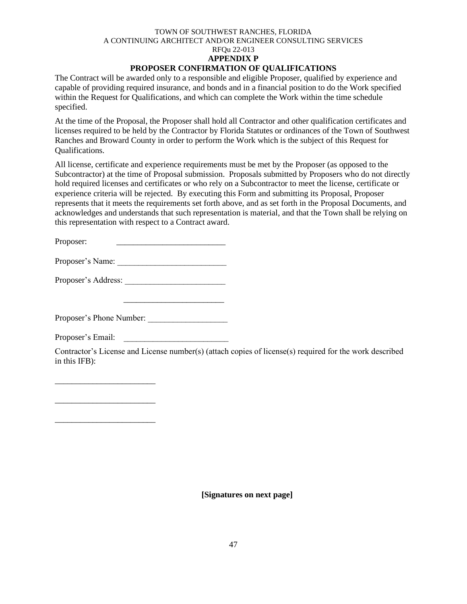# **PROPOSER CONFIRMATION OF QUALIFICATIONS**

The Contract will be awarded only to a responsible and eligible Proposer, qualified by experience and capable of providing required insurance, and bonds and in a financial position to do the Work specified within the Request for Qualifications, and which can complete the Work within the time schedule specified.

At the time of the Proposal, the Proposer shall hold all Contractor and other qualification certificates and licenses required to be held by the Contractor by Florida Statutes or ordinances of the Town of Southwest Ranches and Broward County in order to perform the Work which is the subject of this Request for Qualifications.

All license, certificate and experience requirements must be met by the Proposer (as opposed to the Subcontractor) at the time of Proposal submission. Proposals submitted by Proposers who do not directly hold required licenses and certificates or who rely on a Subcontractor to meet the license, certificate or experience criteria will be rejected. By executing this Form and submitting its Proposal, Proposer represents that it meets the requirements set forth above, and as set forth in the Proposal Documents, and acknowledges and understands that such representation is material, and that the Town shall be relying on this representation with respect to a Contract award.

Proposer:

Proposer's Name:

Proposer's Address: \_\_\_\_\_\_\_\_\_\_\_\_\_\_\_\_\_\_\_\_\_\_\_\_

Proposer's Phone Number: \_\_\_\_\_\_\_\_\_\_\_\_\_\_\_\_\_\_\_

\_\_\_\_\_\_\_\_\_\_\_\_\_\_\_\_\_\_\_\_\_\_\_\_

Proposer's Email:

\_\_\_\_\_\_\_\_\_\_\_\_\_\_\_\_\_\_\_\_\_\_\_\_

\_\_\_\_\_\_\_\_\_\_\_\_\_\_\_\_\_\_\_\_\_\_\_\_

\_\_\_\_\_\_\_\_\_\_\_\_\_\_\_\_\_\_\_\_\_\_\_\_

Contractor's License and License number(s) (attach copies of license(s) required for the work described in this IFB):

**[Signatures on next page]**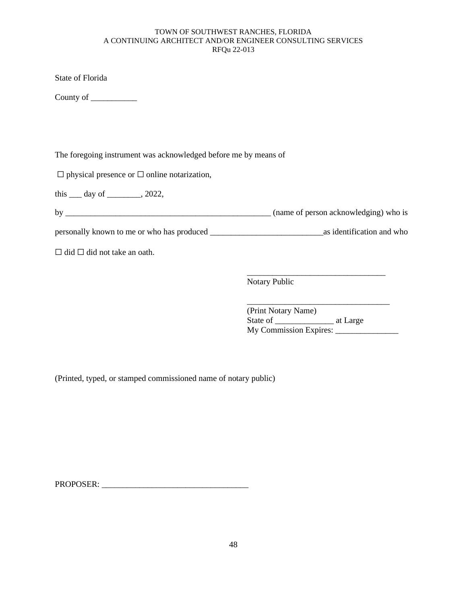State of Florida

County of \_\_\_\_\_\_\_\_\_\_\_

The foregoing instrument was acknowledged before me by means of

 $\Box$  physical presence or  $\Box$  online notarization,

this  $\rule{1em}{0.15mm}$  day of  $\rule{1em}{0.15mm}$ , 2022,

| bv |  | (name of person acknowledging) who is |  |  |  |  |  |
|----|--|---------------------------------------|--|--|--|--|--|
|----|--|---------------------------------------|--|--|--|--|--|

personally known to me or who has produced \_\_\_\_\_\_\_\_\_\_\_\_\_\_\_\_\_\_\_\_\_\_\_\_\_\_\_as identification and who

 $\Box$  did  $\Box$  did not take an oath.

Notary Public

\_\_\_\_\_\_\_\_\_\_\_\_\_\_\_\_\_\_\_\_\_\_\_\_\_\_\_\_\_\_\_\_\_\_ (Print Notary Name) State of \_\_\_\_\_\_\_\_\_\_\_\_\_\_ at Large My Commission Expires: \_\_\_\_\_\_\_\_\_\_\_\_\_\_\_

\_\_\_\_\_\_\_\_\_\_\_\_\_\_\_\_\_\_\_\_\_\_\_\_\_\_\_\_\_\_\_\_\_

(Printed, typed, or stamped commissioned name of notary public)

PROPOSER: \_\_\_\_\_\_\_\_\_\_\_\_\_\_\_\_\_\_\_\_\_\_\_\_\_\_\_\_\_\_\_\_\_\_\_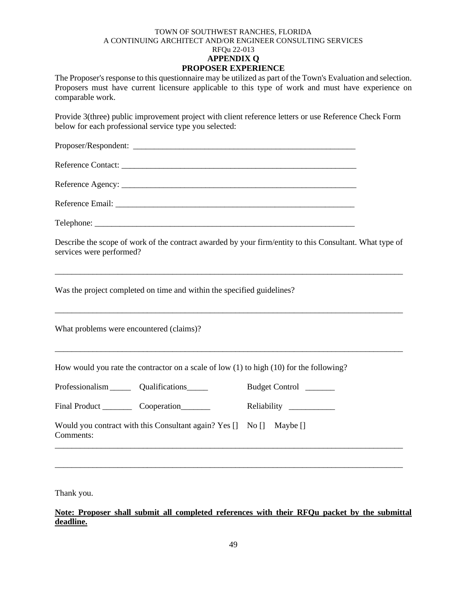# **PROPOSER EXPERIENCE**

The Proposer's response to this questionnaire may be utilized as part of the Town's Evaluation and selection. Proposers must have current licensure applicable to this type of work and must have experience on comparable work.

Provide 3(three) public improvement project with client reference letters or use Reference Check Form below for each professional service type you selected:

Proposer/Respondent: \_\_\_\_\_\_\_\_\_\_\_\_\_\_\_\_\_\_\_\_\_\_\_\_\_\_\_\_\_\_\_\_\_\_\_\_\_\_\_\_\_\_\_\_\_\_\_\_\_\_\_\_\_ Reference Contact: Reference Agency: \_\_\_\_\_\_\_\_\_\_\_\_\_\_\_\_\_\_\_\_\_\_\_\_\_\_\_\_\_\_\_\_\_\_\_\_\_\_\_\_\_\_\_\_\_\_\_\_\_\_\_\_\_\_\_\_ Reference Email: \_\_\_\_\_\_\_\_\_\_\_\_\_\_\_\_\_\_\_\_\_\_\_\_\_\_\_\_\_\_\_\_\_\_\_\_\_\_\_\_\_\_\_\_\_\_\_\_\_\_\_\_\_\_\_\_\_

Telephone:

Describe the scope of work of the contract awarded by your firm/entity to this Consultant. What type of services were performed?

\_\_\_\_\_\_\_\_\_\_\_\_\_\_\_\_\_\_\_\_\_\_\_\_\_\_\_\_\_\_\_\_\_\_\_\_\_\_\_\_\_\_\_\_\_\_\_\_\_\_\_\_\_\_\_\_\_\_\_\_\_\_\_\_\_\_\_\_\_\_\_\_\_\_\_\_\_\_\_\_\_\_\_

\_\_\_\_\_\_\_\_\_\_\_\_\_\_\_\_\_\_\_\_\_\_\_\_\_\_\_\_\_\_\_\_\_\_\_\_\_\_\_\_\_\_\_\_\_\_\_\_\_\_\_\_\_\_\_\_\_\_\_\_\_\_\_\_\_\_\_\_\_\_\_\_\_\_\_\_\_\_\_\_\_\_\_

\_\_\_\_\_\_\_\_\_\_\_\_\_\_\_\_\_\_\_\_\_\_\_\_\_\_\_\_\_\_\_\_\_\_\_\_\_\_\_\_\_\_\_\_\_\_\_\_\_\_\_\_\_\_\_\_\_\_\_\_\_\_\_\_\_\_\_\_\_\_\_\_\_\_\_\_\_\_\_\_\_\_\_

Was the project completed on time and within the specified guidelines?

What problems were encountered (claims)?

How would you rate the contractor on a scale of low (1) to high (10) for the following?

|           | Professionalism _______ Qualifications______                                                                                           | Budget Control |
|-----------|----------------------------------------------------------------------------------------------------------------------------------------|----------------|
|           |                                                                                                                                        |                |
| Comments: | Would you contract with this Consultant again? Yes $\begin{bmatrix} 1 \\ 0 \end{bmatrix}$ Maybe $\begin{bmatrix} 1 \\ 0 \end{bmatrix}$ |                |
|           |                                                                                                                                        |                |

Thank you.

**Note: Proposer shall submit all completed references with their RFQu packet by the submittal deadline.**

\_\_\_\_\_\_\_\_\_\_\_\_\_\_\_\_\_\_\_\_\_\_\_\_\_\_\_\_\_\_\_\_\_\_\_\_\_\_\_\_\_\_\_\_\_\_\_\_\_\_\_\_\_\_\_\_\_\_\_\_\_\_\_\_\_\_\_\_\_\_\_\_\_\_\_\_\_\_\_\_\_\_\_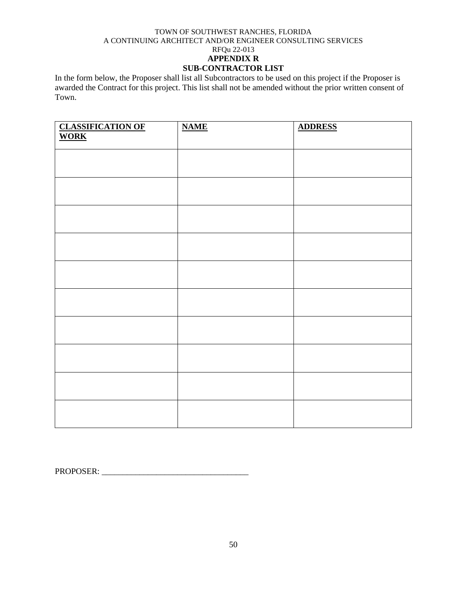# **SUB-CONTRACTOR LIST**

In the form below, the Proposer shall list all Subcontractors to be used on this project if the Proposer is awarded the Contract for this project. This list shall not be amended without the prior written consent of Town.

| <b>CLASSIFICATION OF</b><br>WORK | <b>NAME</b> | <b>ADDRESS</b> |
|----------------------------------|-------------|----------------|
|                                  |             |                |
|                                  |             |                |
|                                  |             |                |
|                                  |             |                |
|                                  |             |                |
|                                  |             |                |
|                                  |             |                |
|                                  |             |                |
|                                  |             |                |
|                                  |             |                |
|                                  |             |                |

PROPOSER: \_\_\_\_\_\_\_\_\_\_\_\_\_\_\_\_\_\_\_\_\_\_\_\_\_\_\_\_\_\_\_\_\_\_\_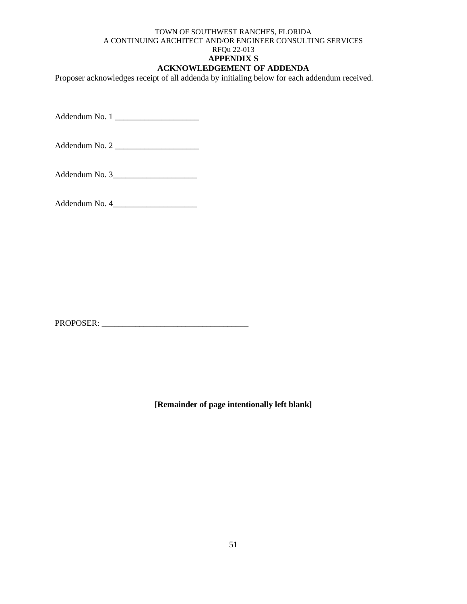# **APPENDIX S**

# **ACKNOWLEDGEMENT OF ADDENDA**

Proposer acknowledges receipt of all addenda by initialing below for each addendum received.

Addendum No. 1 \_\_\_\_\_\_\_\_\_\_\_\_\_\_\_\_\_\_\_\_

Addendum No. 2 \_\_\_\_\_\_\_\_\_\_\_\_\_\_\_\_\_\_\_\_

Addendum No. 3\_\_\_\_\_\_\_\_\_\_\_\_\_\_\_\_\_\_\_\_

Addendum No. 4\_\_\_\_\_\_\_\_\_\_\_\_\_\_\_\_\_\_\_\_

PROPOSER: \_\_\_\_\_\_\_\_\_\_\_\_\_\_\_\_\_\_\_\_\_\_\_\_\_\_\_\_\_\_\_\_\_\_\_

**[Remainder of page intentionally left blank]**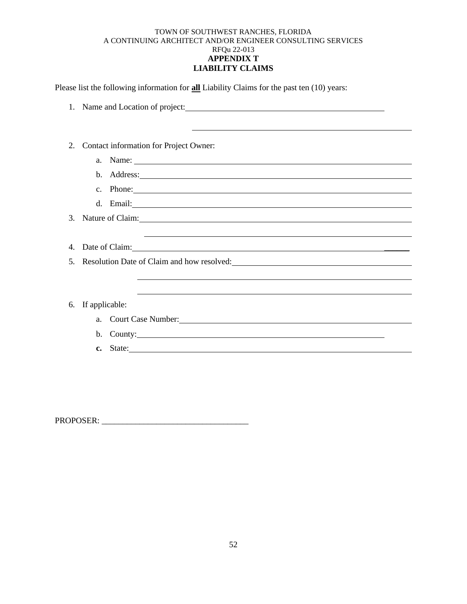### TOWN OF SOUTHWEST RANCHES, FLORIDA A CONTINUING ARCHITECT AND/OR ENGINEER CONSULTING SERVICES RFQu 22-013 **APPENDIX T LIABILITY CLAIMS**

Please list the following information for **all** Liability Claims for the past ten (10) years:

| $1_{-}$ | Name and Location of project:                                                                                                                                                                                                        |
|---------|--------------------------------------------------------------------------------------------------------------------------------------------------------------------------------------------------------------------------------------|
|         |                                                                                                                                                                                                                                      |
|         |                                                                                                                                                                                                                                      |
| 2.      | Contact information for Project Owner:                                                                                                                                                                                               |
|         |                                                                                                                                                                                                                                      |
|         | b. Address: <u>Contract and Secretary and Secretary and Secretary and Secretary and Secretary and Secretary and Secretary and Secretary and Secretary and Secretary and Secretary and Secretary and Secretary and Secretary and </u> |
|         | c. Phone:                                                                                                                                                                                                                            |
|         |                                                                                                                                                                                                                                      |
| 3.      | Nature of Claim:                                                                                                                                                                                                                     |
|         |                                                                                                                                                                                                                                      |
| 4.      | ,我们也不会有什么。""我们的人,我们也不会有什么?""我们的人,我们也不会有什么?""我们的人,我们也不会有什么?""我们的人,我们也不会有什么?""我们的人                                                                                                                                                     |
| 5.      | Resolution Date of Claim and how resolved:<br><u>Letting</u> and the set of Claim and how resolved:<br>Letting and the set of Claim and how resolved:                                                                                |
|         |                                                                                                                                                                                                                                      |
|         |                                                                                                                                                                                                                                      |
| 6.      | If applicable:                                                                                                                                                                                                                       |
|         | Court Case Number: 1988 Court Case Number:<br>a.                                                                                                                                                                                     |
|         |                                                                                                                                                                                                                                      |
|         |                                                                                                                                                                                                                                      |
|         | c. State:                                                                                                                                                                                                                            |

PROPOSER: \_\_\_\_\_\_\_\_\_\_\_\_\_\_\_\_\_\_\_\_\_\_\_\_\_\_\_\_\_\_\_\_\_\_\_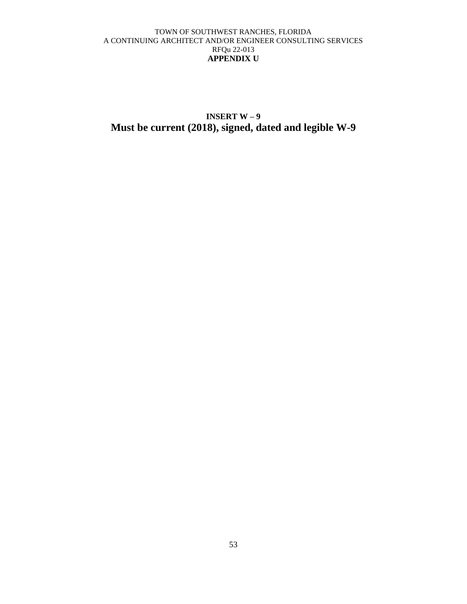**INSERT W – 9 Must be current (2018), signed, dated and legible W-9**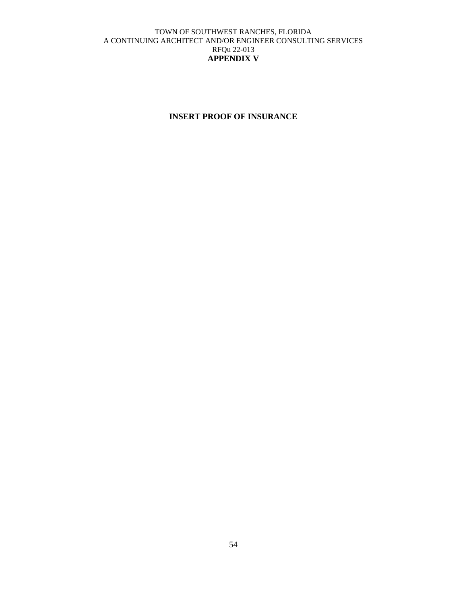# **INSERT PROOF OF INSURANCE**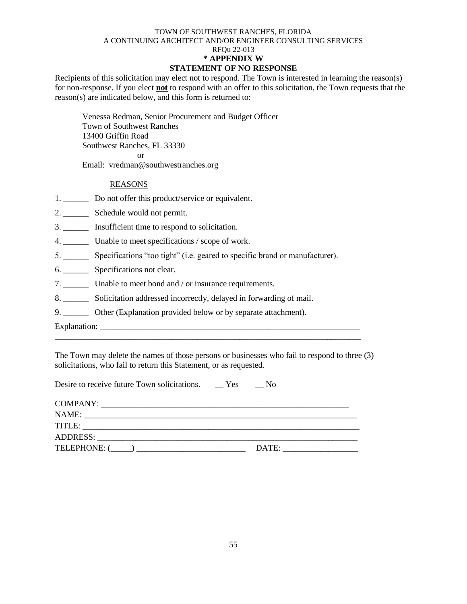# **STATEMENT OF NO RESPONSE**

Recipients of this solicitation may elect not to respond. The Town is interested in learning the reason(s) for non-response. If you elect **not** to respond with an offer to this solicitation, the Town requests that the reason(s) are indicated below, and this form is returned to:

Venessa Redman, Senior Procurement and Budget Officer Town of Southwest Ranches 13400 Griffin Road Southwest Ranches, FL 33330 or Email: vredman@southwestranches.org

### **REASONS**

- 1. Do not offer this product/service or equivalent.
- 2. \_\_\_\_\_\_ Schedule would not permit.
- 3. \_\_\_\_\_\_ Insufficient time to respond to solicitation.
- 4. Unable to meet specifications / scope of work.
- 5. \_\_\_\_\_\_ Specifications "too tight" (i.e. geared to specific brand or manufacturer).
- 6. \_\_\_\_\_\_ Specifications not clear.
- 7. \_\_\_\_\_\_ Unable to meet bond and / or insurance requirements.
- 8. \_\_\_\_\_\_ Solicitation addressed incorrectly, delayed in forwarding of mail.
- 9. \_\_\_\_\_\_ Other (Explanation provided below or by separate attachment).

Explanation: \_\_\_\_\_\_\_\_\_\_\_\_\_\_\_\_\_\_\_\_\_\_\_\_\_\_\_\_\_\_\_\_\_\_\_\_\_\_\_\_\_\_\_\_\_\_\_\_\_\_\_\_\_\_\_\_\_\_\_\_\_\_ \_\_\_\_\_\_\_\_\_\_\_\_\_\_\_\_\_\_\_\_\_\_\_\_\_\_\_\_\_\_\_\_\_\_\_\_\_\_\_\_\_\_\_\_\_\_\_\_\_\_\_\_\_\_\_\_\_\_\_\_\_\_\_\_\_\_\_\_\_\_\_\_\_

The Town may delete the names of those persons or businesses who fail to respond to three (3) solicitations, who fail to return this Statement, or as requested.

| Desire to receive future Town solicitations. Yes No |       |  |
|-----------------------------------------------------|-------|--|
|                                                     |       |  |
|                                                     |       |  |
|                                                     |       |  |
|                                                     |       |  |
|                                                     | DATE: |  |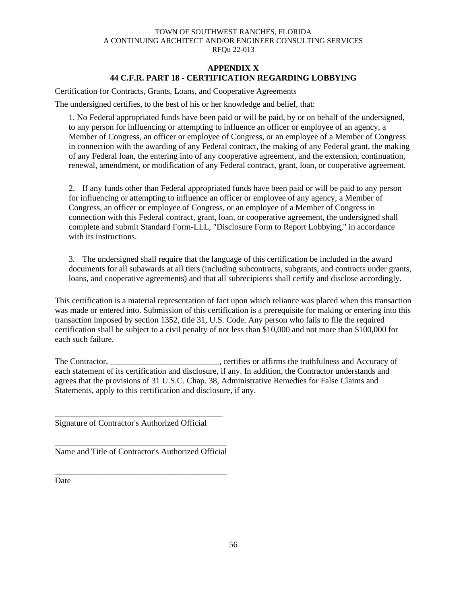### **APPENDIX X 44 C.F.R. PART 18 - CERTIFICATION REGARDING LOBBYING**

Certification for Contracts, Grants, Loans, and Cooperative Agreements

The undersigned certifies, to the best of his or her knowledge and belief, that:

1. No Federal appropriated funds have been paid or will be paid, by or on behalf of the undersigned, to any person for influencing or attempting to influence an officer or employee of an agency, a Member of Congress, an officer or employee of Congress, or an employee of a Member of Congress in connection with the awarding of any Federal contract, the making of any Federal grant, the making of any Federal loan, the entering into of any cooperative agreement, and the extension, continuation, renewal, amendment, or modification of any Federal contract, grant, loan, or cooperative agreement.

2. If any funds other than Federal appropriated funds have been paid or will be paid to any person for influencing or attempting to influence an officer or employee of any agency, a Member of Congress, an officer or employee of Congress, or an employee of a Member of Congress in connection with this Federal contract, grant, loan, or cooperative agreement, the undersigned shall complete and submit Standard Form-LLL, "Disclosure Form to Report Lobbying," in accordance with its instructions.

3. The undersigned shall require that the language of this certification be included in the award documents for all subawards at all tiers (including subcontracts, subgrants, and contracts under grants, loans, and cooperative agreements) and that all subrecipients shall certify and disclose accordingly.

This certification is a material representation of fact upon which reliance was placed when this transaction was made or entered into. Submission of this certification is a prerequisite for making or entering into this transaction imposed by section 1352, title 31, U.S. Code. Any person who fails to file the required certification shall be subject to a civil penalty of not less than \$10,000 and not more than \$100,000 for each such failure.

The Contractor, \_\_\_\_\_\_\_\_\_\_\_\_\_\_\_\_\_\_\_\_\_\_\_\_, certifies or affirms the truthfulness and Accuracy of each statement of its certification and disclosure, if any. In addition, the Contractor understands and agrees that the provisions of 31 U.S.C. Chap. 38, Administrative Remedies for False Claims and Statements, apply to this certification and disclosure, if any.

Signature of Contractor's Authorized Official

\_\_\_\_\_\_\_\_\_\_\_\_\_\_\_\_\_\_\_\_\_\_\_\_\_\_\_\_\_\_\_\_\_\_\_\_\_\_\_\_

\_\_\_\_\_\_\_\_\_\_\_\_\_\_\_\_\_\_\_\_\_\_\_\_\_\_\_\_\_\_\_\_\_\_\_\_\_\_\_\_\_ Name and Title of Contractor's Authorized Official

\_\_\_\_\_\_\_\_\_\_\_\_\_\_\_\_\_\_\_\_\_\_\_\_\_\_\_\_\_\_\_\_\_\_\_\_\_\_\_\_\_

Date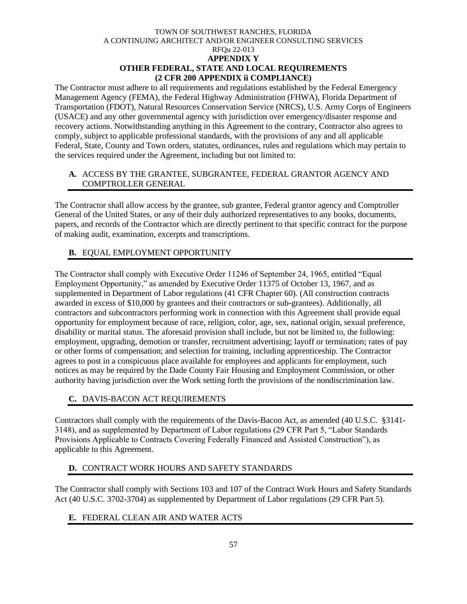### TOWN OF SOUTHWEST RANCHES, FLORIDA A CONTINUING ARCHITECT AND/OR ENGINEER CONSULTING SERVICES RFQu 22-013 **APPENDIX Y OTHER FEDERAL, STATE AND LOCAL REQUIREMENTS (2 CFR 200 APPENDIX ii COMPLIANCE)**

The Contractor must adhere to all requirements and regulations established by the Federal Emergency Management Agency (FEMA), the Federal Highway Administration (FHWA), Florida Department of Transportation (FDOT), Natural Resources Conservation Service (NRCS), U.S. Army Corps of Engineers (USACE) and any other governmental agency with jurisdiction over emergency/disaster response and recovery actions. Notwithstanding anything in this Agreement to the contrary, Contractor also agrees to comply, subject to applicable professional standards, with the provisions of any and all applicable Federal, State, County and Town orders, statutes, ordinances, rules and regulations which may pertain to the services required under the Agreement, including but not limited to:

# **A.** ACCESS BY THE GRANTEE, SUBGRANTEE, FEDERAL GRANTOR AGENCY AND COMPTROLLER GENERAL

The Contractor shall allow access by the grantee, sub grantee, Federal grantor agency and Comptroller General of the United States, or any of their duly authorized representatives to any books, documents, papers, and records of the Contractor which are directly pertinent to that specific contract for the purpose of making audit, examination, excerpts and transcriptions.

# **B.** EQUAL EMPLOYMENT OPPORTUNITY

The Contractor shall comply with Executive Order 11246 of September 24, 1965, entitled "Equal Employment Opportunity," as amended by Executive Order 11375 of October 13, 1967, and as supplemented in Department of Labor regulations (41 CFR Chapter 60). (All construction contracts awarded in excess of \$10,000 by grantees and their contractors or sub-grantees). Additionally, all contractors and subcontractors performing work in connection with this Agreement shall provide equal opportunity for employment because of race, religion, color, age, sex, national origin, sexual preference, disability or marital status. The aforesaid provision shall include, but not be limited to, the following: employment, upgrading, demotion or transfer, recruitment advertising; layoff or termination; rates of pay or other forms of compensation; and selection for training, including apprenticeship. The Contractor agrees to post in a conspicuous place available for employees and applicants for employment, such notices as may be required by the Dade County Fair Housing and Employment Commission, or other authority having jurisdiction over the Work setting forth the provisions of the nondiscrimination law.

# **C.** DAVIS-BACON ACT REQUIREMENTS

Contractors shall comply with the requirements of the Davis-Bacon Act, as amended (40 U.S.C. §3141- 3148), and as supplemented by Department of Labor regulations (29 CFR Part 5, "Labor Standards Provisions Applicable to Contracts Covering Federally Financed and Assisted Construction"), as applicable to this Agreement.

# **D.** CONTRACT WORK HOURS AND SAFETY STANDARDS

The Contractor shall comply with Sections 103 and 107 of the Contract Work Hours and Safety Standards Act (40 U.S.C. 3702-3704) as supplemented by Department of Labor regulations (29 CFR Part 5).

# **E.** FEDERAL CLEAN AIR AND WATER ACTS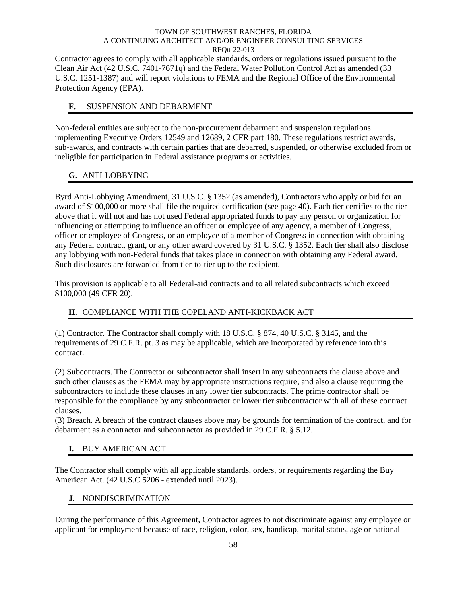Contractor agrees to comply with all applicable standards, orders or regulations issued pursuant to the Clean Air Act (42 U.S.C. 7401-7671q) and the Federal Water Pollution Control Act as amended (33 U.S.C. 1251-1387) and will report violations to FEMA and the Regional Office of the Environmental Protection Agency (EPA).

# **F.** SUSPENSION AND DEBARMENT

Non-federal entities are subject to the non-procurement debarment and suspension regulations implementing Executive Orders 12549 and 12689, 2 CFR part 180. These regulations restrict awards, sub-awards, and contracts with certain parties that are debarred, suspended, or otherwise excluded from or ineligible for participation in Federal assistance programs or activities.

# **G.** ANTI-LOBBYING

Byrd Anti-Lobbying Amendment, 31 U.S.C. § 1352 (as amended), Contractors who apply or bid for an award of \$100,000 or more shall file the required certification (see page 40). Each tier certifies to the tier above that it will not and has not used Federal appropriated funds to pay any person or organization for influencing or attempting to influence an officer or employee of any agency, a member of Congress, officer or employee of Congress, or an employee of a member of Congress in connection with obtaining any Federal contract, grant, or any other award covered by 31 U.S.C. § 1352. Each tier shall also disclose any lobbying with non-Federal funds that takes place in connection with obtaining any Federal award. Such disclosures are forwarded from tier-to-tier up to the recipient.

This provision is applicable to all Federal-aid contracts and to all related subcontracts which exceed \$100,000 (49 CFR 20).

# **H.** COMPLIANCE WITH THE COPELAND ANTI-KICKBACK ACT

(1) Contractor. The Contractor shall comply with 18 U.S.C. § 874, 40 U.S.C. § 3145, and the requirements of 29 C.F.R. pt. 3 as may be applicable, which are incorporated by reference into this contract.

(2) Subcontracts. The Contractor or subcontractor shall insert in any subcontracts the clause above and such other clauses as the FEMA may by appropriate instructions require, and also a clause requiring the subcontractors to include these clauses in any lower tier subcontracts. The prime contractor shall be responsible for the compliance by any subcontractor or lower tier subcontractor with all of these contract clauses.

(3) Breach. A breach of the contract clauses above may be grounds for termination of the contract, and for debarment as a contractor and subcontractor as provided in 29 C.F.R. § 5.12.

# **I.** BUY AMERICAN ACT

The Contractor shall comply with all applicable standards, orders, or requirements regarding the Buy American Act. (42 U.S.C 5206 - extended until 2023).

# **J.** NONDISCRIMINATION

During the performance of this Agreement, Contractor agrees to not discriminate against any employee or applicant for employment because of race, religion, color, sex, handicap, marital status, age or national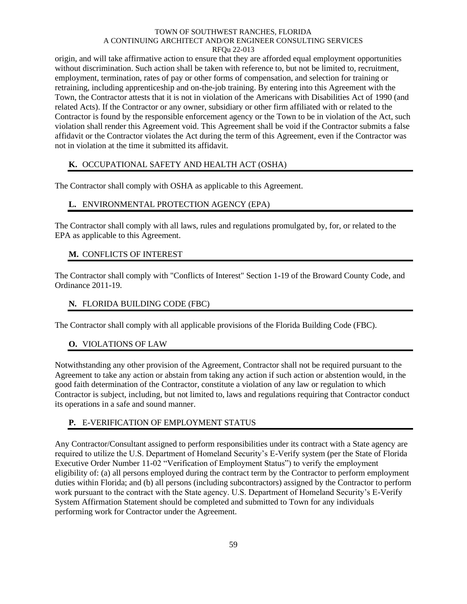origin, and will take affirmative action to ensure that they are afforded equal employment opportunities without discrimination. Such action shall be taken with reference to, but not be limited to, recruitment, employment, termination, rates of pay or other forms of compensation, and selection for training or retraining, including apprenticeship and on-the-job training. By entering into this Agreement with the Town, the Contractor attests that it is not in violation of the Americans with Disabilities Act of 1990 (and related Acts). If the Contractor or any owner, subsidiary or other firm affiliated with or related to the Contractor is found by the responsible enforcement agency or the Town to be in violation of the Act, such violation shall render this Agreement void. This Agreement shall be void if the Contractor submits a false affidavit or the Contractor violates the Act during the term of this Agreement, even if the Contractor was not in violation at the time it submitted its affidavit.

# **K.** OCCUPATIONAL SAFETY AND HEALTH ACT (OSHA)

The Contractor shall comply with OSHA as applicable to this Agreement.

# **L.** ENVIRONMENTAL PROTECTION AGENCY (EPA)

The Contractor shall comply with all laws, rules and regulations promulgated by, for, or related to the EPA as applicable to this Agreement.

# **M.** CONFLICTS OF INTEREST

The Contractor shall comply with "Conflicts of Interest" Section 1-19 of the Broward County Code, and Ordinance 2011-19.

# **N.** FLORIDA BUILDING CODE (FBC)

The Contractor shall comply with all applicable provisions of the Florida Building Code (FBC).

# **O.** VIOLATIONS OF LAW

Notwithstanding any other provision of the Agreement, Contractor shall not be required pursuant to the Agreement to take any action or abstain from taking any action if such action or abstention would, in the good faith determination of the Contractor, constitute a violation of any law or regulation to which Contractor is subject, including, but not limited to, laws and regulations requiring that Contractor conduct its operations in a safe and sound manner.

# **P.** E-VERIFICATION OF EMPLOYMENT STATUS

Any Contractor/Consultant assigned to perform responsibilities under its contract with a State agency are required to utilize the U.S. Department of Homeland Security's E-Verify system (per the State of Florida Executive Order Number 11-02 "Verification of Employment Status") to verify the employment eligibility of: (a) all persons employed during the contract term by the Contractor to perform employment duties within Florida; and (b) all persons (including subcontractors) assigned by the Contractor to perform work pursuant to the contract with the State agency. U.S. Department of Homeland Security's E-Verify System Affirmation Statement should be completed and submitted to Town for any individuals performing work for Contractor under the Agreement.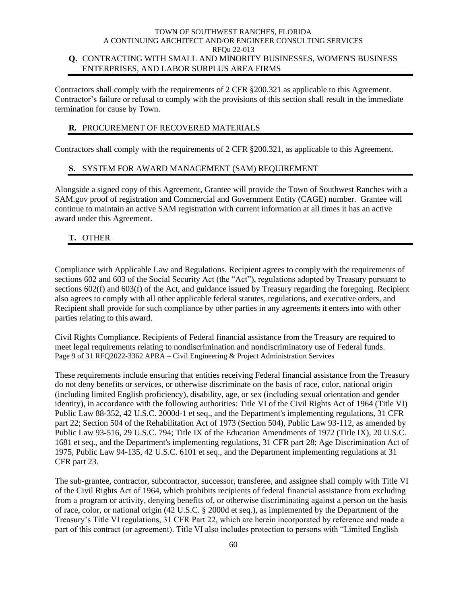### TOWN OF SOUTHWEST RANCHES, FLORIDA A CONTINUING ARCHITECT AND/OR ENGINEER CONSULTING SERVICES RFQu 22-013 **Q.** CONTRACTING WITH SMALL AND MINORITY BUSINESSES, WOMEN'S BUSINESS ENTERPRISES, AND LABOR SURPLUS AREA FIRMS

Contractors shall comply with the requirements of 2 CFR §200.321 as applicable to this Agreement. Contractor's failure or refusal to comply with the provisions of this section shall result in the immediate termination for cause by Town.

# **R.** PROCUREMENT OF RECOVERED MATERIALS

Contractors shall comply with the requirements of 2 CFR §200.321, as applicable to this Agreement.

### **S.** SYSTEM FOR AWARD MANAGEMENT (SAM) REQUIREMENT

Alongside a signed copy of this Agreement, Grantee will provide the Town of Southwest Ranches with a SAM.gov proof of registration and Commercial and Government Entity (CAGE) number. Grantee will continue to maintain an active SAM registration with current information at all times it has an active award under this Agreement.

### **T.** OTHER

Compliance with Applicable Law and Regulations. Recipient agrees to comply with the requirements of sections 602 and 603 of the Social Security Act (the "Act"), regulations adopted by Treasury pursuant to sections 602(f) and 603(f) of the Act, and guidance issued by Treasury regarding the foregoing. Recipient also agrees to comply with all other applicable federal statutes, regulations, and executive orders, and Recipient shall provide for such compliance by other parties in any agreements it enters into with other parties relating to this award.

Civil Rights Compliance. Recipients of Federal financial assistance from the Treasury are required to meet legal requirements relating to nondiscrimination and nondiscriminatory use of Federal funds. Page 9 of 31 RFQ2022-3362 APRA – Civil Engineering & Project Administration Services

These requirements include ensuring that entities receiving Federal financial assistance from the Treasury do not deny benefits or services, or otherwise discriminate on the basis of race, color, national origin (including limited English proficiency), disability, age, or sex (including sexual orientation and gender identity), in accordance with the following authorities: Title VI of the Civil Rights Act of 1964 (Title VI) Public Law 88-352, 42 U.S.C. 2000d-1 et seq., and the Department's implementing regulations, 31 CFR part 22; Section 504 of the Rehabilitation Act of 1973 (Section 504), Public Law 93-112, as amended by Public Law 93-516, 29 U.S.C. 794; Title IX of the Education Amendments of 1972 (Title IX), 20 U.S.C. 1681 et seq., and the Department's implementing regulations, 31 CFR part 28; Age Discrimination Act of 1975, Public Law 94-135, 42 U.S.C. 6101 et seq., and the Department implementing regulations at 31 CFR part 23.

The sub-grantee, contractor, subcontractor, successor, transferee, and assignee shall comply with Title VI of the Civil Rights Act of 1964, which prohibits recipients of federal financial assistance from excluding from a program or activity, denying benefits of, or otherwise discriminating against a person on the basis of race, color, or national origin (42 U.S.C. § 2000d et seq.), as implemented by the Department of the Treasury's Title VI regulations, 31 CFR Part 22, which are herein incorporated by reference and made a part of this contract (or agreement). Title VI also includes protection to persons with "Limited English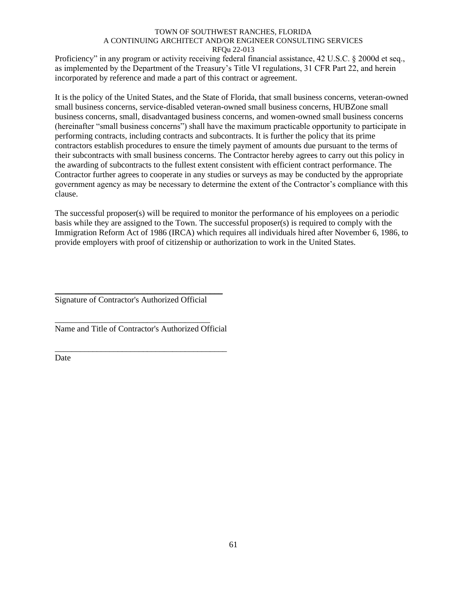Proficiency" in any program or activity receiving federal financial assistance, 42 U.S.C. § 2000d et seq., as implemented by the Department of the Treasury's Title VI regulations, 31 CFR Part 22, and herein incorporated by reference and made a part of this contract or agreement.

It is the policy of the United States, and the State of Florida, that small business concerns, veteran-owned small business concerns, service-disabled veteran-owned small business concerns, HUBZone small business concerns, small, disadvantaged business concerns, and women-owned small business concerns (hereinafter "small business concerns") shall have the maximum practicable opportunity to participate in performing contracts, including contracts and subcontracts. It is further the policy that its prime contractors establish procedures to ensure the timely payment of amounts due pursuant to the terms of their subcontracts with small business concerns. The Contractor hereby agrees to carry out this policy in the awarding of subcontracts to the fullest extent consistent with efficient contract performance. The Contractor further agrees to cooperate in any studies or surveys as may be conducted by the appropriate government agency as may be necessary to determine the extent of the Contractor's compliance with this clause.

The successful proposer(s) will be required to monitor the performance of his employees on a periodic basis while they are assigned to the Town. The successful proposer(s) is required to comply with the Immigration Reform Act of 1986 (IRCA) which requires all individuals hired after November 6, 1986, to provide employers with proof of citizenship or authorization to work in the United States.

Signature of Contractor's Authorized Official

\_\_\_\_\_\_\_\_\_\_\_\_\_\_\_\_\_\_\_\_\_\_\_\_\_\_\_\_\_\_\_\_\_\_\_\_\_ Name and Title of Contractor's Authorized Official

\_\_\_\_\_\_\_\_\_\_\_\_\_\_\_\_\_\_\_\_\_\_\_\_\_\_\_\_\_\_\_\_\_\_\_\_\_\_\_\_

\_\_\_\_\_\_\_\_\_\_\_\_\_\_\_\_\_\_\_\_\_\_\_\_\_\_\_\_\_\_\_\_\_\_\_\_\_\_\_\_\_ Date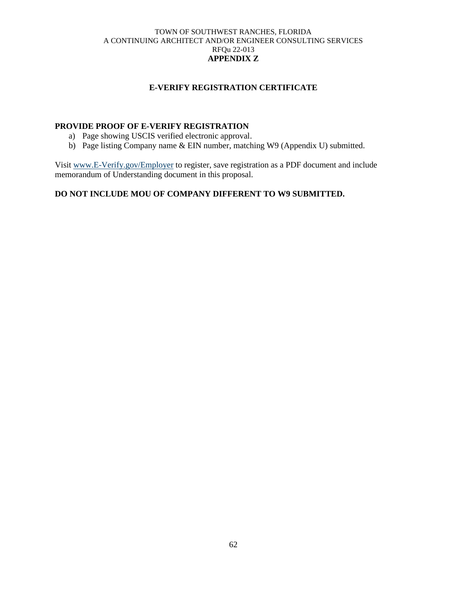# **E-VERIFY REGISTRATION CERTIFICATE**

### **PROVIDE PROOF OF E-VERIFY REGISTRATION**

- a) Page showing USCIS verified electronic approval.
- b) Page listing Company name & EIN number, matching W9 (Appendix U) submitted.

Visit [www.E-Verify.gov/Employer](http://www.e-verify.gov/Employer) to register, save registration as a PDF document and include memorandum of Understanding document in this proposal.

# **DO NOT INCLUDE MOU OF COMPANY DIFFERENT TO W9 SUBMITTED.**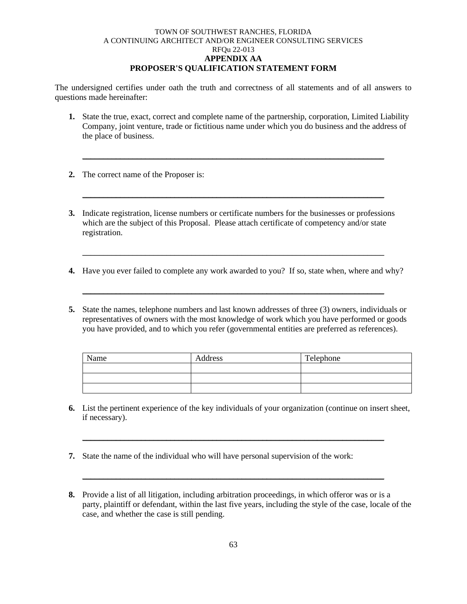### TOWN OF SOUTHWEST RANCHES, FLORIDA A CONTINUING ARCHITECT AND/OR ENGINEER CONSULTING SERVICES RFQu 22-013 **APPENDIX AA PROPOSER'S QUALIFICATION STATEMENT FORM**

The undersigned certifies under oath the truth and correctness of all statements and of all answers to questions made hereinafter:

**1.** State the true, exact, correct and complete name of the partnership, corporation, Limited Liability Company, joint venture, trade or fictitious name under which you do business and the address of the place of business.

\_\_\_\_\_\_\_\_\_\_\_\_\_\_\_\_\_\_\_\_\_\_\_\_\_\_\_\_\_\_\_\_\_\_\_\_\_\_\_\_\_\_\_\_\_\_\_\_\_\_\_\_\_\_\_\_\_\_\_\_\_\_\_\_\_\_\_\_\_\_\_\_

- **2.** The correct name of the Proposer is:
- **3.** Indicate registration, license numbers or certificate numbers for the businesses or professions which are the subject of this Proposal. Please attach certificate of competency and/or state registration.

\_\_\_\_\_\_\_\_\_\_\_\_\_\_\_\_\_\_\_\_\_\_\_\_\_\_\_\_\_\_\_\_\_\_\_\_\_\_\_\_\_\_\_\_\_\_\_\_\_\_\_\_\_\_\_\_\_\_\_\_\_\_\_\_\_\_\_\_\_\_\_\_

\_\_\_\_\_\_\_\_\_\_\_\_\_\_\_\_\_\_\_\_\_\_\_\_\_\_\_\_\_\_\_\_\_\_\_\_\_\_\_\_\_\_\_\_\_\_\_\_\_\_\_\_\_\_\_\_\_\_\_\_\_\_\_\_\_\_\_\_\_\_\_\_

**4.** Have you ever failed to complete any work awarded to you? If so, state when, where and why?

\_\_\_\_\_\_\_\_\_\_\_\_\_\_\_\_\_\_\_\_\_\_\_\_\_\_\_\_\_\_\_\_\_\_\_\_\_\_\_\_\_\_\_\_\_\_\_\_\_\_\_\_\_\_\_\_\_\_\_\_\_\_\_\_\_\_\_\_\_\_\_\_

**5.** State the names, telephone numbers and last known addresses of three (3) owners, individuals or representatives of owners with the most knowledge of work which you have performed or goods you have provided, and to which you refer (governmental entities are preferred as references).

| Name | Address | Telephone |
|------|---------|-----------|
|      |         |           |
|      |         |           |
|      |         |           |

**6.** List the pertinent experience of the key individuals of your organization (continue on insert sheet, if necessary).

\_\_\_\_\_\_\_\_\_\_\_\_\_\_\_\_\_\_\_\_\_\_\_\_\_\_\_\_\_\_\_\_\_\_\_\_\_\_\_\_\_\_\_\_\_\_\_\_\_\_\_\_\_\_\_\_\_\_\_\_\_\_\_\_\_\_\_\_\_\_\_\_

\_\_\_\_\_\_\_\_\_\_\_\_\_\_\_\_\_\_\_\_\_\_\_\_\_\_\_\_\_\_\_\_\_\_\_\_\_\_\_\_\_\_\_\_\_\_\_\_\_\_\_\_\_\_\_\_\_\_\_\_\_\_\_\_\_\_\_\_\_\_\_\_

**7.** State the name of the individual who will have personal supervision of the work:

**<sup>8.</sup>** Provide a list of all litigation, including arbitration proceedings, in which offeror was or is a party, plaintiff or defendant, within the last five years, including the style of the case, locale of the case, and whether the case is still pending.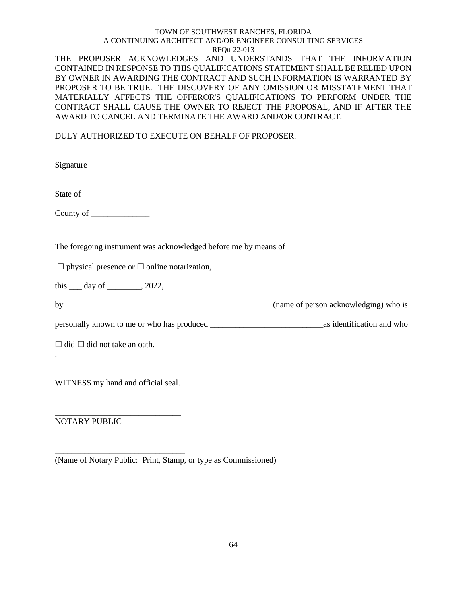THE PROPOSER ACKNOWLEDGES AND UNDERSTANDS THAT THE INFORMATION CONTAINED IN RESPONSE TO THIS QUALIFICATIONS STATEMENT SHALL BE RELIED UPON BY OWNER IN AWARDING THE CONTRACT AND SUCH INFORMATION IS WARRANTED BY PROPOSER TO BE TRUE. THE DISCOVERY OF ANY OMISSION OR MISSTATEMENT THAT MATERIALLY AFFECTS THE OFFEROR'S QUALIFICATIONS TO PERFORM UNDER THE CONTRACT SHALL CAUSE THE OWNER TO REJECT THE PROPOSAL, AND IF AFTER THE AWARD TO CANCEL AND TERMINATE THE AWARD AND/OR CONTRACT.

DULY AUTHORIZED TO EXECUTE ON BEHALF OF PROPOSER.

| Signature                                                       |  |
|-----------------------------------------------------------------|--|
|                                                                 |  |
| County of $\qquad \qquad$                                       |  |
| The foregoing instrument was acknowledged before me by means of |  |
| $\Box$ physical presence or $\Box$ online notarization,         |  |
| this $\_\_$ day of $\_\_$ , 2022,                               |  |
|                                                                 |  |
|                                                                 |  |
| $\Box$ did $\Box$ did not take an oath.                         |  |
|                                                                 |  |
|                                                                 |  |

\_\_\_\_\_\_\_\_\_\_\_\_\_\_\_\_\_\_\_\_\_\_\_\_\_\_\_\_\_\_

NOTARY PUBLIC

WITNESS my hand and official seal.

\_\_\_\_\_\_\_\_\_\_\_\_\_\_\_\_\_\_\_\_\_\_\_\_\_\_\_\_\_\_\_ (Name of Notary Public: Print, Stamp, or type as Commissioned)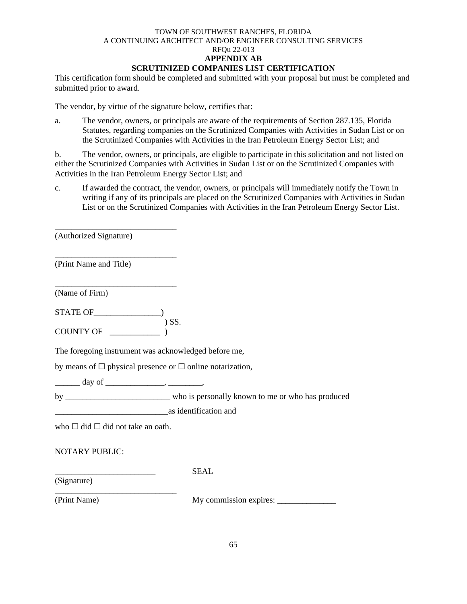**SCRUTINIZED COMPANIES LIST CERTIFICATION**

This certification form should be completed and submitted with your proposal but must be completed and submitted prior to award.

The vendor, by virtue of the signature below, certifies that:

a. The vendor, owners, or principals are aware of the requirements of Section 287.135, Florida Statutes, regarding companies on the Scrutinized Companies with Activities in Sudan List or on the Scrutinized Companies with Activities in the Iran Petroleum Energy Sector List; and

b. The vendor, owners, or principals, are eligible to participate in this solicitation and not listed on either the Scrutinized Companies with Activities in Sudan List or on the Scrutinized Companies with Activities in the Iran Petroleum Energy Sector List; and

c. If awarded the contract, the vendor, owners, or principals will immediately notify the Town in writing if any of its principals are placed on the Scrutinized Companies with Activities in Sudan List or on the Scrutinized Companies with Activities in the Iran Petroleum Energy Sector List.

(Authorized Signature)

(Print Name and Title)

(Name of Firm)

STATE OF\_\_\_\_\_\_\_\_\_\_\_\_\_\_\_\_) ) SS. COUNTY OF

\_\_\_\_\_\_\_\_\_\_\_\_\_\_\_\_\_\_\_\_\_\_\_\_\_\_\_\_\_

\_\_\_\_\_\_\_\_\_\_\_\_\_\_\_\_\_\_\_\_\_\_\_\_\_\_\_\_\_

\_\_\_\_\_\_\_\_\_\_\_\_\_\_\_\_\_\_\_\_\_\_\_\_\_\_\_\_\_

The foregoing instrument was acknowledged before me,

by means of  $\Box$  physical presence or  $\Box$  online notarization,

 $\frac{day \text{ of } \qquad}{\text{ if } \qquad}$ 

by \_\_\_\_\_\_\_\_\_\_\_\_\_\_\_\_\_\_\_\_\_\_\_\_\_\_\_ who is personally known to me or who has produced \_\_\_\_\_\_\_\_\_\_\_\_\_\_\_\_\_\_\_\_\_\_\_\_\_\_\_as identification and

who  $\Box$  did  $\Box$  did not take an oath.

\_\_\_\_\_\_\_\_\_\_\_\_\_\_\_\_\_\_\_\_\_\_\_\_\_\_\_\_\_

# NOTARY PUBLIC:

\_\_\_\_\_\_\_\_\_\_\_\_\_\_\_\_\_\_\_\_\_\_\_\_ SEAL

(Signature)

(Print Name) My commission expires: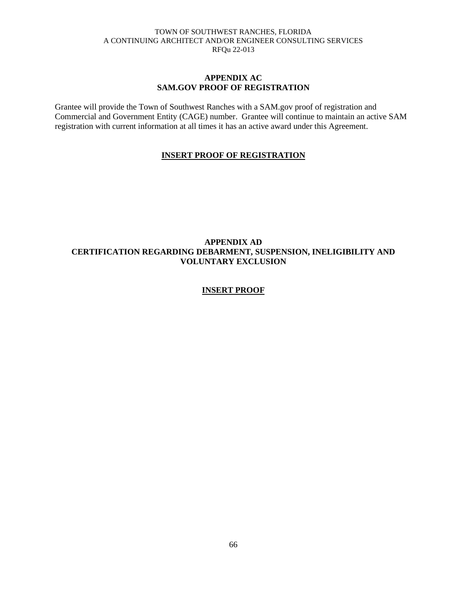# **APPENDIX AC SAM.GOV PROOF OF REGISTRATION**

Grantee will provide the Town of Southwest Ranches with a SAM.gov proof of registration and Commercial and Government Entity (CAGE) number. Grantee will continue to maintain an active SAM registration with current information at all times it has an active award under this Agreement.

# **INSERT PROOF OF REGISTRATION**

# **APPENDIX AD CERTIFICATION REGARDING DEBARMENT, SUSPENSION, INELIGIBILITY AND VOLUNTARY EXCLUSION**

# **INSERT PROOF**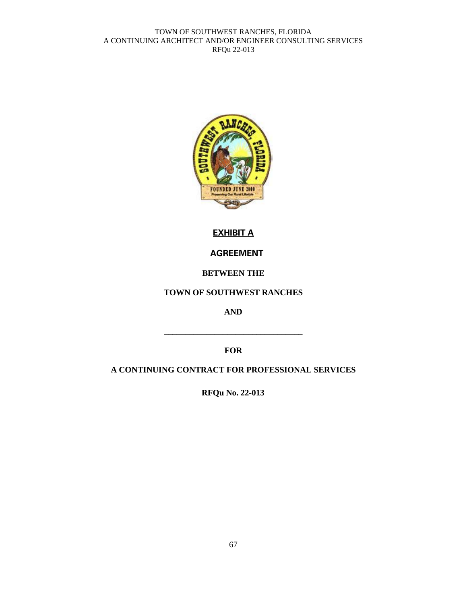

**EXHIBIT A** 

 **AGREEMENT**

# **BETWEEN THE**

# **TOWN OF SOUTHWEST RANCHES**

**AND**

**\_\_\_\_\_\_\_\_\_\_\_\_\_\_\_\_\_\_\_\_\_\_\_\_\_\_\_\_\_\_\_\_\_**

**FOR**

**A CONTINUING CONTRACT FOR PROFESSIONAL SERVICES**

**RFQu No. 22-013**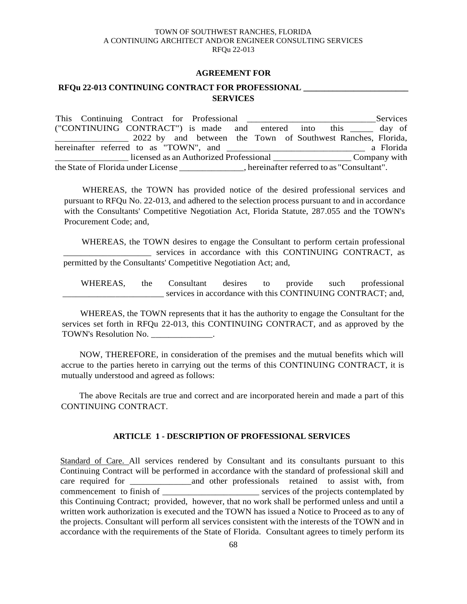#### **AGREEMENT FOR**

# **RFQu 22-013 CONTINUING CONTRACT FOR PROFESSIONAL \_\_\_\_\_\_\_\_\_\_\_\_\_\_\_\_\_\_\_\_\_\_\_\_\_ SERVICES**

This Continuing Contract for Professional **Example 2** Services ("CONTINUING CONTRACT") is made and entered into this \_\_\_\_\_ day of \_\_\_\_\_\_\_\_\_\_\_\_\_\_\_\_ 2022 by and between the Town of Southwest Ranches, Florida, hereinafter referred to as "TOWN", and \_\_\_\_\_\_\_\_\_\_\_\_\_\_\_\_\_\_\_\_\_\_\_\_\_\_\_\_\_\_ a Florida \_\_\_\_\_\_\_\_\_\_\_\_\_\_\_\_ licensed as an Authorized Professional \_\_\_\_\_\_\_\_\_\_\_\_\_\_\_\_\_ Company with the State of Florida under License \_\_\_\_\_\_\_\_\_\_\_\_\_\_, hereinafter referred to as "Consultant".

WHEREAS, the TOWN has provided notice of the desired professional services and pursuant to RFQu No. 22-013, and adhered to the selection process pursuant to and in accordance with the Consultants' Competitive Negotiation Act, Florida Statute, 287.055 and the TOWN's Procurement Code; and,

WHEREAS, the TOWN desires to engage the Consultant to perform certain professional services in accordance with this CONTINUING CONTRACT, as permitted by the Consultants' Competitive Negotiation Act; and,

WHEREAS, the Consultant desires to provide such professional services in accordance with this CONTINUING CONTRACT; and,

WHEREAS, the TOWN represents that it has the authority to engage the Consultant for the services set forth in RFQu 22-013, this CONTINUING CONTRACT, and as approved by the TOWN's Resolution No. \_\_\_\_\_\_\_\_\_\_\_\_\_\_.

NOW, THEREFORE, in consideration of the premises and the mutual benefits which will accrue to the parties hereto in carrying out the terms of this CONTINUING CONTRACT, it is mutually understood and agreed as follows:

The above Recitals are true and correct and are incorporated herein and made a part of this CONTINUING CONTRACT.

### **ARTICLE 1 - DESCRIPTION OF PROFESSIONAL SERVICES**

Standard of Care. All services rendered by Consultant and its consultants pursuant to this Continuing Contract will be performed in accordance with the standard of professional skill and care required for \_\_\_\_\_\_\_\_\_\_\_\_\_\_and other professionals retained to assist with, from commencement to finish of \_\_\_\_\_\_\_\_\_\_\_\_\_\_\_\_\_\_\_\_\_\_ services of the projects contemplated by this Continuing Contract; provided, however, that no work shall be performed unless and until a written work authorization is executed and the TOWN has issued a Notice to Proceed as to any of the projects. Consultant will perform all services consistent with the interests of the TOWN and in accordance with the requirements of the State of Florida. Consultant agrees to timely perform its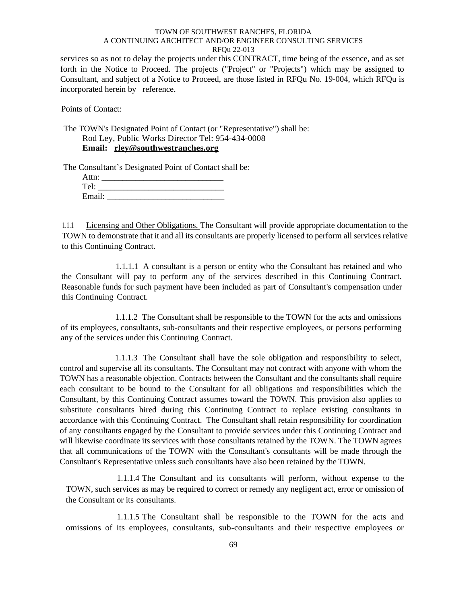services so as not to delay the projects under this CONTRACT, time being of the essence, and as set forth in the Notice to Proceed. The projects ("Project" or "Projects") which may be assigned to Consultant, and subject of a Notice to Proceed, are those listed in RFQu No. 19-004, which RFQu is incorporated herein by reference.

Points of Contact:

The TOWN's Designated Point of Contact (or "Representative") shall be: Rod Ley, Public Works Director Tel: 954-434-0008 **Email: rley@southwestranches.org**

The Consultant's Designated Point of Contact shall be:

| Attn:  |  |
|--------|--|
| Tel:   |  |
| Email: |  |

1.1.1 Licensing and Other Obligations. The Consultant will provide appropriate documentation to the TOWN to demonstrate that it and all its consultants are properly licensed to perform all services relative to this Continuing Contract.

1.1.1.1 A consultant is a person or entity who the Consultant has retained and who the Consultant will pay to perform any of the services described in this Continuing Contract. Reasonable funds for such payment have been included as part of Consultant's compensation under this Continuing Contract.

1.1.1.2 The Consultant shall be responsible to the TOWN for the acts and omissions of its employees, consultants, sub-consultants and their respective employees, or persons performing any of the services under this Continuing Contract.

1.1.1.3 The Consultant shall have the sole obligation and responsibility to select, control and supervise all its consultants. The Consultant may not contract with anyone with whom the TOWN has a reasonable objection. Contracts between the Consultant and the consultants shall require each consultant to be bound to the Consultant for all obligations and responsibilities which the Consultant, by this Continuing Contract assumes toward the TOWN. This provision also applies to substitute consultants hired during this Continuing Contract to replace existing consultants in accordance with this Continuing Contract. The Consultant shall retain responsibility for coordination of any consultants engaged by the Consultant to provide services under this Continuing Contract and will likewise coordinate its services with those consultants retained by the TOWN. The TOWN agrees that all communications of the TOWN with the Consultant's consultants will be made through the Consultant's Representative unless such consultants have also been retained by the TOWN.

1.1.1.4 The Consultant and its consultants will perform, without expense to the TOWN, such services as may be required to correct or remedy any negligent act, error or omission of the Consultant or its consultants.

1.1.1.5 The Consultant shall be responsible to the TOWN for the acts and omissions of its employees, consultants, sub-consultants and their respective employees or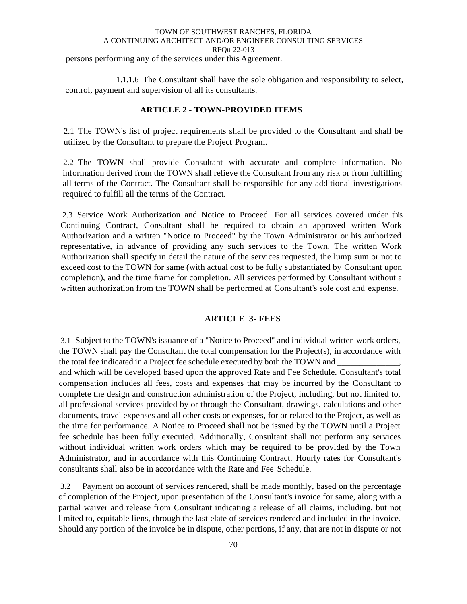persons performing any of the services under this Agreement.

1.1.1.6 The Consultant shall have the sole obligation and responsibility to select, control, payment and supervision of all its consultants.

### **ARTICLE 2 - TOWN-PROVIDED ITEMS**

2.1 The TOWN's list of project requirements shall be provided to the Consultant and shall be utilized by the Consultant to prepare the Project Program.

2.2 The TOWN shall provide Consultant with accurate and complete information. No information derived from the TOWN shall relieve the Consultant from any risk or from fulfilling all terms of the Contract. The Consultant shall be responsible for any additional investigations required to fulfill all the terms of the Contract.

2.3 Service Work Authorization and Notice to Proceed. For all services covered under this Continuing Contract, Consultant shall be required to obtain an approved written Work Authorization and a written "Notice to Proceed" by the Town Administrator or his authorized representative, in advance of providing any such services to the Town. The written Work Authorization shall specify in detail the nature of the services requested, the lump sum or not to exceed cost to the TOWN for same (with actual cost to be fully substantiated by Consultant upon completion), and the time frame for completion. All services performed by Consultant without a written authorization from the TOWN shall be performed at Consultant's sole cost and expense.

### **ARTICLE 3- FEES**

3.1 Subject to the TOWN's issuance of a "Notice to Proceed" and individual written work orders, the TOWN shall pay the Consultant the total compensation for the Project(s), in accordance with the total fee indicated in a Project fee schedule executed by both the TOWN and and which will be developed based upon the approved Rate and Fee Schedule. Consultant's total compensation includes all fees, costs and expenses that may be incurred by the Consultant to complete the design and construction administration of the Project, including, but not limited to, all professional services provided by or through the Consultant, drawings, calculations and other documents, travel expenses and all other costs or expenses, for or related to the Project, as well as the time for performance. A Notice to Proceed shall not be issued by the TOWN until a Project fee schedule has been fully executed. Additionally, Consultant shall not perform any services without individual written work orders which may be required to be provided by the Town Administrator, and in accordance with this Continuing Contract. Hourly rates for Consultant's consultants shall also be in accordance with the Rate and Fee Schedule.

3.2 Payment on account of services rendered, shall be made monthly, based on the percentage of completion of the Project, upon presentation of the Consultant's invoice for same, along with a partial waiver and release from Consultant indicating a release of all claims, including, but not limited to, equitable liens, through the last elate of services rendered and included in the invoice. Should any portion of the invoice be in dispute, other portions, if any, that are not in dispute or not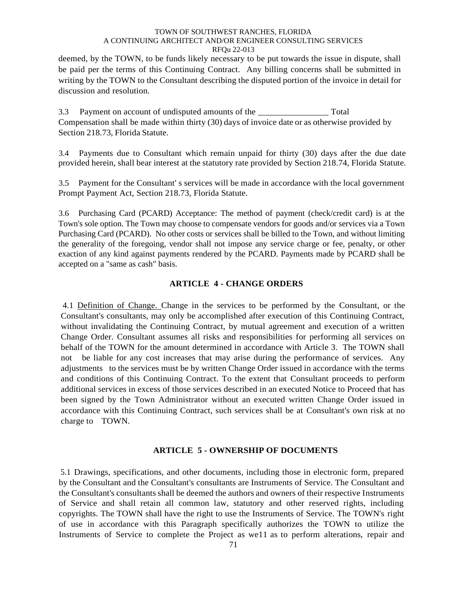deemed, by the TOWN, to be funds likely necessary to be put towards the issue in dispute, shall be paid per the terms of this Continuing Contract. Any billing concerns shall be submitted in writing by the TOWN to the Consultant describing the disputed portion of the invoice in detail for discussion and resolution.

3.3 Payment on account of undisputed amounts of the \_\_\_\_\_\_\_\_\_\_\_\_\_\_\_\_ Total Compensation shall be made within thirty (30) days of invoice date or as otherwise provided by Section 218.73, Florida Statute.

3.4 Payments due to Consultant which remain unpaid for thirty (30) days after the due date provided herein, shall bear interest at the statutory rate provided by Section 218.74, Florida Statute.

3.5 Payment for the Consultant' s services will be made in accordance with the local government Prompt Payment Act, Section 218.73, Florida Statute.

3.6 Purchasing Card (PCARD) Acceptance: The method of payment (check/credit card) is at the Town's sole option. The Town may choose to compensate vendors for goods and/or services via a Town Purchasing Card (PCARD). No other costs or services shall be billed to the Town, and without limiting the generality of the foregoing, vendor shall not impose any service charge or fee, penalty, or other exaction of any kind against payments rendered by the PCARD. Payments made by PCARD shall be accepted on a "same as cash" basis.

#### **ARTICLE 4 - CHANGE ORDERS**

4.1 Definition of Change. Change in the services to be performed by the Consultant, or the Consultant's consultants, may only be accomplished after execution of this Continuing Contract, without invalidating the Continuing Contract, by mutual agreement and execution of a written Change Order. Consultant assumes all risks and responsibilities for performing all services on behalf of the TOWN for the amount determined in accordance with Article 3. The TOWN shall not be liable for any cost increases that may arise during the performance of services. Any adjustments to the services must be by written Change Order issued in accordance with the terms and conditions of this Continuing Contract. To the extent that Consultant proceeds to perform additional services in excess of those services described in an executed Notice to Proceed that has been signed by the Town Administrator without an executed written Change Order issued in accordance with this Continuing Contract, such services shall be at Consultant's own risk at no charge to TOWN.

### **ARTICLE 5 - OWNERSHIP OF DOCUMENTS**

5.1 Drawings, specifications, and other documents, including those in electronic form, prepared by the Consultant and the Consultant's consultants are Instruments of Service. The Consultant and the Consultant's consultants shall be deemed the authors and owners of their respective Instruments of Service and shall retain all common law, statutory and other reserved rights, including copyrights. The TOWN shall have the right to use the Instruments of Service. The TOWN's right of use in accordance with this Paragraph specifically authorizes the TOWN to utilize the Instruments of Service to complete the Project as we11 as to perform alterations, repair and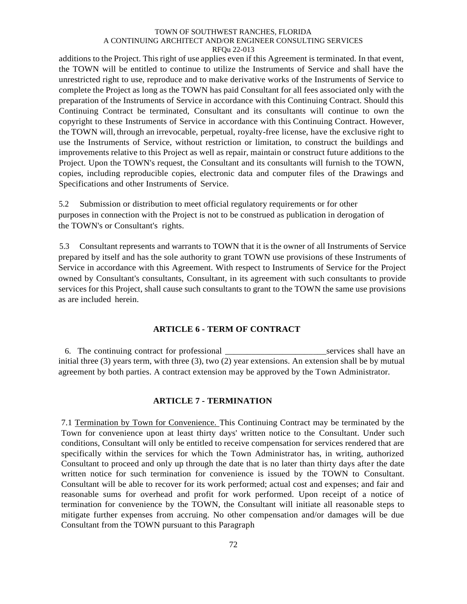additions to the Project. This right of use applies even if this Agreement is terminated. In that event, the TOWN will be entitled to continue to utilize the Instruments of Service and shall have the unrestricted right to use, reproduce and to make derivative works of the Instruments of Service to complete the Project as long as the TOWN has paid Consultant for all fees associated only with the preparation of the Instruments of Service in accordance with this Continuing Contract. Should this Continuing Contract be terminated, Consultant and its consultants will continue to own the copyright to these Instruments of Service in accordance with this Continuing Contract. However, the TOWN will, through an irrevocable, perpetual, royalty-free license, have the exclusive right to use the Instruments of Service, without restriction or limitation, to construct the buildings and improvements relative to this Project as well as repair, maintain or construct future additions to the Project. Upon the TOWN's request, the Consultant and its consultants will furnish to the TOWN, copies, including reproducible copies, electronic data and computer files of the Drawings and Specifications and other Instruments of Service.

5.2 Submission or distribution to meet official regulatory requirements or for other purposes in connection with the Project is not to be construed as publication in derogation of the TOWN's or Consultant's rights.

5.3 Consultant represents and warrants to TOWN that it is the owner of all Instruments of Service prepared by itself and has the sole authority to grant TOWN use provisions of these Instruments of Service in accordance with this Agreement. With respect to Instruments of Service for the Project owned by Consultant's consultants, Consultant, in its agreement with such consultants to provide services for this Project, shall cause such consultants to grant to the TOWN the same use provisions as are included herein.

### **ARTICLE 6 - TERM OF CONTRACT**

6. The continuing contract for professional \_\_\_\_\_\_\_\_\_\_\_\_\_\_\_\_\_\_\_\_\_\_\_services shall have an initial three (3) years term, with three (3), two (2) year extensions. An extension shall be by mutual agreement by both parties. A contract extension may be approved by the Town Administrator.

#### **ARTICLE 7 - TERMINATION**

7.1 Termination by Town for Convenience. This Continuing Contract may be terminated by the Town for convenience upon at least thirty days' written notice to the Consultant. Under such conditions, Consultant will only be entitled to receive compensation for services rendered that are specifically within the services for which the Town Administrator has, in writing, authorized Consultant to proceed and only up through the date that is no later than thirty days after the date written notice for such termination for convenience is issued by the TOWN to Consultant. Consultant will be able to recover for its work performed; actual cost and expenses; and fair and reasonable sums for overhead and profit for work performed. Upon receipt of a notice of termination for convenience by the TOWN, the Consultant will initiate all reasonable steps to mitigate further expenses from accruing. No other compensation and/or damages will be due Consultant from the TOWN pursuant to this Paragraph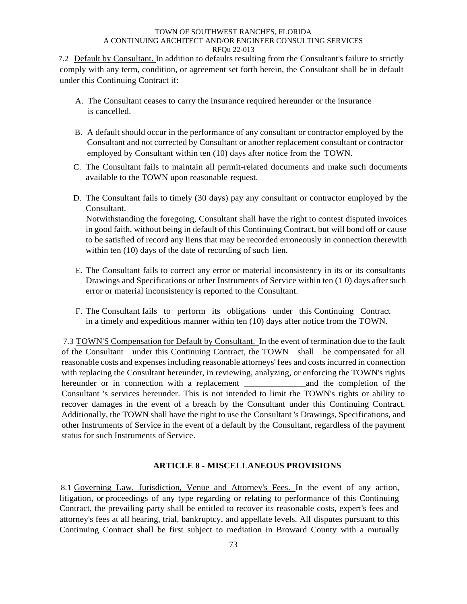7.2 Default by Consultant. In addition to defaults resulting from the Consultant's failure to strictly comply with any term, condition, or agreement set forth herein, the Consultant shall be in default under this Continuing Contract if:

- A. The Consultant ceases to carry the insurance required hereunder or the insurance is cancelled.
- B. A default should occur in the performance of any consultant or contractor employed by the Consultant and not corrected by Consultant or another replacement consultant or contractor employed by Consultant within ten (10) days after notice from the TOWN.
- C. The Consultant fails to maintain all permit-related documents and make such documents available to the TOWN upon reasonable request.
- D. The Consultant fails to timely (30 days) pay any consultant or contractor employed by the Consultant. Notwithstanding the foregoing, Consultant shall have the right to contest disputed invoices in good faith, without being in default of this Continuing Contract, but will bond off or cause to be satisfied of record any liens that may be recorded erroneously in connection therewith within ten  $(10)$  days of the date of recording of such lien.
- E. The Consultant fails to correct any error or material inconsistency in its or its consultants Drawings and Specifications or other Instruments of Service within ten (1 0) days after such error or material inconsistency is reported to the Consultant.
- F. The Consultant fails to perform its obligations under this Continuing Contract in a timely and expeditious manner within ten (10) days after notice from the TOWN.

7.3 TOWN'S Compensation for Default by Consultant. In the event of termination due to the fault of the Consultant under this Continuing Contract, the TOWN shall be compensated for all reasonable costs and expenses including reasonable attorneys' fees and costs incurred in connection with replacing the Consultant hereunder, in reviewing, analyzing, or enforcing the TOWN's rights hereunder or in connection with a replacement and the completion of the Consultant 's services hereunder. This is not intended to limit the TOWN's rights or ability to recover damages in the event of a breach by the Consultant under this Continuing Contract. Additionally, the TOWN shall have the right to use the Consultant 's Drawings, Specifications, and other Instruments of Service in the event of a default by the Consultant, regardless of the payment status for such Instruments of Service.

### **ARTICLE 8 - MISCELLANEOUS PROVISIONS**

8.1 Governing Law, Jurisdiction, Venue and Attorney's Fees. In the event of any action, litigation, or proceedings of any type regarding or relating to performance of this Continuing Contract, the prevailing party shall be entitled to recover its reasonable costs, expert's fees and attorney's fees at all hearing, trial, bankruptcy, and appellate levels. All disputes pursuant to this Continuing Contract shall be first subject to mediation in Broward County with a mutually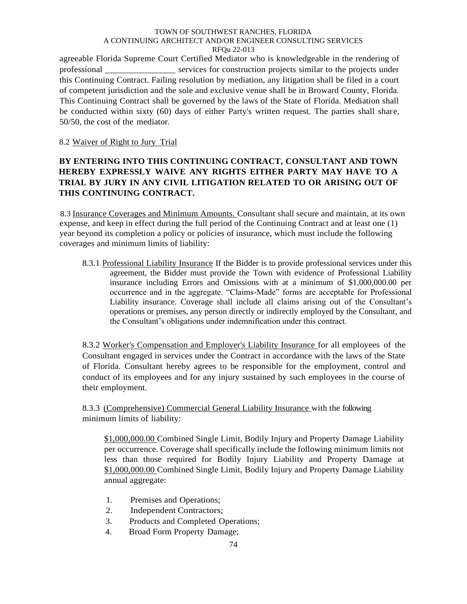agreeable Florida Supreme Court Certified Mediator who is knowledgeable in the rendering of professional \_\_\_\_\_\_\_\_\_\_\_\_\_\_\_\_ services for construction projects similar to the projects under this Continuing Contract. Failing resolution by mediation, any litigation shall be filed in a court of competent jurisdiction and the sole and exclusive venue shall be in Broward County, Florida. This Continuing Contract shall be governed by the laws of the State of Florida. Mediation shall be conducted within sixty (60) days of either Party's written request. The parties shall share, 50/50, the cost of the mediator.

### 8.2 Waiver of Right to Jury Trial

# **BY ENTERING INTO THIS CONTINUING CONTRACT, CONSULTANT AND TOWN HEREBY EXPRESSLY WAIVE ANY RIGHTS EITHER PARTY MAY HAVE TO A TRIAL BY JURY IN ANY CIVIL LITIGATION RELATED TO OR ARISING OUT OF THIS CONTINUING CONTRACT.**

8.3 Insurance Coverages and Minimum Amounts. Consultant shall secure and maintain, at its own expense, and keep in effect during the full period of the Continuing Contract and at least one (1) year beyond its completion a policy or policies of insurance, which must include the following coverages and minimum limits of liability:

8.3.1 Professional Liability Insurance If the Bidder is to provide professional services under this agreement, the Bidder must provide the Town with evidence of Professional Liability insurance including Errors and Omissions with at a minimum of \$1,000,000.00 per occurrence and in the aggregate. "Claims-Made" forms are acceptable for Professional Liability insurance. Coverage shall include all claims arising out of the Consultant's operations or premises, any person directly or indirectly employed by the Consultant, and the Consultant's obligations under indemnification under this contract.

8.3.2 Worker's Compensation and Employer's Liability Insurance for all employees of the Consultant engaged in services under the Contract in accordance with the laws of the State of Florida. Consultant hereby agrees to be responsible for the employment, control and conduct of its employees and for any injury sustained by such employees in the course of their employment.

8.3.3 (Comprehensive) Commercial General Liability Insurance with the following minimum limits of liability:

\$1,000,000.00 Combined Single Limit, Bodily Injury and Property Damage Liability per occurrence. Coverage shall specifically include the following minimum limits not less than those required for Bodily Injury Liability and Property Damage at \$1,000,000.00 Combined Single Limit, Bodily Injury and Property Damage Liability annual aggregate:

- 1. Premises and Operations;
- 2. Independent Contractors;
- 3. Products and Completed Operations;
- 4. Broad Form Property Damage;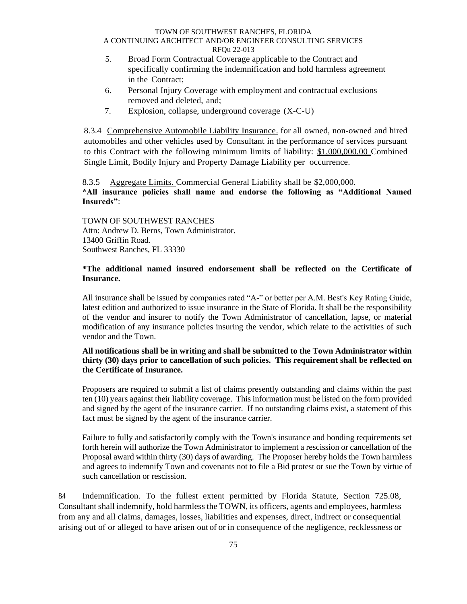- 5. Broad Form Contractual Coverage applicable to the Contract and specifically confirming the indemnification and hold harmless agreement in the Contract;
- 6. Personal Injury Coverage with employment and contractual exclusions removed and deleted, and;
- 7. Explosion, collapse, underground coverage (X-C-U)

8.3.4 Comprehensive Automobile Liability Insurance. for all owned, non-owned and hired automobiles and other vehicles used by Consultant in the performance of services pursuant to this Contract with the following minimum limits of liability: \$1,000,000.00 Combined Single Limit, Bodily Injury and Property Damage Liability per occurrence.

8.3.5 Aggregate Limits. Commercial General Liability shall be \$2,000,000.

**\*All insurance policies shall name and endorse the following as "Additional Named Insureds"**:

TOWN OF SOUTHWEST RANCHES Attn: Andrew D. Berns, Town Administrator. 13400 Griffin Road. Southwest Ranches, FL 33330

### **\*The additional named insured endorsement shall be reflected on the Certificate of Insurance.**

All insurance shall be issued by companies rated "A-" or better per A.M. Best's Key Rating Guide, latest edition and authorized to issue insurance in the State of Florida. It shall be the responsibility of the vendor and insurer to notify the Town Administrator of cancellation, lapse, or material modification of any insurance policies insuring the vendor, which relate to the activities of such vendor and the Town.

### **All notifications shall be in writing and shall be submitted to the Town Administrator within thirty (30) days prior to cancellation of such policies. This requirement shall be reflected on the Certificate of Insurance.**

Proposers are required to submit a list of claims presently outstanding and claims within the past ten (10) years against their liability coverage. This information must be listed on the form provided and signed by the agent of the insurance carrier. If no outstanding claims exist, a statement of this fact must be signed by the agent of the insurance carrier.

Failure to fully and satisfactorily comply with the Town's insurance and bonding requirements set forth herein will authorize the Town Administrator to implement a rescission or cancellation of the Proposal award within thirty (30) days of awarding. The Proposer hereby holds the Town harmless and agrees to indemnify Town and covenants not to file a Bid protest or sue the Town by virtue of such cancellation or rescission.

84 Indemnification. To the fullest extent permitted by Florida Statute, Section 725.08, Consultant shall indemnify, hold harmless the TOWN, its officers, agents and employees, harmless from any and all claims, damages, losses, liabilities and expenses, direct, indirect or consequential arising out of or alleged to have arisen out of or in consequence of the negligence, recklessness or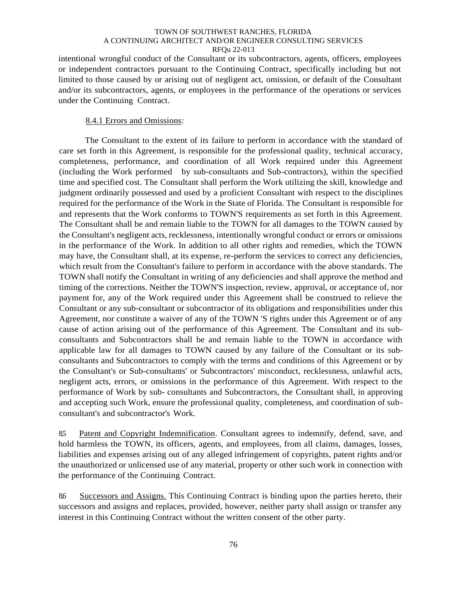intentional wrongful conduct of the Consultant or its subcontractors, agents, officers, employees or independent contractors pursuant to the Continuing Contract, specifically including but not limited to those caused by or arising out of negligent act, omission, or default of the Consultant and/or its subcontractors, agents, or employees in the performance of the operations or services under the Continuing Contract.

#### 8.4.1 Errors and Omissions:

The Consultant to the extent of its failure to perform in accordance with the standard of care set forth in this Agreement, is responsible for the professional quality, technical accuracy, completeness, performance, and coordination of all Work required under this Agreement (including the Work performed by sub-consultants and Sub-contractors), within the specified time and specified cost. The Consultant shall perform the Work utilizing the skill, knowledge and judgment ordinarily possessed and used by a proficient Consultant with respect to the disciplines required for the performance of the Work in the State of Florida. The Consultant is responsible for and represents that the Work conforms to TOWN'S requirements as set forth in this Agreement. The Consultant shall be and remain liable to the TOWN for all damages to the TOWN caused by the Consultant's negligent acts, recklessness, intentionally wrongful conduct or errors or omissions in the performance of the Work. In addition to all other rights and remedies, which the TOWN may have, the Consultant shall, at its expense, re-perform the services to correct any deficiencies, which result from the Consultant's failure to perform in accordance with the above standards. The TOWN shall notify the Consultant in writing of any deficiencies and shall approve the method and timing of the corrections. Neither the TOWN'S inspection, review, approval, or acceptance of, nor payment for, any of the Work required under this Agreement shall be construed to relieve the Consultant or any sub-consultant or subcontractor of its obligations and responsibilities under this Agreement, nor constitute a waiver of any of the TOWN 'S rights under this Agreement or of any cause of action arising out of the performance of this Agreement. The Consultant and its subconsultants and Subcontractors shall be and remain liable to the TOWN in accordance with applicable law for all damages to TOWN caused by any failure of the Consultant or its subconsultants and Subcontractors to comply with the terms and conditions of this Agreement or by the Consultant's or Sub-consultants' or Subcontractors' misconduct, recklessness, unlawful acts, negligent acts, errors, or omissions in the performance of this Agreement. With respect to the performance of Work by sub- consultants and Subcontractors, the Consultant shall, in approving and accepting such Work, ensure the professional quality, completeness, and coordination of subconsultant's and subcontractor's Work.

8.5 Patent and Copyright Indemnification. Consultant agrees to indemnify, defend, save, and hold harmless the TOWN, its officers, agents, and employees, from all claims, damages, losses, liabilities and expenses arising out of any alleged infringement of copyrights, patent rights and/or the unauthorized or unlicensed use of any material, property or other such work in connection with the performance of the Continuing Contract.

86 Successors and Assigns. This Continuing Contract is binding upon the parties hereto, their successors and assigns and replaces, provided, however, neither party shall assign or transfer any interest in this Continuing Contract without the written consent of the other party.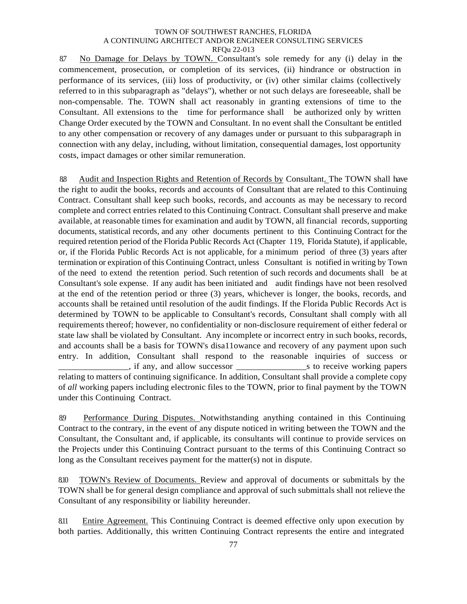8.7 No Damage for Delays by TOWN. Consultant's sole remedy for any (i) delay in the commencement, prosecution, or completion of its services, (ii) hindrance or obstruction in performance of its services, (iii) loss of productivity, or (iv) other similar claims (collectively referred to in this subparagraph as "delays"), whether or not such delays are foreseeable, shall be non-compensable. The. TOWN shall act reasonably in granting extensions of time to the Consultant. All extensions to the time for performance shall be authorized only by written Change Order executed by the TOWN and Consultant. In no event shall the Consultant be entitled to any other compensation or recovery of any damages under or pursuant to this subparagraph in connection with any delay, including, without limitation, consequential damages, lost opportunity costs, impact damages or other similar remuneration.

8.8 Audit and Inspection Rights and Retention of Records by Consultant. The TOWN shall have the right to audit the books, records and accounts of Consultant that are related to this Continuing Contract. Consultant shall keep such books, records, and accounts as may be necessary to record complete and correct entries related to this Continuing Contract. Consultant shall preserve and make available, at reasonable times for examination and audit by TOWN, all financial records, supporting documents, statistical records, and any other documents pertinent to this Continuing Contract for the required retention period of the Florida Public Records Act (Chapter 119, Florida Statute), if applicable, or, if the Florida Public Records Act is not applicable, for a minimum period of three (3) years after termination or expiration of this Continuing Contract, unless Consultant is notified in writing by Town of the need to extend the retention period. Such retention of such records and documents shall be at Consultant's sole expense. If any audit has been initiated and audit findings have not been resolved at the end of the retention period or three (3) years, whichever is longer, the books, records, and accounts shall be retained until resolution of the audit findings. If the Florida Public Records Act is determined by TOWN to be applicable to Consultant's records, Consultant shall comply with all requirements thereof; however, no confidentiality or non-disclosure requirement of either federal or state law shall be violated by Consultant. Any incomplete or incorrect entry in such books, records, and accounts shall be a basis for TOWN's disa11owance and recovery of any payment upon such entry. In addition, Consultant shall respond to the reasonable inquiries of success or \_\_\_\_\_\_\_\_\_\_\_\_\_\_\_\_, if any, and allow successor \_\_\_\_\_\_\_\_\_\_\_\_\_\_\_\_s to receive working papers relating to matters of continuing significance. In addition, Consultant shall provide a complete copy of *all* working papers including electronic files to the TOWN, prior to final payment by the TOWN under this Continuing Contract.

8.9 Performance During Disputes. Notwithstanding anything contained in this Continuing Contract to the contrary, in the event of any dispute noticed in writing between the TOWN and the Consultant, the Consultant and, if applicable, its consultants will continue to provide services on the Projects under this Continuing Contract pursuant to the terms of this Continuing Contract so long as the Consultant receives payment for the matter(s) not in dispute.

8.10 TOWN's Review of Documents. Review and approval of documents or submittals by the TOWN shall be for general design compliance and approval of such submittals shall not relieve the Consultant of any responsibility or liability hereunder.

8.11 Entire Agreement. This Continuing Contract is deemed effective only upon execution by both parties. Additionally, this written Continuing Contract represents the entire and integrated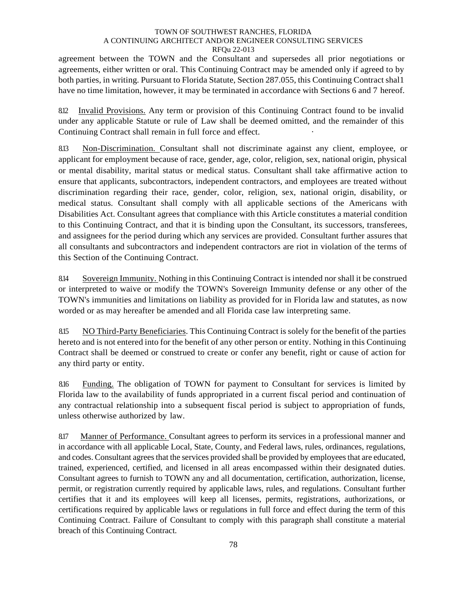agreement between the TOWN and the Consultant and supersedes all prior negotiations or agreements, either written or oral. This Continuing Contract may be amended only if agreed to by both parties, in writing. Pursuant to Florida Statute, Section 287.055, this Continuing Contract shal1 have no time limitation, however, it may be terminated in accordance with Sections 6 and 7 hereof.

8.12 Invalid Provisions. Any term or provision of this Continuing Contract found to be invalid under any applicable Statute or rule of Law shall be deemed omitted, and the remainder of this Continuing Contract shall remain in full force and effect.

8.13 Non-Discrimination. Consultant shall not discriminate against any client, employee, or applicant for employment because of race, gender, age, color, religion, sex, national origin, physical or mental disability, marital status or medical status. Consultant shall take affirmative action to ensure that applicants, subcontractors, independent contractors, and employees are treated without discrimination regarding their race, gender, color, religion, sex, national origin, disability, or medical status. Consultant shall comply with all applicable sections of the Americans with Disabilities Act. Consultant agrees that compliance with this Article constitutes a material condition to this Continuing Contract, and that it is binding upon the Consultant, its successors, transferees, and assignees for the period during which any services are provided. Consultant further assures that all consultants and subcontractors and independent contractors are riot in violation of the terms of this Section of the Continuing Contract.

8.14 Sovereign Immunity. Nothing in this Continuing Contract is intended nor shall it be construed or interpreted to waive or modify the TOWN's Sovereign Immunity defense or any other of the TOWN's immunities and limitations on liability as provided for in Florida law and statutes, as now worded or as may hereafter be amended and all Florida case law interpreting same.

8.15 NO Third-Party Beneficiaries. This Continuing Contract is solely for the benefit of the parties hereto and is not entered into for the benefit of any other person or entity. Nothing in this Continuing Contract shall be deemed or construed to create or confer any benefit, right or cause of action for any third party or entity.

8.16 Funding. The obligation of TOWN for payment to Consultant for services is limited by Florida law to the availability of funds appropriated in a current fiscal period and continuation of any contractual relationship into a subsequent fiscal period is subject to appropriation of funds, unless otherwise authorized by law.

8.17 Manner of Performance. Consultant agrees to perform its services in a professional manner and in accordance with all applicable Local, State, County, and Federal laws, rules, ordinances, regulations, and codes. Consultant agrees that the services provided shall be provided by employees that are educated, trained, experienced, certified, and licensed in all areas encompassed within their designated duties. Consultant agrees to furnish to TOWN any and all documentation, certification, authorization, license, permit, or registration currently required by applicable laws, rules, and regulations. Consultant further certifies that it and its employees will keep all licenses, permits, registrations, authorizations, or certifications required by applicable laws or regulations in full force and effect during the term of this Continuing Contract. Failure of Consultant to comply with this paragraph shall constitute a material breach of this Continuing Contract.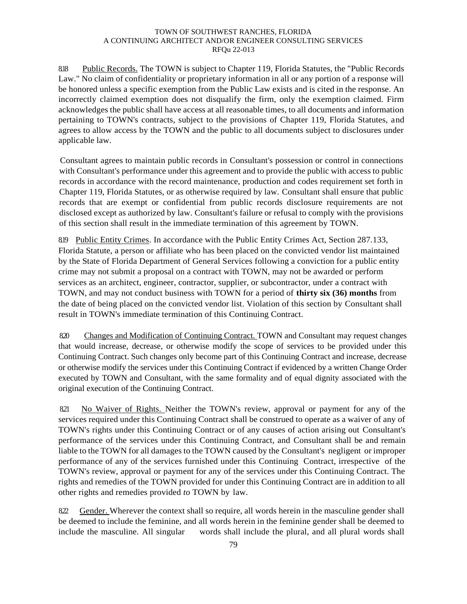8.18 Public Records. The TOWN is subject to Chapter 119, Florida Statutes, the "Public Records Law." No claim of confidentiality or proprietary information in all or any portion of a response will be honored unless a specific exemption from the Public Law exists and is cited in the response. An incorrectly claimed exemption does not disqualify the firm, only the exemption claimed. Firm acknowledges the public shall have access at all reasonable times, to all documents and information pertaining to TOWN's contracts, subject to the provisions of Chapter 119, Florida Statutes, and agrees to allow access by the TOWN and the public to all documents subject to disclosures under applicable law.

Consultant agrees to maintain public records in Consultant's possession or control in connections with Consultant's performance under this agreement and to provide the public with access to public records in accordance with the record maintenance, production and codes requirement set forth in Chapter 119, Florida Statutes, or as otherwise required by law. Consultant shall ensure that public records that are exempt or confidential from public records disclosure requirements are not disclosed except as authorized by law. Consultant's failure or refusal to comply with the provisions of this section shall result in the immediate termination of this agreement by TOWN.

8.19 Public Entity Crimes. In accordance with the Public Entity Crimes Act, Section 287.133, Florida Statute, a person or affiliate who has been placed on the convicted vendor list maintained by the State of Florida Department of General Services following a conviction for a public entity crime may not submit a proposal on a contract with TOWN, may not be awarded or perform services as an architect, engineer, contractor, supplier, or subcontractor, under a contract with TOWN, and may not conduct business with TOWN for a period of **thirty six (36) months** from the date of being placed on the convicted vendor list. Violation of this section by Consultant shall result in TOWN's immediate termination of this Continuing Contract.

8.20 Changes and Modification of Continuing Contract. TOWN and Consultant may request changes that would increase, decrease, or otherwise modify the scope of services to be provided under this Continuing Contract. Such changes only become part of this Continuing Contract and increase, decrease or otherwise modify the services under this Continuing Contract if evidenced by a written Change Order executed by TOWN and Consultant, with the same formality and of equal dignity associated with the original execution of the Continuing Contract.

821 No Waiver of Rights. Neither the TOWN's review, approval or payment for any of the services required under this Continuing Contract shall be construed to operate as a waiver of any of TOWN's rights under this Continuing Contract or of any causes of action arising out Consultant's performance of the services under this Continuing Contract, and Consultant shall be and remain liable to the TOWN for all damages to the TOWN caused by the Consultant's negligent or improper performance of any of the services furnished under this Continuing Contract, irrespective of the TOWN's review, approval or payment for any of the services under this Continuing Contract. The rights and remedies of the TOWN provided for under this Continuing Contract are in addition to all other rights and remedies provided *to* TOWN by law.

822 Gender. Wherever the context shall so require, all words herein in the masculine gender shall be deemed to include the feminine, and all words herein in the feminine gender shall be deemed to include the masculine. All singular words shall include the plural, and all plural words shall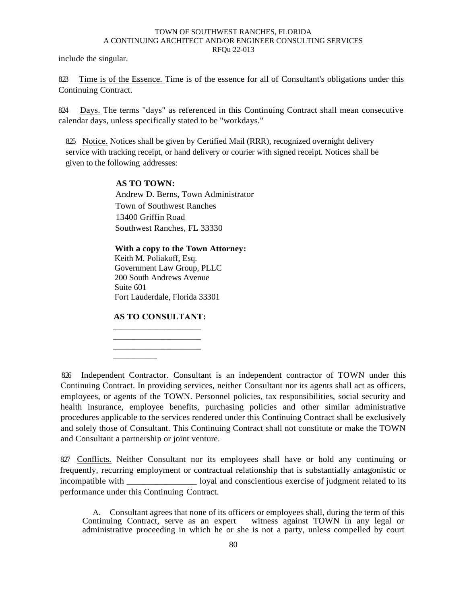include the singular.

823 Time is of the Essence. Time is of the essence for all of Consultant's obligations under this Continuing Contract.

8.24 Days. The terms "days" as referenced in this Continuing Contract shall mean consecutive calendar days, unless specifically stated to be "workdays."

825 Notice. Notices shall be given by Certified Mail (RRR), recognized overnight delivery service with tracking receipt, or hand delivery or courier with signed receipt. Notices shall be given to the following addresses:

> **AS TO TOWN:** Andrew D. Berns, Town Administrator Town of Southwest Ranches 13400 Griffin Road Southwest Ranches, FL 33330

### **With a copy to the Town Attorney:**

Keith M. Poliakoff, Esq. Government Law Group, PLLC 200 South Andrews Avenue Suite 601 Fort Lauderdale, Florida 33301

**AS TO CONSULTANT:** \_\_\_\_\_\_\_\_\_\_\_\_\_\_\_\_\_\_\_\_

\_\_\_\_\_\_\_\_\_\_\_\_\_\_\_\_\_\_\_\_ \_\_\_\_\_\_\_\_\_\_\_\_\_\_\_\_\_\_\_\_

\_\_\_\_\_\_\_\_\_\_

8.26 Independent Contractor. Consultant is an independent contractor of TOWN under this Continuing Contract. In providing services, neither Consultant nor its agents shall act as officers, employees, or agents of the TOWN. Personnel policies, tax responsibilities, social security and health insurance, employee benefits, purchasing policies and other similar administrative procedures applicable to the services rendered under this Continuing Contract shall be exclusively and solely those of Consultant. This Continuing Contract shall not constitute or make the TOWN and Consultant a partnership or joint venture.

827 Conflicts. Neither Consultant nor its employees shall have or hold any continuing or frequently, recurring employment or contractual relationship that is substantially antagonistic or incompatible with \_\_\_\_\_\_\_\_\_\_\_\_\_\_\_\_ loyal and conscientious exercise of judgment related to its performance under this Continuing Contract.

A. Consultant agrees that none of its officers or employees shall, during the term of this Continuing Contract, serve as an expert witness against TOWN in any legal or administrative proceeding in which he or she is not a party, unless compelled by court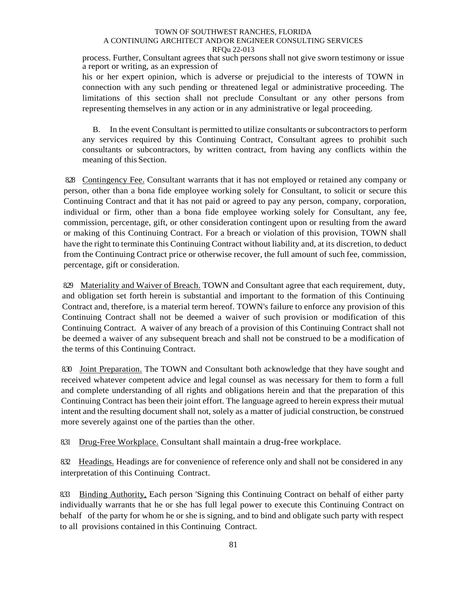process. Further, Consultant agrees that such persons shall not give sworn testimony or issue a report or writing, as an expression of

his or her expert opinion, which is adverse or prejudicial to the interests of TOWN in connection with any such pending or threatened legal or administrative proceeding. The limitations of this section shall not preclude Consultant or any other persons from representing themselves in any action or in any administrative or legal proceeding.

B. In the event Consultant is permitted to utilize consultants or subcontractors to perform any services required by this Continuing Contract, Consultant agrees to prohibit such consultants or subcontractors, by written contract, from having any conflicts within the meaning of this Section.

828 Contingency Fee. Consultant warrants that it has not employed or retained any company or person, other than a bona fide employee working solely for Consultant, to solicit or secure this Continuing Contract and that it has not paid or agreed to pay any person, company, corporation, individual or firm, other than a bona fide employee working solely for Consultant, any fee, commission, percentage, gift, or other consideration contingent upon or resulting from the award or making of this Continuing Contract. For a breach or violation of this provision, TOWN shall have the right to terminate this Continuing Contract without liability and, at its discretion, to deduct from the Continuing Contract price or otherwise recover, the full amount of such fee, commission, percentage, gift or consideration.

829 Materiality and Waiver of Breach. TOWN and Consultant agree that each requirement, duty, and obligation set forth herein is substantial and important to the formation of this Continuing Contract and, therefore, is a material term hereof. TOWN's failure to enforce any provision of this Continuing Contract shall not be deemed a waiver of such provision or modification of this Continuing Contract. A waiver of any breach of a provision of this Continuing Contract shall not be deemed a waiver of any subsequent breach and shall not be construed to be a modification of the terms of this Continuing Contract.

8.30 Joint Preparation. The TOWN and Consultant both acknowledge that they have sought and received whatever competent advice and legal counsel as was necessary for them to form a full and complete understanding of all rights and obligations herein and that the preparation of this Continuing Contract has been their joint effort. The language agreed to herein express their mutual intent and the resulting document shall not, solely as a matter of judicial construction, be construed more severely against one of the parties than the other.

831 Drug-Free Workplace. Consultant shall maintain a drug-free workplace.

832 Headings. Headings are for convenience of reference only and shall not be considered in any interpretation of this Continuing Contract.

833 Binding Authority. Each person 'Signing this Continuing Contract on behalf of either party individually warrants that he or she has full legal power to execute this Continuing Contract on behalf of the party for whom he or she is signing, and to bind and obligate such party with respect to all provisions contained in this Continuing Contract.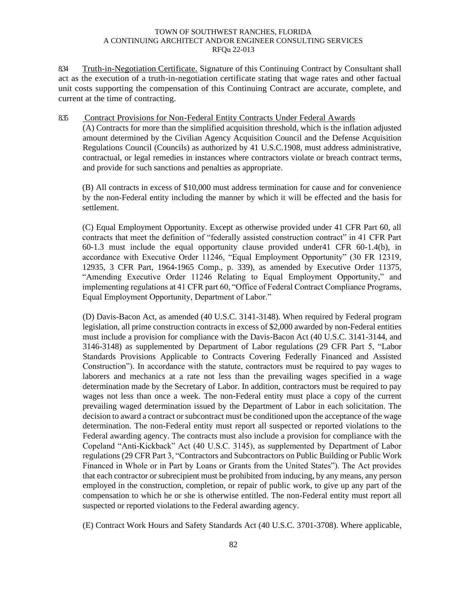8.34 Truth-in-Negotiation Certificate. Signature of this Continuing Contract by Consultant shall act as the execution of a truth-in-negotiation certificate stating that wage rates and other factual unit costs supporting the compensation of this Continuing Contract are accurate, complete, and current at the time of contracting.

### 8.35 Contract Provisions for Non-Federal Entity Contracts Under Federal Awards

(A) Contracts for more than the simplified acquisition threshold, which is the inflation adjusted amount determined by the Civilian Agency Acquisition Council and the Defense Acquisition Regulations Council (Councils) as authorized by 41 U.S.C.1908, must address administrative, contractual, or legal remedies in instances where contractors violate or breach contract terms, and provide for such sanctions and penalties as appropriate.

(B) All contracts in excess of \$10,000 must address termination for cause and for convenience by the non-Federal entity including the manner by which it will be effected and the basis for settlement.

(C) Equal Employment Opportunity. Except as otherwise provided under 41 CFR Part 60, all contracts that meet the definition of "federally assisted construction contract" in 41 CFR Part 60-1.3 must include the equal opportunity clause provided under41 CFR 60-1.4(b), in accordance with Executive Order 11246, "Equal Employment Opportunity" (30 FR 12319, 12935, 3 CFR Part, 1964-1965 Comp., p. 339), as amended by Executive Order 11375, "Amending Executive Order 11246 Relating to Equal Employment Opportunity," and implementing regulations at 41 CFR part 60, "Office of Federal Contract Compliance Programs, Equal Employment Opportunity, Department of Labor."

(D) Davis-Bacon Act, as amended (40 U.S.C. 3141-3148). When required by Federal program legislation, all prime construction contracts in excess of \$2,000 awarded by non-Federal entities must include a provision for compliance with the Davis-Bacon Act (40 U.S.C. 3141-3144, and 3146-3148) as supplemented by Department of Labor regulations (29 CFR Part 5, "Labor Standards Provisions Applicable to Contracts Covering Federally Financed and Assisted Construction"). In accordance with the statute, contractors must be required to pay wages to laborers and mechanics at a rate not less than the prevailing wages specified in a wage determination made by the Secretary of Labor. In addition, contractors must be required to pay wages not less than once a week. The non-Federal entity must place a copy of the current prevailing waged determination issued by the Department of Labor in each solicitation. The decision to award a contract or subcontract must be conditioned upon the acceptance of the wage determination. The non-Federal entity must report all suspected or reported violations to the Federal awarding agency. The contracts must also include a provision for compliance with the Copeland "Anti-Kickback" Act (40 U.S.C. 3145), as supplemented by Department of Labor regulations (29 CFR Part 3, "Contractors and Subcontractors on Public Building or Public Work Financed in Whole or in Part by Loans or Grants from the United States"). The Act provides that each contractor or subrecipient must be prohibited from inducing, by any means, any person employed in the construction, completion, or repair of public work, to give up any part of the compensation to which he or she is otherwise entitled. The non-Federal entity must report all suspected or reported violations to the Federal awarding agency.

(E) Contract Work Hours and Safety Standards Act (40 U.S.C. 3701-3708). Where applicable,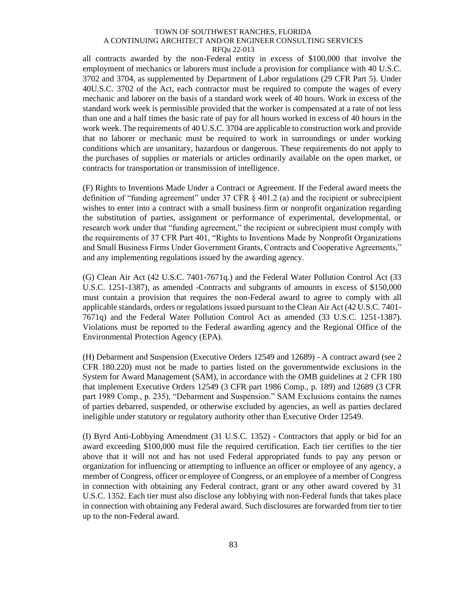all contracts awarded by the non-Federal entity in excess of \$100,000 that involve the employment of mechanics or laborers must include a provision for compliance with 40 U.S.C. 3702 and 3704, as supplemented by Department of Labor regulations (29 CFR Part 5). Under 40U.S.C. 3702 of the Act, each contractor must be required to compute the wages of every mechanic and laborer on the basis of a standard work week of 40 hours. Work in excess of the standard work week is permissible provided that the worker is compensated at a rate of not less than one and a half times the basic rate of pay for all hours worked in excess of 40 hours in the work week. The requirements of 40 U.S.C. 3704 are applicable to construction work and provide that no laborer or mechanic must be required to work in surroundings or under working conditions which are unsanitary, hazardous or dangerous. These requirements do not apply to the purchases of supplies or materials or articles ordinarily available on the open market, or contracts for transportation or transmission of intelligence.

(F) Rights to Inventions Made Under a Contract or Agreement. If the Federal award meets the definition of "funding agreement" under 37 CFR § 401.2 (a) and the recipient or subrecipient wishes to enter into a contract with a small business firm or nonprofit organization regarding the substitution of parties, assignment or performance of experimental, developmental, or research work under that "funding agreement," the recipient or subrecipient must comply with the requirements of 37 CFR Part 401, "Rights to Inventions Made by Nonprofit Organizations and Small Business Firms Under Government Grants, Contracts and Cooperative Agreements," and any implementing regulations issued by the awarding agency.

(G) Clean Air Act (42 U.S.C. 7401-7671q.) and the Federal Water Pollution Control Act (33 U.S.C. 1251-1387), as amended -Contracts and subgrants of amounts in excess of \$150,000 must contain a provision that requires the non-Federal award to agree to comply with all applicable standards, orders or regulations issued pursuant to the Clean Air Act (42 U.S.C. 7401- 7671q) and the Federal Water Pollution Control Act as amended (33 U.S.C. 1251-1387). Violations must be reported to the Federal awarding agency and the Regional Office of the Environmental Protection Agency (EPA).

(H) Debarment and Suspension (Executive Orders 12549 and 12689) - A contract award (see 2 CFR 180.220) must not be made to parties listed on the governmentwide exclusions in the System for Award Management (SAM), in accordance with the OMB guidelines at 2 CFR 180 that implement Executive Orders 12549 (3 CFR part 1986 Comp., p. 189) and 12689 (3 CFR part 1989 Comp., p. 235), "Debarment and Suspension." SAM Exclusions contains the names of parties debarred, suspended, or otherwise excluded by agencies, as well as parties declared ineligible under statutory or regulatory authority other than Executive Order 12549.

(I) Byrd Anti-Lobbying Amendment (31 U.S.C. 1352) - Contractors that apply or bid for an award exceeding \$100,000 must file the required certification. Each tier certifies to the tier above that it will not and has not used Federal appropriated funds to pay any person or organization for influencing or attempting to influence an officer or employee of any agency, a member of Congress, officer or employee of Congress, or an employee of a member of Congress in connection with obtaining any Federal contract, grant or any other award covered by 31 U.S.C. 1352. Each tier must also disclose any lobbying with non-Federal funds that takes place in connection with obtaining any Federal award. Such disclosures are forwarded from tier to tier up to the non-Federal award.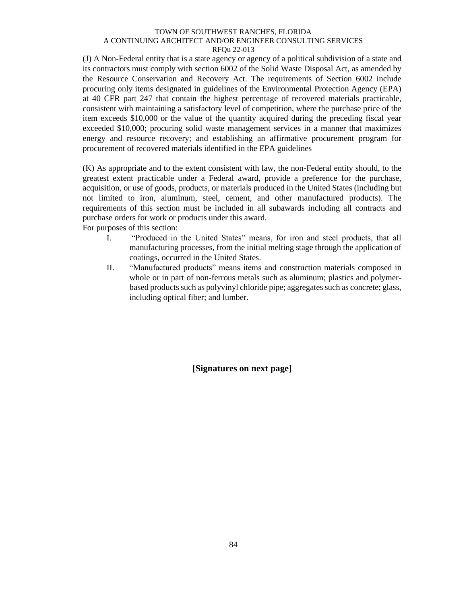(J) A Non-Federal entity that is a state agency or agency of a political subdivision of a state and its contractors must comply with section 6002 of the Solid Waste Disposal Act, as amended by the Resource Conservation and Recovery Act. The requirements of Section 6002 include procuring only items designated in guidelines of the Environmental Protection Agency (EPA) at 40 CFR part 247 that contain the highest percentage of recovered materials practicable, consistent with maintaining a satisfactory level of competition, where the purchase price of the item exceeds \$10,000 or the value of the quantity acquired during the preceding fiscal year exceeded \$10,000; procuring solid waste management services in a manner that maximizes energy and resource recovery; and establishing an affirmative procurement program for procurement of recovered materials identified in the EPA guidelines

(K) As appropriate and to the extent consistent with law, the non-Federal entity should, to the greatest extent practicable under a Federal award, provide a preference for the purchase, acquisition, or use of goods, products, or materials produced in the United States (including but not limited to iron, aluminum, steel, cement, and other manufactured products). The requirements of this section must be included in all subawards including all contracts and purchase orders for work or products under this award.

For purposes of this section:

- I. "Produced in the United States" means, for iron and steel products, that all manufacturing processes, from the initial melting stage through the application of coatings, occurred in the United States.
- II. "Manufactured products" means items and construction materials composed in whole or in part of non-ferrous metals such as aluminum; plastics and polymerbased products such as polyvinyl chloride pipe; aggregates such as concrete; glass, including optical fiber; and lumber.

**[Signatures on next page]**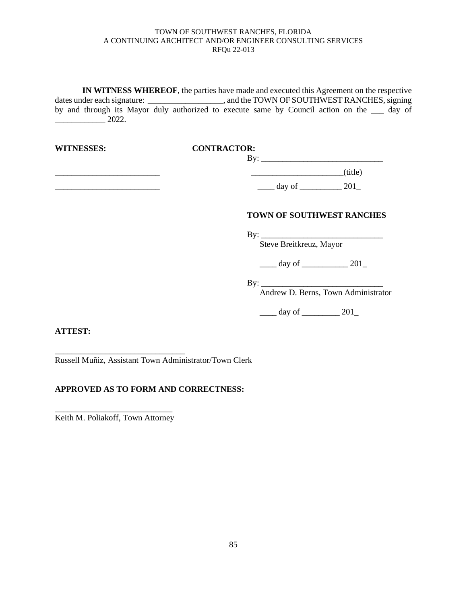**IN WITNESS WHEREOF**, the parties have made and executed this Agreement on the respective dates under each signature: \_\_\_\_\_\_\_\_\_\_\_\_\_\_\_\_\_\_\_\_\_, and the TOWN OF SOUTHWEST RANCHES, signing by and through its Mayor duly authorized to execute same by Council action on the \_\_\_ day of \_\_\_\_\_\_\_\_\_\_\_\_ 2022.

| <b>WITNESSES:</b>                                                                                                    | <b>CONTRACTOR:</b>                                               |
|----------------------------------------------------------------------------------------------------------------------|------------------------------------------------------------------|
| <u> 1989 - Johann John Stone, markin film yn y brenin y brenin y brenin y brenin y brenin y brenin y brenin y br</u> | (title)<br>$\frac{1}{2}$ day of $\frac{201}{2}$                  |
|                                                                                                                      | <b>TOWN OF SOUTHWEST RANCHES</b>                                 |
|                                                                                                                      | Steve Breitkreuz, Mayor                                          |
|                                                                                                                      | $\frac{1}{201}$ day of $\frac{201}{201}$                         |
|                                                                                                                      | $\mathbf{B} \mathbf{y}$ :<br>Andrew D. Berns, Town Administrator |
|                                                                                                                      | $\frac{1}{201}$ day of $\frac{201}{201}$                         |

**ATTEST:**

\_\_\_\_\_\_\_\_\_\_\_\_\_\_\_\_\_\_\_\_\_\_\_\_\_\_\_\_\_\_\_ Russell Muñiz, Assistant Town Administrator/Town Clerk

### **APPROVED AS TO FORM AND CORRECTNESS:**

\_\_\_\_\_\_\_\_\_\_\_\_\_\_\_\_\_\_\_\_\_\_\_\_\_\_\_\_ Keith M. Poliakoff, Town Attorney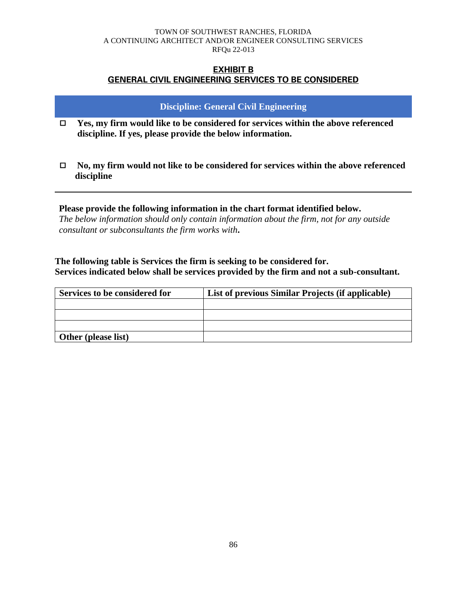### **EXHIBIT B GENERAL CIVIL ENGINEERING SERVICES TO BE CONSIDERED**

# **Discipline: General Civil Engineering**

- ◻ **Yes, my firm would like to be considered for services within the above referenced discipline. If yes, please provide the below information.**
- ◻ **No, my firm would not like to be considered for services within the above referenced discipline**

### **Please provide the following information in the chart format identified below.**

*The below information should only contain information about the firm, not for any outside consultant or subconsultants the firm works with***.**

| Services to be considered for | List of previous Similar Projects (if applicable) |
|-------------------------------|---------------------------------------------------|
|                               |                                                   |
|                               |                                                   |
|                               |                                                   |
| <b>Other</b> (please list)    |                                                   |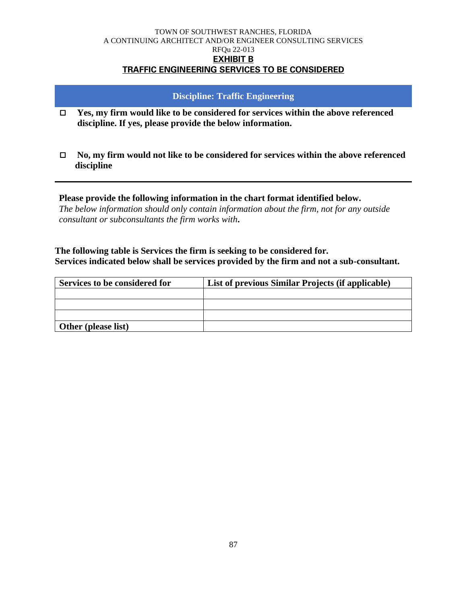### TOWN OF SOUTHWEST RANCHES, FLORIDA A CONTINUING ARCHITECT AND/OR ENGINEER CONSULTING SERVICES RFQu 22-013 **EXHIBIT B TRAFFIC ENGINEERING SERVICES TO BE CONSIDERED**

# **Discipline: Traffic Engineering**

- ◻ **Yes, my firm would like to be considered for services within the above referenced discipline. If yes, please provide the below information.**
- ◻ **No, my firm would not like to be considered for services within the above referenced discipline**

### **Please provide the following information in the chart format identified below.** *The below information should only contain information about the firm, not for any outside*

*consultant or subconsultants the firm works with***.**

| Services to be considered for | List of previous Similar Projects (if applicable) |
|-------------------------------|---------------------------------------------------|
|                               |                                                   |
|                               |                                                   |
|                               |                                                   |
| <b>Other</b> (please list)    |                                                   |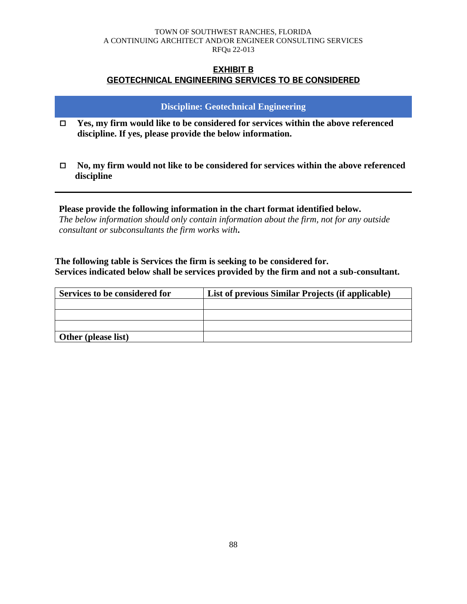### **EXHIBIT B GEOTECHNICAL ENGINEERING SERVICES TO BE CONSIDERED**

## **Discipline: Geotechnical Engineering**

- ◻ **Yes, my firm would like to be considered for services within the above referenced discipline. If yes, please provide the below information.**
- ◻ **No, my firm would not like to be considered for services within the above referenced discipline**

### **Please provide the following information in the chart format identified below.**

*The below information should only contain information about the firm, not for any outside consultant or subconsultants the firm works with***.**

| Services to be considered for | List of previous Similar Projects (if applicable) |
|-------------------------------|---------------------------------------------------|
|                               |                                                   |
|                               |                                                   |
|                               |                                                   |
| <b>Other</b> (please list)    |                                                   |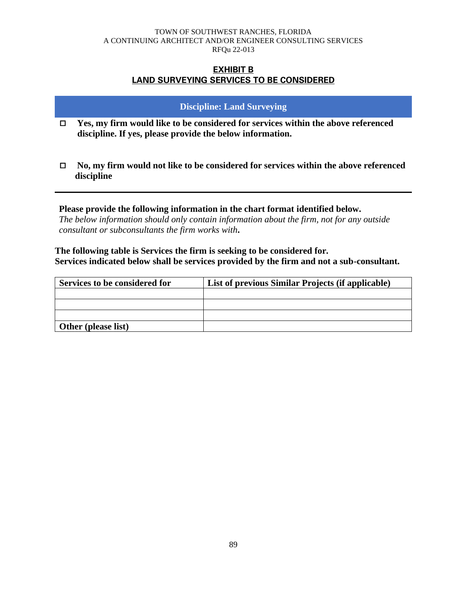### **EXHIBIT B LAND SURVEYING SERVICES TO BE CONSIDERED**

# **Discipline: Land Surveying**

- ◻ **Yes, my firm would like to be considered for services within the above referenced discipline. If yes, please provide the below information.**
- ◻ **No, my firm would not like to be considered for services within the above referenced discipline**

### **Please provide the following information in the chart format identified below.**

*The below information should only contain information about the firm, not for any outside consultant or subconsultants the firm works with***.**

| Services to be considered for | List of previous Similar Projects (if applicable) |
|-------------------------------|---------------------------------------------------|
|                               |                                                   |
|                               |                                                   |
|                               |                                                   |
| <b>Other</b> (please list)    |                                                   |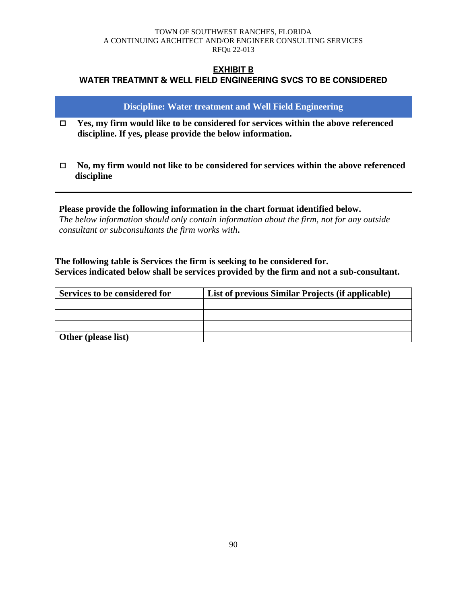### **EXHIBIT B WATER TREATMNT & WELL FIELD ENGINEERING SVCS TO BE CONSIDERED**

# **Discipline: Water treatment and Well Field Engineering**

- ◻ **Yes, my firm would like to be considered for services within the above referenced discipline. If yes, please provide the below information.**
- ◻ **No, my firm would not like to be considered for services within the above referenced discipline**

### **Please provide the following information in the chart format identified below.**

*The below information should only contain information about the firm, not for any outside consultant or subconsultants the firm works with***.**

| Services to be considered for | List of previous Similar Projects (if applicable) |
|-------------------------------|---------------------------------------------------|
|                               |                                                   |
|                               |                                                   |
|                               |                                                   |
| <b>Other</b> (please list)    |                                                   |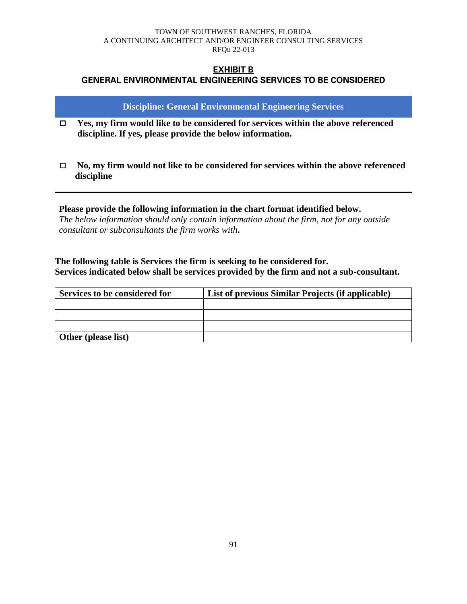### **EXHIBIT B GENERAL ENVIRONMENTAL ENGINEERING SERVICES TO BE CONSIDERED**

## **Discipline: General Environmental Engineering Services**

- ◻ **Yes, my firm would like to be considered for services within the above referenced discipline. If yes, please provide the below information.**
- ◻ **No, my firm would not like to be considered for services within the above referenced discipline**

### **Please provide the following information in the chart format identified below.**

*The below information should only contain information about the firm, not for any outside consultant or subconsultants the firm works with***.**

| Services to be considered for | List of previous Similar Projects (if applicable) |
|-------------------------------|---------------------------------------------------|
|                               |                                                   |
|                               |                                                   |
|                               |                                                   |
| <b>Other</b> (please list)    |                                                   |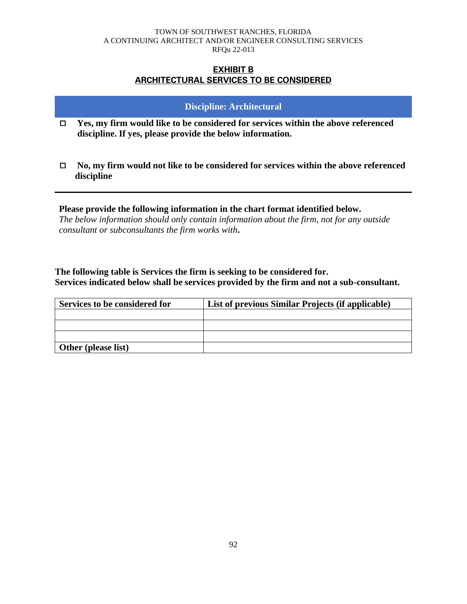### **EXHIBIT B ARCHITECTURAL SERVICES TO BE CONSIDERED**

# **Discipline: Architectural**

- ◻ **Yes, my firm would like to be considered for services within the above referenced discipline. If yes, please provide the below information.**
- ◻ **No, my firm would not like to be considered for services within the above referenced discipline**

### **Please provide the following information in the chart format identified below.**

*The below information should only contain information about the firm, not for any outside consultant or subconsultants the firm works with***.**

| Services to be considered for | List of previous Similar Projects (if applicable) |
|-------------------------------|---------------------------------------------------|
|                               |                                                   |
|                               |                                                   |
|                               |                                                   |
| <b>Other</b> (please list)    |                                                   |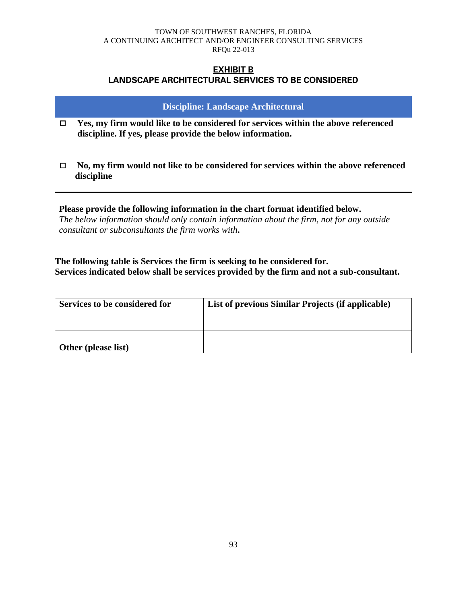### **EXHIBIT B LANDSCAPE ARCHITECTURAL SERVICES TO BE CONSIDERED**

### **Discipline: Landscape Architectural**

- ◻ **Yes, my firm would like to be considered for services within the above referenced discipline. If yes, please provide the below information.**
- ◻ **No, my firm would not like to be considered for services within the above referenced discipline**

# **Please provide the following information in the chart format identified below.**

*The below information should only contain information about the firm, not for any outside consultant or subconsultants the firm works with***.**

| Services to be considered for | List of previous Similar Projects (if applicable) |
|-------------------------------|---------------------------------------------------|
|                               |                                                   |
|                               |                                                   |
|                               |                                                   |
| Other (please list)           |                                                   |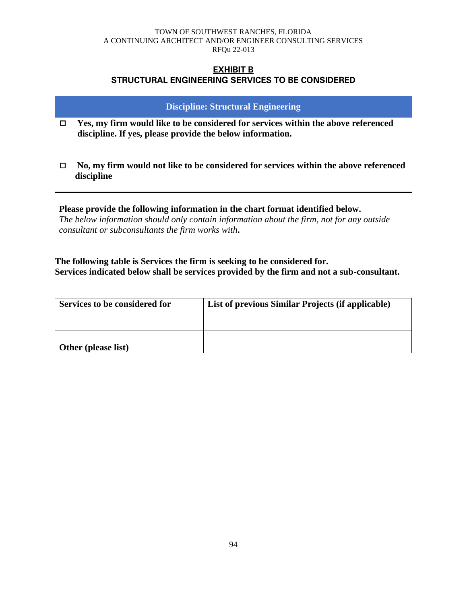### **EXHIBIT B STRUCTURAL ENGINEERING SERVICES TO BE CONSIDERED**

# **Discipline: Structural Engineering**

- ◻ **Yes, my firm would like to be considered for services within the above referenced discipline. If yes, please provide the below information.**
- ◻ **No, my firm would not like to be considered for services within the above referenced discipline**

# **Please provide the following information in the chart format identified below.**

*The below information should only contain information about the firm, not for any outside consultant or subconsultants the firm works with***.**

| Services to be considered for | List of previous Similar Projects (if applicable) |
|-------------------------------|---------------------------------------------------|
|                               |                                                   |
|                               |                                                   |
|                               |                                                   |
| Other (please list)           |                                                   |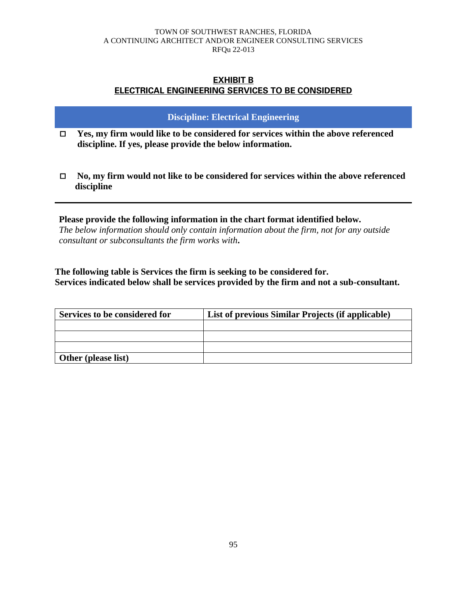### **EXHIBIT B ELECTRICAL ENGINEERING SERVICES TO BE CONSIDERED**

## **Discipline: Electrical Engineering**

- ◻ **Yes, my firm would like to be considered for services within the above referenced discipline. If yes, please provide the below information.**
- ◻ **No, my firm would not like to be considered for services within the above referenced discipline**

# **Please provide the following information in the chart format identified below.**

*The below information should only contain information about the firm, not for any outside consultant or subconsultants the firm works with***.**

| Services to be considered for | List of previous Similar Projects (if applicable) |
|-------------------------------|---------------------------------------------------|
|                               |                                                   |
|                               |                                                   |
|                               |                                                   |
| <b>Other</b> (please list)    |                                                   |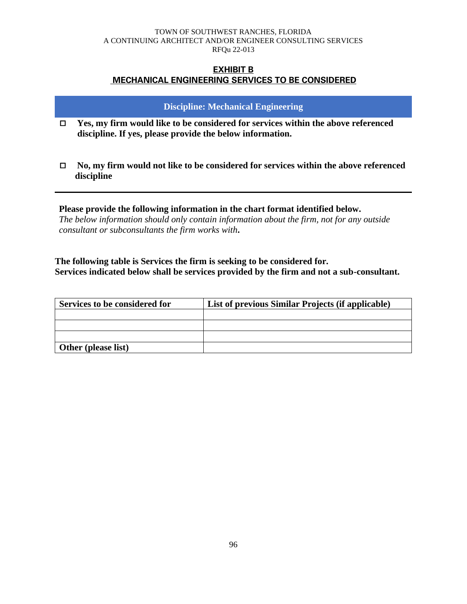### **EXHIBIT B MECHANICAL ENGINEERING SERVICES TO BE CONSIDERED**

# **Discipline: Mechanical Engineering**

- ◻ **Yes, my firm would like to be considered for services within the above referenced discipline. If yes, please provide the below information.**
- ◻ **No, my firm would not like to be considered for services within the above referenced discipline**

# **Please provide the following information in the chart format identified below.**

*The below information should only contain information about the firm, not for any outside consultant or subconsultants the firm works with***.**

| Services to be considered for | List of previous Similar Projects (if applicable) |
|-------------------------------|---------------------------------------------------|
|                               |                                                   |
|                               |                                                   |
|                               |                                                   |
| Other (please list)           |                                                   |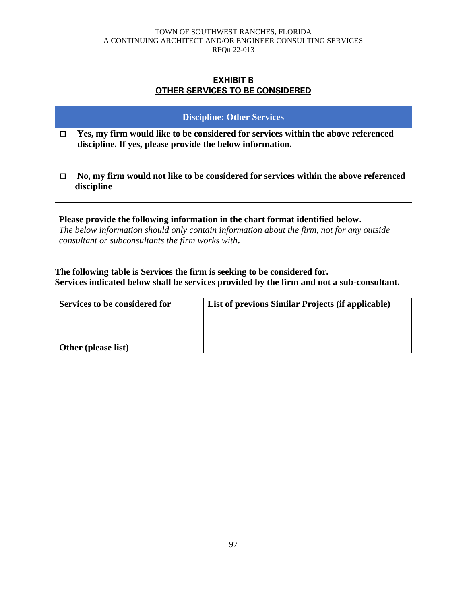## **EXHIBIT B OTHER SERVICES TO BE CONSIDERED**

## **Discipline: Other Services**

- ◻ **Yes, my firm would like to be considered for services within the above referenced discipline. If yes, please provide the below information.**
- ◻ **No, my firm would not like to be considered for services within the above referenced discipline**

### **Please provide the following information in the chart format identified below.**

*The below information should only contain information about the firm, not for any outside consultant or subconsultants the firm works with***.**

| Services to be considered for | List of previous Similar Projects (if applicable) |
|-------------------------------|---------------------------------------------------|
|                               |                                                   |
|                               |                                                   |
|                               |                                                   |
| <b>Other</b> (please list)    |                                                   |